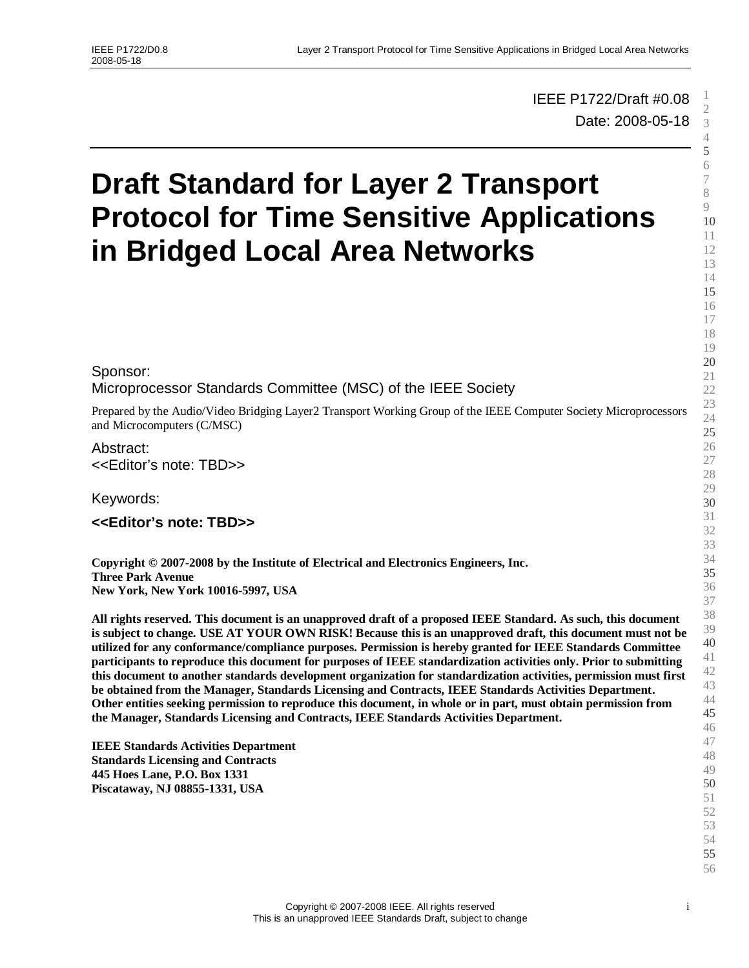# IEEE P1722/Draft #0.08 Date: 2008-05-18

# **Draft Standard for Layer 2 Transport Protocol for Time Sensitive Applications in Bridged Local Area Networks**

Sponsor: Microprocessor Standards Committee (MSC) of the IEEE Society

Prepared by the Audio/Video Bridging Layer2 Transport Working Group of the IEEE Computer Society Microprocessors and Microcomputers (C/MSC)

Abstract: <<Editor's note: TBD>>

Keywords:

**<<Editor's note: TBD>>**

**Copyright © 2007-2008 by the Institute of Electrical and Electronics Engineers, Inc. Three Park Avenue New York, New York 10016-5997, USA**

**All rights reserved. This document is an unapproved draft of a proposed IEEE Standard. As such, this document is subject to change. USE AT YOUR OWN RISK! Because this is an unapproved draft, this document must not be utilized for any conformance/compliance purposes. Permission is hereby granted for IEEE Standards Committee participants to reproduce this document for purposes of IEEE standardization activities only. Prior to submitting this document to another standards development organization for standardization activities, permission must first be obtained from the Manager, Standards Licensing and Contracts, IEEE Standards Activities Department. Other entities seeking permission to reproduce this document, in whole or in part, must obtain permission from the Manager, Standards Licensing and Contracts, IEEE Standards Activities Department.**

**IEEE Standards Activities Department Standards Licensing and Contracts 445 Hoes Lane, P.O. Box 1331 Piscataway, NJ 08855-1331, USA**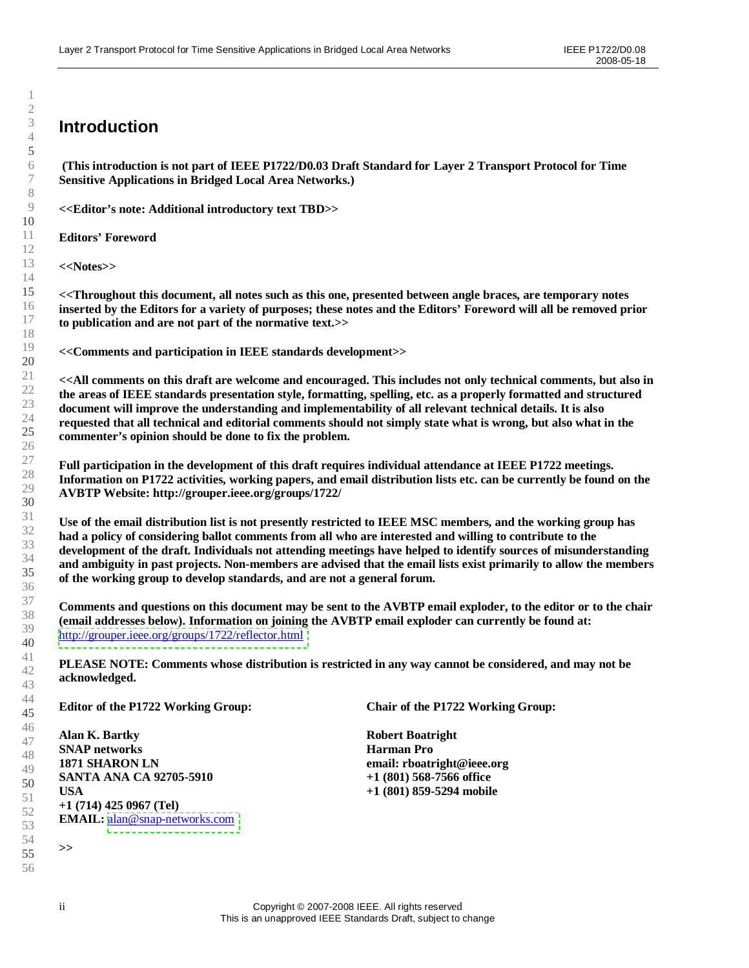# **Introduction**

**(This introduction is not part of IEEE P1722/D0.03 Draft Standard for Layer 2 Transport Protocol for Time Sensitive Applications in Bridged Local Area Networks.)**

**<<Editor's note: Additional introductory text TBD>>**

**Editors'Foreword**

**<<Notes>>**

**<<Throughout this document, all notes such as this one, presented between angle braces, are temporary notes inserted by the Editors for a variety of purposes; these notes and the Editors'Foreword will all be removed prior to publication and are not part of the normative text.>>**

**<<Comments and participation in IEEE standards development>>**

**<<All comments on this draft are welcome and encouraged. This includes not only technical comments, but also in the areas of IEEE standards presentation style, formatting, spelling, etc. as a properly formatted and structured document will improve the understanding and implementability of all relevant technical details. It is also requested that all technical and editorial comments should not simply state what is wrong, but also what in the commenter's opinion should be done to fix the problem.**

**Full participation in the development of this draft requires individual attendance at IEEE P1722 meetings. Information on P1722 activities, working papers, and email distribution lists etc. can be currently be found on the AVBTP Website: http://grouper.ieee.org/groups/1722/**

**Use of the email distribution list is not presently restricted to IEEE MSC members, and the working group has had a policy of considering ballot comments from all who are interested and willing to contribute to the development of the draft. Individuals not attending meetings have helped to identify sources of misunderstanding and ambiguity in past projects. Non-members are advised that the email lists exist primarily to allow the members of the working group to develop standards, and are not a general forum.**

**Comments and questions on this document may be sent to the AVBTP email exploder, to the editor or to the chair (email addresses below). Information on joining the AVBTP email exploder can currently be found at:** <http://grouper.ieee.org/groups/1722/reflector.html>

**PLEASE NOTE: Comments whose distribution is restricted in any way cannot be considered, and may not be acknowledged.**

**Editor of the P1722 Working Group:**

**Alan K. Bartky SNAP networks 1871 SHARON LN SANTA ANA CA 92705-5910 USA +1 (714) 425 0967 (Tel) EMAIL:** [alan@snap-networks.com](mailto:alan@snap-networks.com)

**Chair of the P1722 Working Group:**

**Robert Boatright Harman Pro email: rboatright@ieee.org +1 (801) 568-7566 office +1 (801) 859-5294 mobile**

**>>**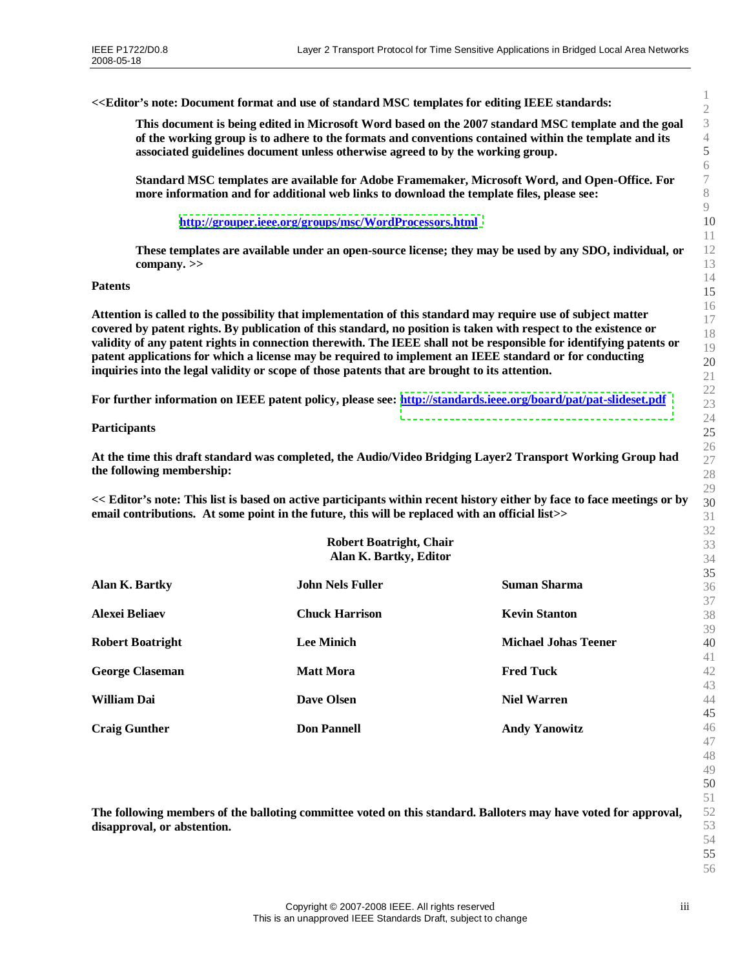**<<Editor's note: Document format and use of standard MSC templates for editing IEEE standards:**

**This document is being edited in Microsoft Word based on the 2007 standard MSC template and the goal of the working group is to adhere to the formats and conventions contained within the template and its associated guidelines document unless otherwise agreed to by the working group.**

**Standard MSC templates are available for Adobe Framemaker, Microsoft Word, and Open-Office. For more information and for additional web links to download the template files, please see:**

**<http://grouper.ieee.org/groups/msc/WordProcessors.html>**

**These templates are available under an open-source license; they may be used by any SDO, individual, or company. >>**

#### **Patents**

**Attention is called to the possibility that implementation of this standard may require use of subject matter covered by patent rights. By publication of this standard, no position is taken with respect to the existence or validity of any patent rights in connection therewith. The IEEE shall not be responsible for identifying patents or patent applications for which a license may be required to implement an IEEE standard or for conducting inquiries into the legal validity or scope of those patents that are brought to its attention.**

**For further information on IEEE patent policy, please see: <http://standards.ieee.org/board/pat/pat-slideset.pdf>**

#### **Participants**

**At the time this draft standard was completed, the Audio/Video Bridging Layer2 Transport Working Group had the following membership:**

**<< Editor's note: This list is based on active participants within recent history either by face to face meetings or by email contributions. At some point in the future, this will be replaced with an official list>>**

| <b>Robert Boatright, Chair</b><br>Alan K. Bartky, Editor |                         |                             |                                  |
|----------------------------------------------------------|-------------------------|-----------------------------|----------------------------------|
| Alan K. Bartky                                           | <b>John Nels Fuller</b> | <b>Suman Sharma</b>         |                                  |
| Alexei Beliaev                                           | <b>Chuck Harrison</b>   | <b>Kevin Stanton</b>        |                                  |
| <b>Robert Boatright</b>                                  | <b>Lee Minich</b>       | <b>Michael Johas Teener</b> | $\angle$                         |
| <b>George Claseman</b>                                   | <b>Matt Mora</b>        | <b>Fred Tuck</b>            | $\angle$<br>$\angle$             |
| <b>William Dai</b>                                       | Dave Olsen              | <b>Niel Warren</b>          | $\angle$<br>$\angle$<br>$\angle$ |
| <b>Craig Gunther</b>                                     | <b>Don Pannell</b>      | <b>Andy Yanowitz</b>        | $\angle$                         |

**The following members of the balloting committee voted on this standard. Balloters may have voted for approval, disapproval, or abstention.**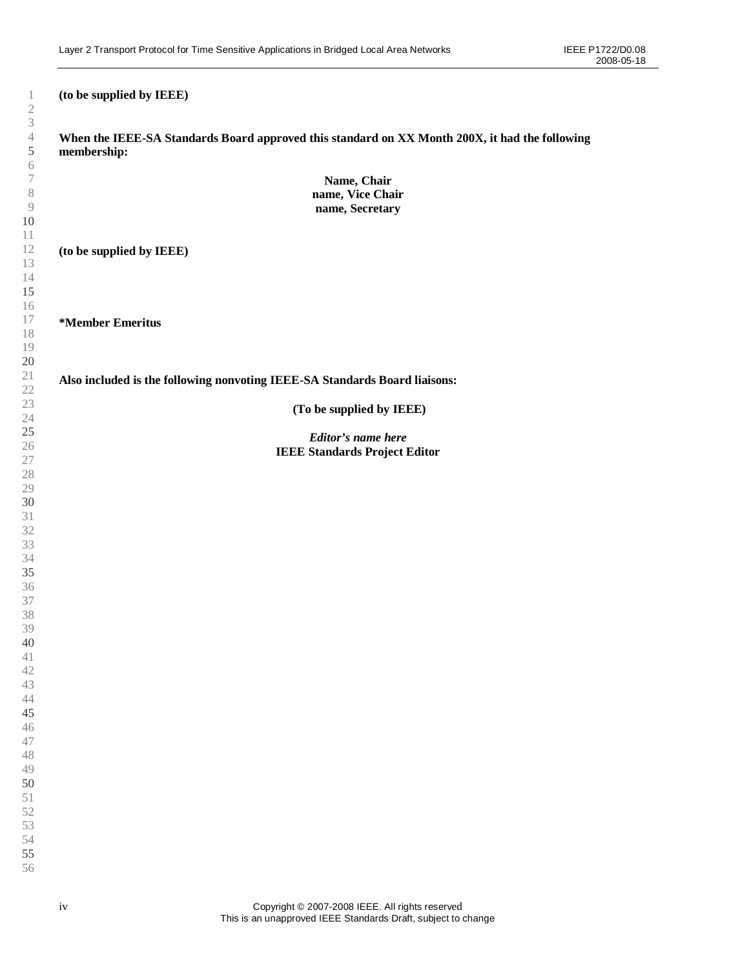| (to be supplied by IEEE) |                                                                                                |
|--------------------------|------------------------------------------------------------------------------------------------|
| membership:              | When the IEEE-SA Standards Board approved this standard on XX Month 200X, it had the following |
|                          | Name, Chair                                                                                    |
|                          | name, Vice Chair                                                                               |
|                          | name, Secretary                                                                                |
| (to be supplied by IEEE) |                                                                                                |
|                          |                                                                                                |
| *Member Emeritus         |                                                                                                |
|                          | Also included is the following nonvoting IEEE-SA Standards Board liaisons:                     |
|                          | (To be supplied by IEEE)                                                                       |
|                          | Editor's name here                                                                             |
|                          | <b>IEEE Standards Project Editor</b>                                                           |
|                          |                                                                                                |
|                          |                                                                                                |
|                          |                                                                                                |
|                          |                                                                                                |
|                          |                                                                                                |
|                          |                                                                                                |
|                          |                                                                                                |
|                          |                                                                                                |
|                          |                                                                                                |
|                          |                                                                                                |
|                          |                                                                                                |
|                          |                                                                                                |
|                          |                                                                                                |
|                          |                                                                                                |
|                          |                                                                                                |
|                          |                                                                                                |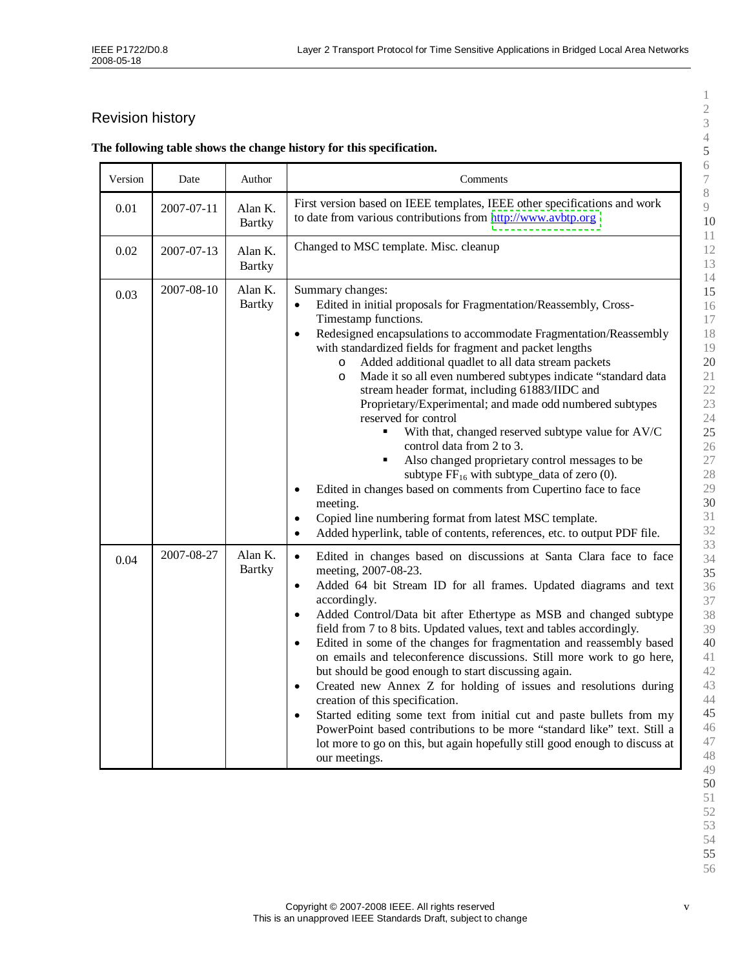# Revision history

#### Version Date Author Comments 0.01 | 2007-07-11 | Alan K. Bartky First version based on IEEE templates, IEEE other specifications and work to date from various contributions from [http://www.avbtp.org](http://www.avbtp.org/) 0.02 | 2007-07-13 | Alan K. Bartky Changed to MSC template. Misc. cleanup 0.03  $2007-08-10$  Alan K. S<br>Bartky Bartky Summary changes: Edited in initial proposals for Fragmentation/Reassembly, Cross-Timestamp functions. Redesigned encapsulations to accommodate Fragmentation/Reassembly with standardized fields for fragment and packet lengths o Added additional quadlet to all data stream packets o Made it so all even numbered subtypes indicate "standard data stream header format, including 61883/IIDC and Proprietary/Experimental; and made odd numbered subtypes reserved for control With that, changed reserved subtype value for AV/C control data from 2 to 3. Also changed proprietary control messages to be subtype  $FF_{16}$  with subtype\_data of zero (0). Edited in changes based on comments from Cupertino face to face meeting. • Copied line numbering format from latest MSC template. Added hyperlink, table of contents, references, etc. to output PDF file.  $0.04$  | 2007-08-27 | Alan K. | • Bartky Edited in changes based on discussions at Santa Clara face to face meeting, 2007-08-23. Added 64 bit Stream ID for all frames. Updated diagrams and text accordingly. Added Control/Data bit after Ethertype as MSB and changed subtype field from 7 to 8 bits. Updated values, text and tables accordingly. Edited in some of the changes for fragmentation and reassembly based on emails and teleconference discussions. Still more work to go here, but should be good enough to start discussing again. • Created new Annex Z for holding of issues and resolutions during creation of this specification. Started editing some text from initial cut and paste bullets from my PowerPoint based contributions to be more "standard like" text. Still a lot more to go on this, but again hopefully still good enough to discuss at our meetings.

### **The following table shows the change history for this specification.**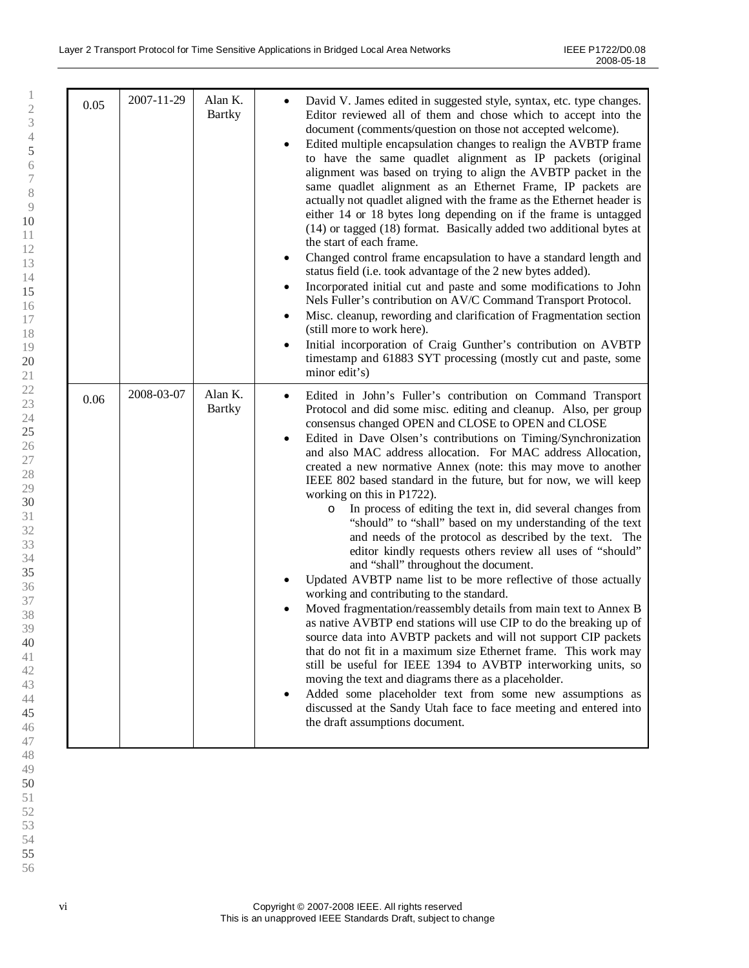| 0.05 | 2007-11-29 | Alan K.<br><b>Bartky</b> | David V. James edited in suggested style, syntax, etc. type changes.<br>Editor reviewed all of them and chose which to accept into the<br>document (comments/question on those not accepted welcome).<br>Edited multiple encapsulation changes to realign the AVBTP frame<br>$\bullet$<br>to have the same quadlet alignment as IP packets (original<br>alignment was based on trying to align the AVBTP packet in the<br>same quadlet alignment as an Ethernet Frame, IP packets are<br>actually not quadlet aligned with the frame as the Ethernet header is<br>either 14 or 18 bytes long depending on if the frame is untagged<br>(14) or tagged (18) format. Basically added two additional bytes at<br>the start of each frame.<br>Changed control frame encapsulation to have a standard length and<br>٠<br>status field (i.e. took advantage of the 2 new bytes added).<br>Incorporated initial cut and paste and some modifications to John<br>٠<br>Nels Fuller's contribution on AV/C Command Transport Protocol.<br>Misc. cleanup, rewording and clarification of Fragmentation section<br>٠<br>(still more to work here).<br>Initial incorporation of Craig Gunther's contribution on AVBTP<br>timestamp and 61883 SYT processing (mostly cut and paste, some<br>minor edit's)                                                                                                                                                                                                          |
|------|------------|--------------------------|-----------------------------------------------------------------------------------------------------------------------------------------------------------------------------------------------------------------------------------------------------------------------------------------------------------------------------------------------------------------------------------------------------------------------------------------------------------------------------------------------------------------------------------------------------------------------------------------------------------------------------------------------------------------------------------------------------------------------------------------------------------------------------------------------------------------------------------------------------------------------------------------------------------------------------------------------------------------------------------------------------------------------------------------------------------------------------------------------------------------------------------------------------------------------------------------------------------------------------------------------------------------------------------------------------------------------------------------------------------------------------------------------------------------------------------------------------------------------------------------------------|
| 0.06 | 2008-03-07 | Alan K.<br><b>Bartky</b> | Edited in John's Fuller's contribution on Command Transport<br>Protocol and did some misc. editing and cleanup. Also, per group<br>consensus changed OPEN and CLOSE to OPEN and CLOSE<br>Edited in Dave Olsen's contributions on Timing/Synchronization<br>and also MAC address allocation. For MAC address Allocation,<br>created a new normative Annex (note: this may move to another<br>IEEE 802 based standard in the future, but for now, we will keep<br>working on this in P1722).<br>In process of editing the text in, did several changes from<br>$\circ$<br>"should" to "shall" based on my understanding of the text<br>and needs of the protocol as described by the text. The<br>editor kindly requests others review all uses of "should"<br>and "shall" throughout the document.<br>Updated AVBTP name list to be more reflective of those actually<br>working and contributing to the standard.<br>Moved fragmentation/reassembly details from main text to Annex B<br>as native AVBTP end stations will use CIP to do the breaking up of<br>source data into AVBTP packets and will not support CIP packets<br>that do not fit in a maximum size Ethernet frame. This work may<br>still be useful for IEEE 1394 to AVBTP interworking units, so<br>moving the text and diagrams there as a placeholder.<br>Added some placeholder text from some new assumptions as<br>٠<br>discussed at the Sandy Utah face to face meeting and entered into<br>the draft assumptions document. |

1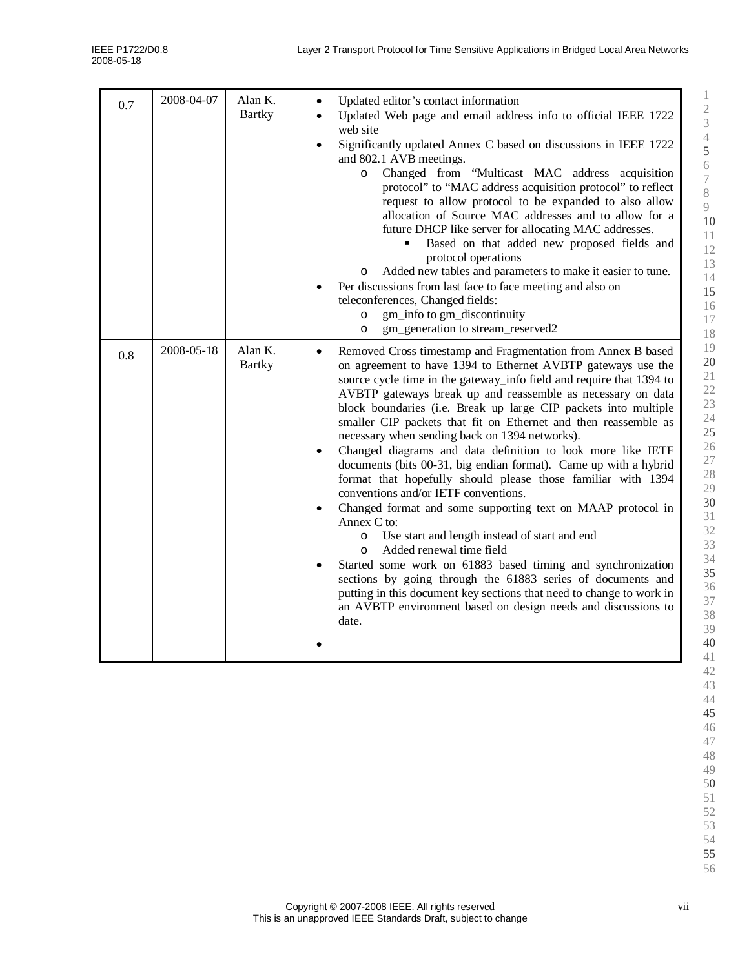| 2008-04-07<br>0.7 | Alan K.<br><b>Bartky</b> | Updated editor's contact information<br>$\bullet$<br>Updated Web page and email address info to official IEEE 1722<br>web site<br>Significantly updated Annex C based on discussions in IEEE 1722<br>$\bullet$<br>and 802.1 AVB meetings.<br>Changed from "Multicast MAC address acquisition<br>$\circ$<br>protocol" to "MAC address acquisition protocol" to reflect<br>request to allow protocol to be expanded to also allow<br>allocation of Source MAC addresses and to allow for a<br>future DHCP like server for allocating MAC addresses.<br>Based on that added new proposed fields and<br>٠<br>protocol operations<br>Added new tables and parameters to make it easier to tune.<br>$\circ$<br>Per discussions from last face to face meeting and also on<br>teleconferences, Changed fields:<br>gm_info to gm_discontinuity<br>$\circ$<br>gm_generation to stream_reserved2<br>$\circ$                                                                                                                                                                                                                                                                                                                           |
|-------------------|--------------------------|-----------------------------------------------------------------------------------------------------------------------------------------------------------------------------------------------------------------------------------------------------------------------------------------------------------------------------------------------------------------------------------------------------------------------------------------------------------------------------------------------------------------------------------------------------------------------------------------------------------------------------------------------------------------------------------------------------------------------------------------------------------------------------------------------------------------------------------------------------------------------------------------------------------------------------------------------------------------------------------------------------------------------------------------------------------------------------------------------------------------------------------------------------------------------------------------------------------------------------|
| 2008-05-18<br>0.8 | Alan K.<br><b>Bartky</b> | Removed Cross timestamp and Fragmentation from Annex B based<br>$\bullet$<br>on agreement to have 1394 to Ethernet AVBTP gateways use the<br>source cycle time in the gateway_info field and require that 1394 to<br>AVBTP gateways break up and reassemble as necessary on data<br>block boundaries (i.e. Break up large CIP packets into multiple<br>smaller CIP packets that fit on Ethernet and then reassemble as<br>necessary when sending back on 1394 networks).<br>Changed diagrams and data definition to look more like IETF<br>$\bullet$<br>documents (bits 00-31, big endian format). Came up with a hybrid<br>format that hopefully should please those familiar with 1394<br>conventions and/or IETF conventions.<br>Changed format and some supporting text on MAAP protocol in<br>$\bullet$<br>Annex C to:<br>Use start and length instead of start and end<br>$\circ$<br>Added renewal time field<br>$\circ$<br>Started some work on 61883 based timing and synchronization<br>$\bullet$<br>sections by going through the 61883 series of documents and<br>putting in this document key sections that need to change to work in<br>an AVBTP environment based on design needs and discussions to<br>date. |
|                   |                          |                                                                                                                                                                                                                                                                                                                                                                                                                                                                                                                                                                                                                                                                                                                                                                                                                                                                                                                                                                                                                                                                                                                                                                                                                             |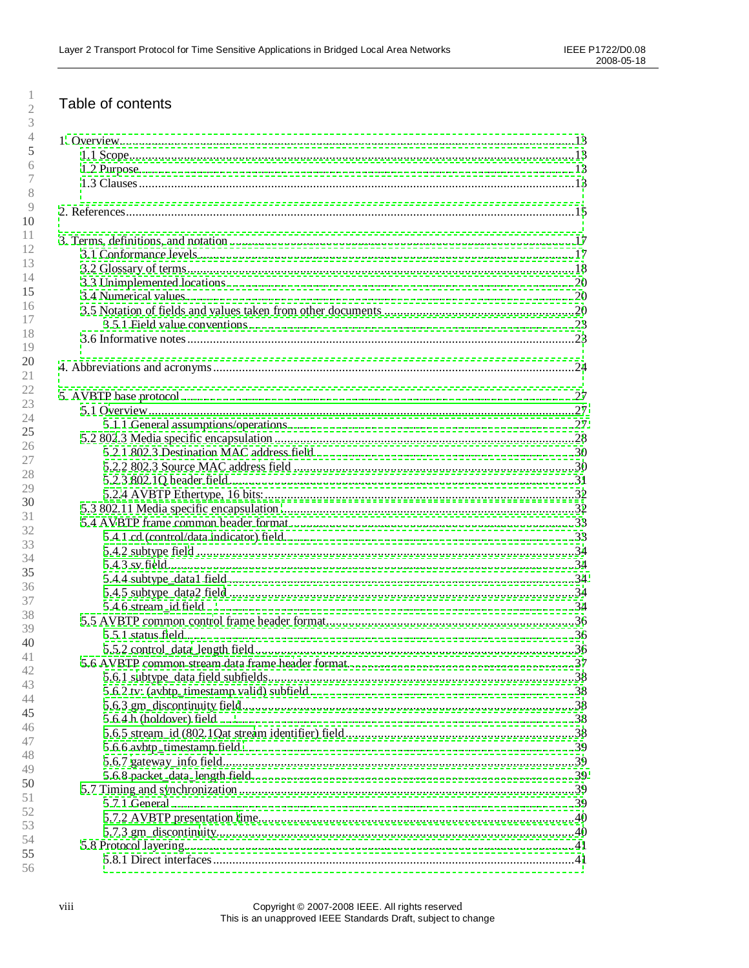# Table of contents

| $\overline{4}$ |  |
|----------------|--|
| 5              |  |
| 6              |  |
| 7              |  |
| 8              |  |
| $\overline{9}$ |  |
| 10             |  |
| 11             |  |
| 12             |  |
| 13             |  |
| 14             |  |
| 15             |  |
| 16             |  |
| 17             |  |
| 18<br>19       |  |
|                |  |
| 20<br>21       |  |
| 22             |  |
| 23             |  |
| 24             |  |
| 25             |  |
| 26             |  |
| 27             |  |
| 28             |  |
| 29             |  |
| 30             |  |
| 31             |  |
| 32             |  |
| 33             |  |
| 34             |  |
| 35             |  |
| 36             |  |
| 37             |  |
| 38             |  |
| 39             |  |
| 40             |  |
| 41             |  |
| 42             |  |
| 43             |  |
| 44             |  |
| 45             |  |
| 46             |  |
| 47             |  |
| 48             |  |
| 49             |  |
| 50             |  |
| 51             |  |
| 52             |  |
| 53             |  |
| 54             |  |
| 55             |  |
| 56             |  |

 $\,1\,$ 

 $\overline{2}$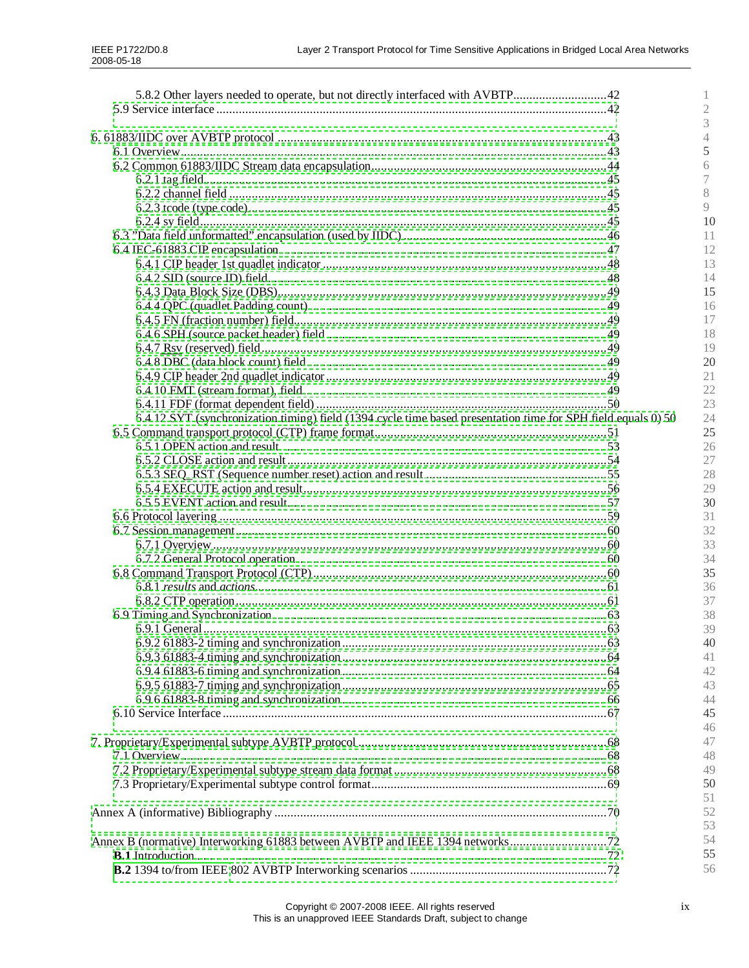|                                                                                                               | 2             |
|---------------------------------------------------------------------------------------------------------------|---------------|
|                                                                                                               | 3<br>4        |
|                                                                                                               | $\mathfrak s$ |
|                                                                                                               | 6             |
|                                                                                                               | 7             |
|                                                                                                               | 8             |
|                                                                                                               | 9             |
|                                                                                                               | 10            |
|                                                                                                               | 11            |
|                                                                                                               | 12            |
|                                                                                                               | 13            |
|                                                                                                               | 14            |
|                                                                                                               | 15            |
|                                                                                                               | 16            |
|                                                                                                               | 17            |
|                                                                                                               | 18            |
|                                                                                                               | 19            |
|                                                                                                               |               |
|                                                                                                               | 20<br>21      |
|                                                                                                               | 22            |
|                                                                                                               | 23            |
|                                                                                                               |               |
| 6.4.12 SYT (synchronization timing) field (1394 cycle time based presentation time for SPH field equals 0) 50 | 24<br>25      |
|                                                                                                               | 26            |
|                                                                                                               |               |
|                                                                                                               | 27            |
|                                                                                                               | 28            |
|                                                                                                               | 29            |
|                                                                                                               | 30            |
|                                                                                                               | 31            |
|                                                                                                               | 32            |
|                                                                                                               | 33            |
|                                                                                                               | 34            |
|                                                                                                               | 35            |
|                                                                                                               | 36            |
|                                                                                                               | 37            |
|                                                                                                               | 38            |
|                                                                                                               | 39            |
|                                                                                                               | 40            |
|                                                                                                               | 41            |
|                                                                                                               | 42            |
|                                                                                                               | 43            |
|                                                                                                               | 44            |
|                                                                                                               | 45            |
|                                                                                                               | 46            |
|                                                                                                               | 47            |
|                                                                                                               | 48            |
|                                                                                                               | 49            |
|                                                                                                               | 50            |
|                                                                                                               | 51            |
|                                                                                                               | 52            |
|                                                                                                               | 53            |
|                                                                                                               | 54            |
|                                                                                                               | 55            |
|                                                                                                               | 56            |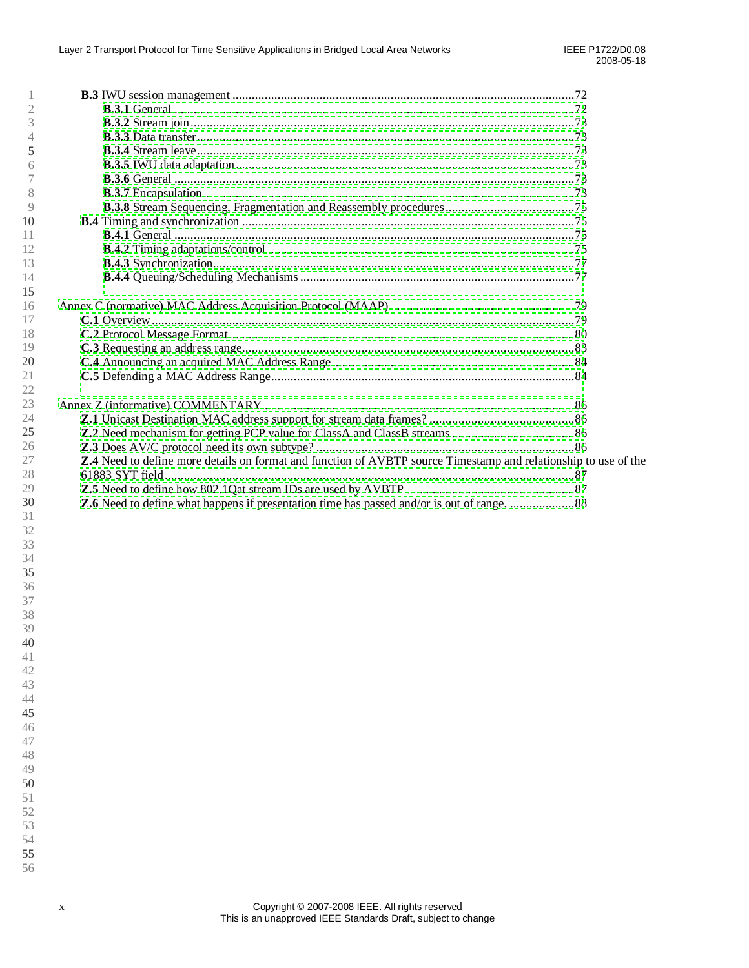| 3  |                                                                                                                 |
|----|-----------------------------------------------------------------------------------------------------------------|
| 4  |                                                                                                                 |
| 5  |                                                                                                                 |
| 6  |                                                                                                                 |
|    |                                                                                                                 |
| 8  |                                                                                                                 |
| 9  |                                                                                                                 |
| 10 |                                                                                                                 |
|    |                                                                                                                 |
| 12 |                                                                                                                 |
| 13 |                                                                                                                 |
| 14 |                                                                                                                 |
| 15 |                                                                                                                 |
| 16 |                                                                                                                 |
| 17 |                                                                                                                 |
| 18 |                                                                                                                 |
| 19 |                                                                                                                 |
| 20 |                                                                                                                 |
| 21 |                                                                                                                 |
| 22 |                                                                                                                 |
| 23 |                                                                                                                 |
| 24 |                                                                                                                 |
| 25 |                                                                                                                 |
| 26 |                                                                                                                 |
| 27 | Z.4 Need to define more details on format and function of AVBTP source Timestamp and relationship to use of the |
| 28 |                                                                                                                 |
| 29 |                                                                                                                 |
| 30 |                                                                                                                 |
| 31 |                                                                                                                 |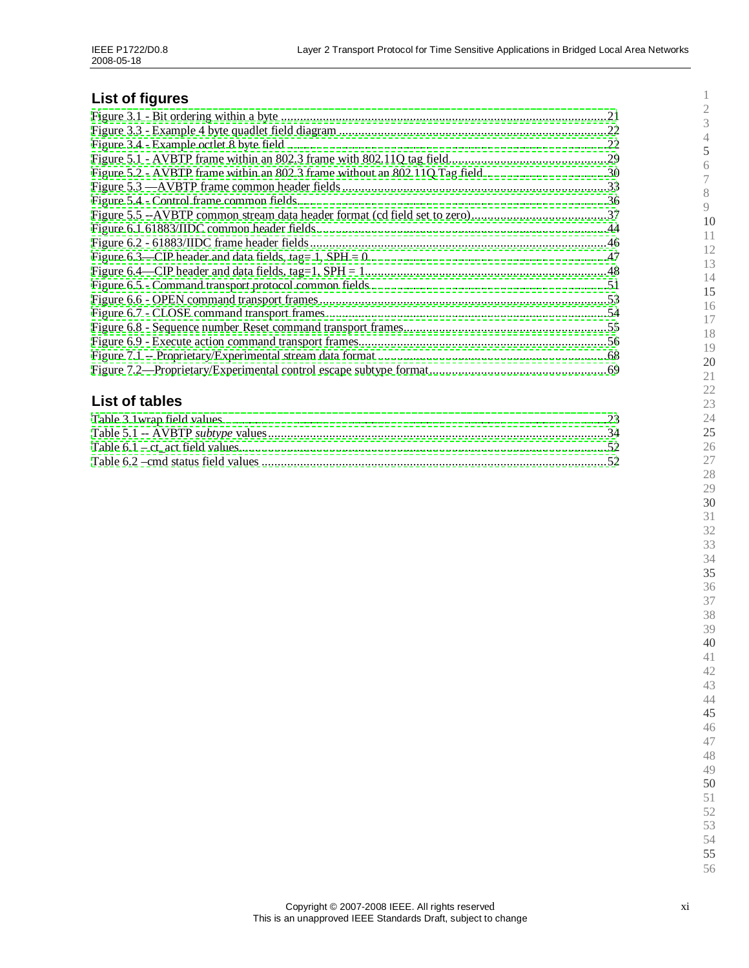# **List of figures**

| Figure 5.2 - AVBTP frame within an 802.3 frame without an 802.11Q Tag field30 |  |
|-------------------------------------------------------------------------------|--|
|                                                                               |  |
|                                                                               |  |
|                                                                               |  |
|                                                                               |  |
|                                                                               |  |
|                                                                               |  |
|                                                                               |  |
|                                                                               |  |
|                                                                               |  |
|                                                                               |  |
|                                                                               |  |
|                                                                               |  |
|                                                                               |  |
|                                                                               |  |

# **List of tables**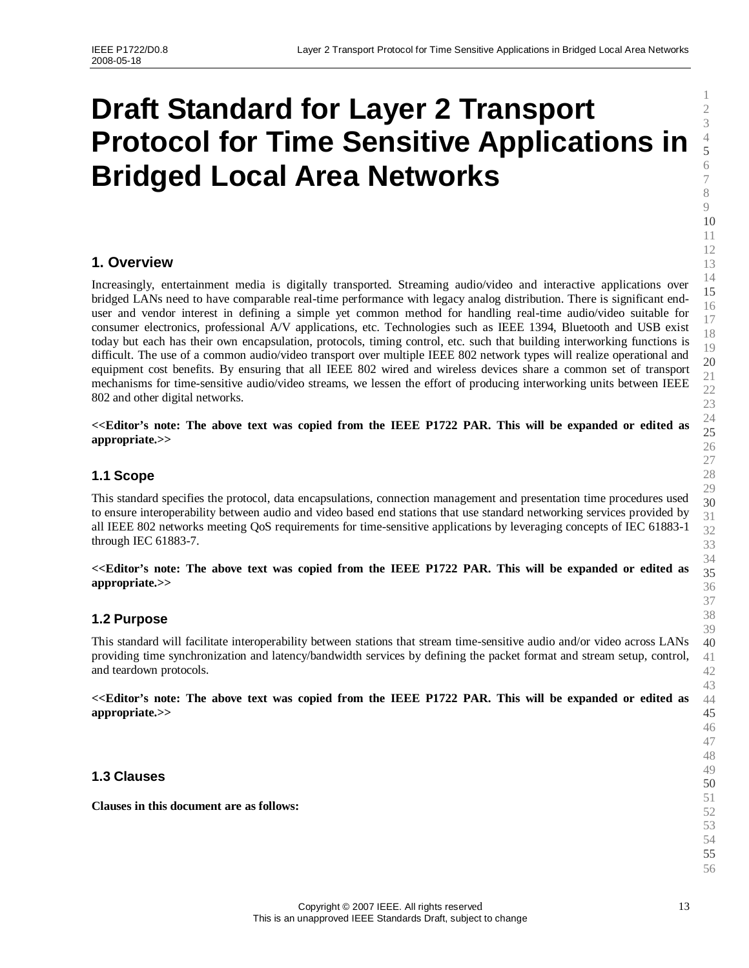# <span id="page-12-1"></span><span id="page-12-0"></span>**Draft Standard for Layer 2 Transport Protocol for Time Sensitive Applications in Bridged Local Area Networks**

# **1. Overview**

Increasingly, entertainment media is digitally transported. Streaming audio/video and interactive applications over bridged LANs need to have comparable real-time performance with legacy analog distribution. There is significant enduser and vendor interest in defining a simple yet common method for handling real-time audio/video suitable for consumer electronics, professional A/V applications, etc. Technologies such as IEEE 1394, Bluetooth and USB exist today but each has their own encapsulation, protocols, timing control, etc. such that building interworking functions is difficult. The use of a common audio/video transport over multiple IEEE 802 network types will realize operational and equipment cost benefits. By ensuring that all IEEE 802 wired and wireless devices share a common set of transport mechanisms for time-sensitive audio/video streams, we lessen the effort of producing interworking units between IEEE 802 and other digital networks.

**<<Editor's note: The above text was copied from the IEEE P1722 PAR. This will be expanded or edited as appropriate.>>**

## **1.1 Scope**

This standard specifies the protocol, data encapsulations, connection management and presentation time procedures used to ensure interoperability between audio and video based end stations that use standard networking services provided by all IEEE 802 networks meeting QoS requirements for time-sensitive applications by leveraging concepts of IEC 61883-1 through IEC 61883-7.

**<<Editor's note: The above text was copied from the IEEE P1722 PAR. This will be expanded or edited as appropriate.>>**

#### **1.2 Purpose**

This standard will facilitate interoperability between stations that stream time-sensitive audio and/or video across LANs providing time synchronization and latency/bandwidth services by defining the packet format and stream setup, control, and teardown protocols.

**<<Editor's note: The above text was copied from the IEEE P1722 PAR. This will be expanded or edited as appropriate.>>**

#### **1.3 Clauses**

**Clauses in this document are as follows:**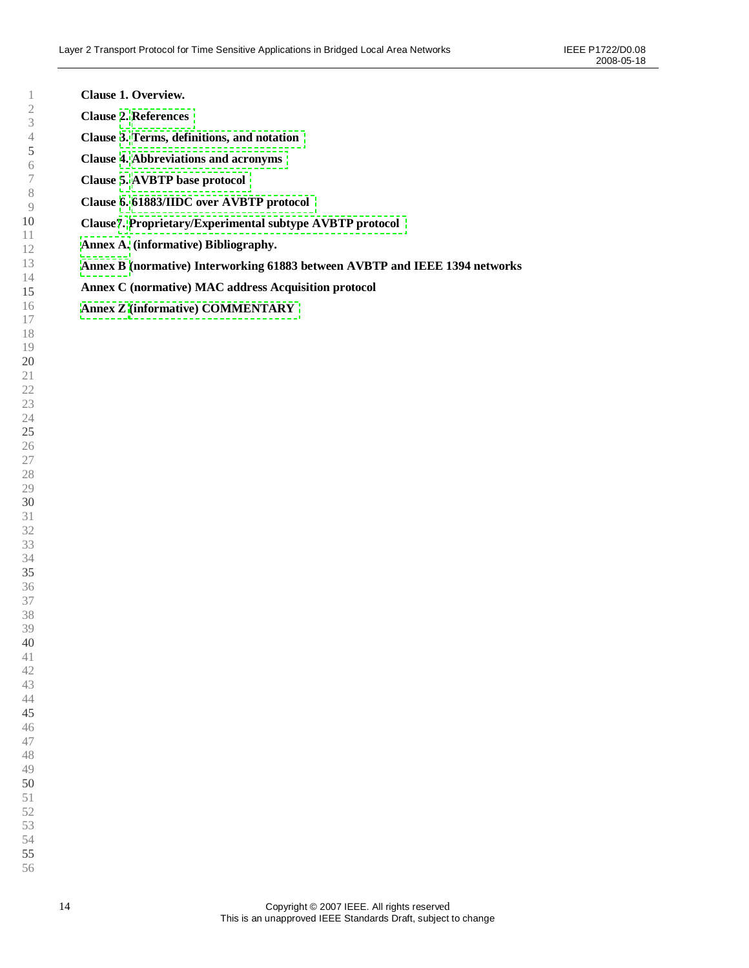| $\mathbf{1}$                   | Clause 1. Overview.                                                         |
|--------------------------------|-----------------------------------------------------------------------------|
| $\sqrt{2}$<br>$\mathfrak{Z}$   | <b>Clause 2. References</b>                                                 |
| $\sqrt{4}$                     | Clause 3. Terms, definitions, and notation                                  |
| $\sqrt{5}$                     | <b>Clause 4. Abbreviations and acronyms</b>                                 |
| $\sqrt{6}$<br>$\boldsymbol{7}$ | <b>Clause 5. AVBTP base protocol</b>                                        |
| $\,$ $\,$                      | Clause 6. 61883/IIDC over AVBTP protocol                                    |
| 9<br>10                        | Clause7. Proprietary/Experimental subtype AVBTP protocol                    |
| 11                             |                                                                             |
| 12                             | Annex A. (informative) Bibliography.                                        |
| 13<br>14                       | Annex B (normative) Interworking 61883 between AVBTP and IEEE 1394 networks |
| 15                             | Annex C (normative) MAC address Acquisition protocol                        |
| 16                             | <b>Annex Z (informative) COMMENTARY</b>                                     |
| 17<br>18                       |                                                                             |
| 19                             |                                                                             |
| $20\,$                         |                                                                             |
| 21                             |                                                                             |
| $22\,$<br>23                   |                                                                             |
| 24                             |                                                                             |
| 25                             |                                                                             |
| 26                             |                                                                             |
| 27<br>$28\,$                   |                                                                             |
| 29                             |                                                                             |
| $30\,$                         |                                                                             |
| 31                             |                                                                             |
| 32<br>33                       |                                                                             |
| 34                             |                                                                             |
| 35                             |                                                                             |
| 36                             |                                                                             |
| 37                             |                                                                             |
| 38<br>39                       |                                                                             |
| 40                             |                                                                             |
| 41                             |                                                                             |
| 42<br>43                       |                                                                             |
| 44                             |                                                                             |
| 45                             |                                                                             |
| 46                             |                                                                             |
| 47                             |                                                                             |
| 48<br>49                       |                                                                             |
| 50                             |                                                                             |
| 51                             |                                                                             |
| 52                             |                                                                             |
| 53<br>54                       |                                                                             |
| 55                             |                                                                             |
| 56                             |                                                                             |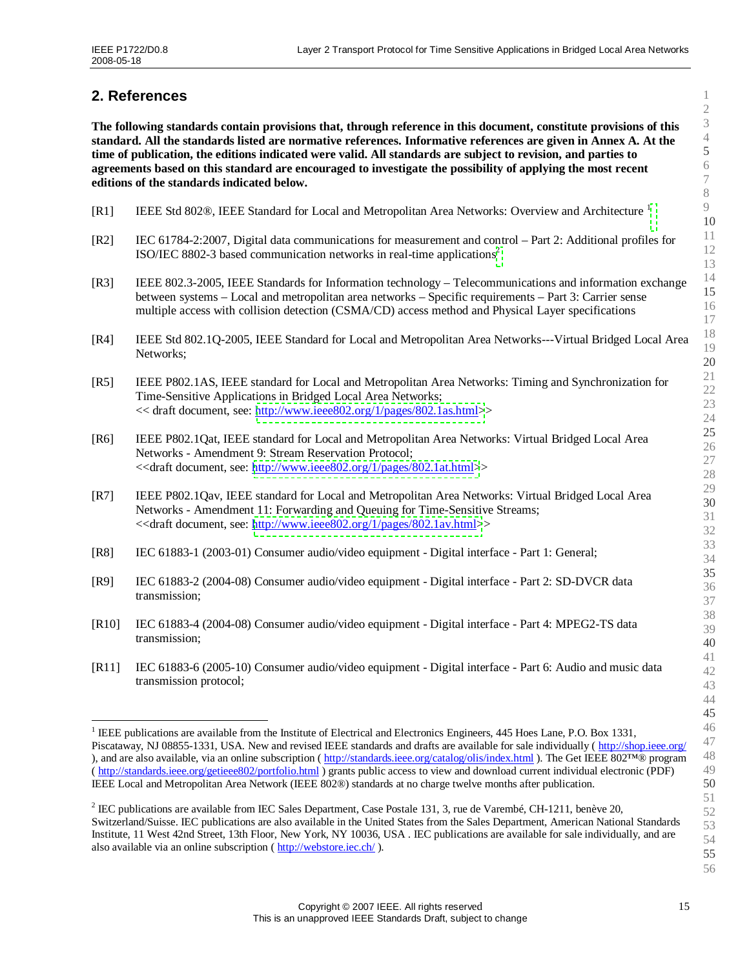# <span id="page-14-0"></span>**2. References**

**The following standards contain provisions that, through reference in this document, constitute provisions of this standard. All the standards listed are normative references. Informative references are given in Annex A. At the time of publication, the editions indicated were valid. All standards are subject to revision, and parties to agreements based on this standard are encouraged to investigate the possibility of applying the most recent editions of the standards indicated below.**

- [R[1](#page-14-1)] IEEE Std 802®, IEEE Standard for Local and Metropolitan Area Networks: Overview and Architecture <sup>1</sup>
- [R2] IEC 61784-2:2007, Digital data communications for measurement and control –Part 2: Additional profiles for ISO/IEC 8802-3 based communication networks in real-time applications[2](#page-14-2)
- [R3] IEEE 802.3-2005, IEEE Standards for Information technology –Telecommunications and information exchange between systems – Local and metropolitan area networks – Specific requirements – Part 3: Carrier sense multiple access with collision detection (CSMA/CD) access method and Physical Layer specifications
- [R4] IEEE Std 802.1Q-2005, IEEE Standard for Local and Metropolitan Area Networks---Virtual Bridged Local Area Networks;
- [R5] IEEE P802.1AS, IEEE standard for Local and Metropolitan Area Networks: Timing and Synchronization for Time-Sensitive Applications in Bridged Local Area Networks; << draft document, see: [http://www.ieee802.org/1/pages/802.1as.html>](http://www.ieee802.org/1/pages/802.1as.html)>
- [R6] IEEE P802.1Qat, IEEE standard for Local and Metropolitan Area Networks: Virtual Bridged Local Area Networks - Amendment 9: Stream Reservation Protocol; <<draft document, see: [http://www.ieee802.org/1/pages/802.1at.html>](http://www.ieee802.org/1/pages/802.1at.html)>
- [R7] IEEE P802.1Qav, IEEE standard for Local and Metropolitan Area Networks: Virtual Bridged Local Area Networks - Amendment 11: Forwarding and Queuing for Time-Sensitive Streams; <<draft document, see: [http://www.ieee802.org/1/pages/802.1av.html>](http://www.ieee802.org/1/pages/802.1av.html)>
- [R8] IEC 61883-1 (2003-01) Consumer audio/video equipment Digital interface Part 1: General;
- [R9] IEC 61883-2 (2004-08) Consumer audio/video equipment Digital interface Part 2: SD-DVCR data transmission;
- [R10] IEC 61883-4 (2004-08) Consumer audio/video equipment Digital interface Part 4: MPEG2-TS data transmission;
- [R11] IEC 61883-6 (2005-10) Consumer audio/video equipment Digital interface Part 6: Audio and music data transmission protocol;

<span id="page-14-1"></span><sup>1</sup> IEEE publications are available from the Institute of Electrical and Electronics Engineers, 445 Hoes Lane, P.O. Box 1331, Piscataway, NJ 08855-1331, USA. New and revised IEEE standards and drafts are available for sale individually ( http://shop.ieee.org/ ), and are also available, via an online subscription ( http://standards.ieee.org/catalog/olis/index.html ). The Get IEEE 802™® program ( http://standards.ieee.org/getieee802/portfolio.html ) grants public access to view and download current individual electronic (PDF) IEEE Local and Metropolitan Area Network (IEEE 802®) standards at no charge twelve months after publication.

<span id="page-14-2"></span><sup>2</sup> IEC publications are available from IEC Sales Department, Case Postale 131, 3, rue de Varembé, CH-1211, benève 20, Switzerland/Suisse. IEC publications are also available in the United States from the Sales Department, American National Standards Institute, 11 West 42nd Street, 13th Floor, New York, NY 10036, USA . IEC publications are available for sale individually, and are also available via an online subscription ( http://webstore.iec.ch/ ).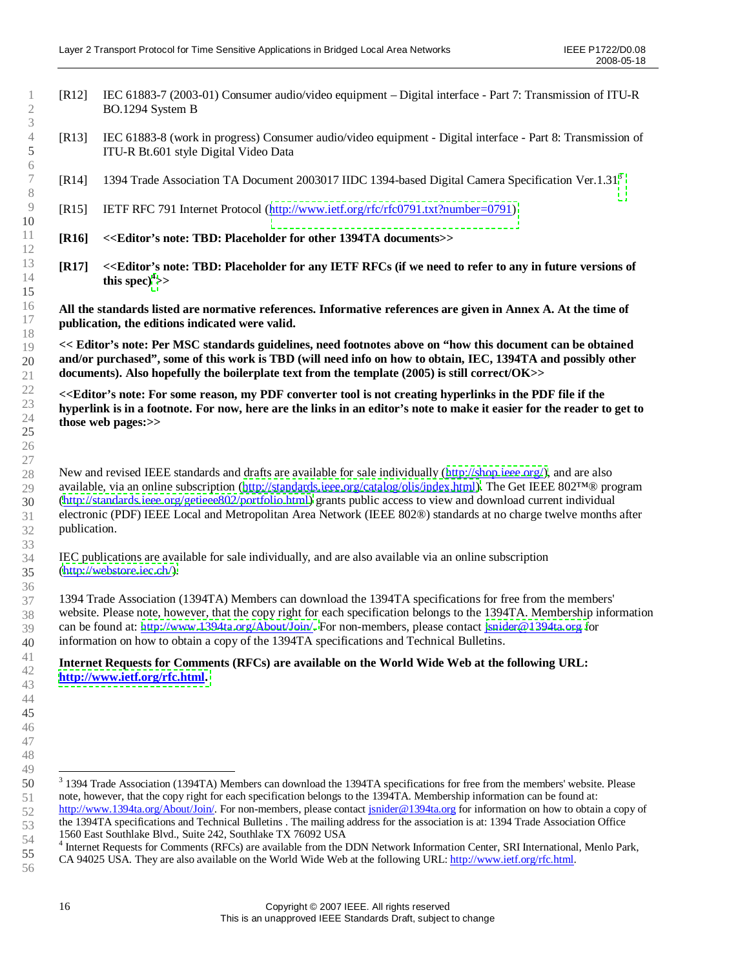<span id="page-15-2"></span>

| ITU-R Bt.601 style Digital Video Data<br>1394 Trade Association TA Document 2003017 IIDC 1394-based Digital Camera Specification Ver.1.31 <sup>3</sup><br>IETF RFC 791 Internet Protocol (http://www.ietf.org/rfc/rfc0791.txt?number=0791)<br>< <editor's 1394ta="" documents="" for="" note:="" other="" placeholder="" tbd:="">&gt;<br/>&lt;<editor's (if="" any="" for="" future="" ietf="" in="" need="" note:="" of<br="" placeholder="" refer="" rfcs="" tbd:="" to="" versions="" we="">this spec<math>)^4</math>&gt;&gt;<br/>All the standards listed are normative references. Informative references are given in Annex A. At the time of<br/>publication, the editions indicated were valid.<br/>&lt;&lt;&lt; Editor's note: Per MSC standards guidelines, need footnotes above on "how this document can be obtained<br/>and/or purchased", some of this work is TBD (will need info on how to obtain, IEC, 1394TA and possibly other<br/>documents). Also hopefully the boilerplate text from the template (2005) is still correct/OK&gt;&gt;<br/>&lt;&lt;<editor's converter="" creating="" file="" for="" hyperlinks="" if="" in="" is="" my="" not="" note:="" pdf="" reason,="" some="" the="" the<br="" tool="">hyperlink is in a footnote. For now, here are the links in an editor's note to make it easier for the reader to get to<br/>those web pages:&gt;&gt;<br/>New and revised IEEE standards and drafts are available for sale individually (http://shop.ieee.org/), and are also<br/>available, via an online subscription (http://standards.ieee.org/catalog/olis/index.html). The Get IEEE 802<sup>TM</sup>® program<br/>(http://standards.ieee.org/getieee802/portfolio.html) grants public access to view and download current individual<br/>electronic (PDF) IEEE Local and Metropolitan Area Network (IEEE 802®) standards at no charge twelve months after<br/>publication.<br/>IEC publications are available for sale individually, and are also available via an online subscription<br/>(http://webstore.iec.ch/).<br/>1394 Trade Association (1394TA) Members can download the 1394TA specifications for free from the members'<br/>website. Please note, however, that the copy right for each specification belongs to the 1394TA. Membership information<br/>can be found at: http://www.1394ta.org/About/Join/. For non-members, please contact jsnider@1394ta.org for<br/>information on how to obtain a copy of the 1394TA specifications and Technical Bulletins.<br/>Internet Requests for Comments (RFCs) are available on the World Wide Web at the following URL:<br/>http://www.ietf.org/rfc.html.</editor's></editor's></editor's> | [R12]   | IEC 61883-7 (2003-01) Consumer audio/video equipment – Digital interface - Part 7: Transmission of ITU-R<br>BO.1294 System B |
|-------------------------------------------------------------------------------------------------------------------------------------------------------------------------------------------------------------------------------------------------------------------------------------------------------------------------------------------------------------------------------------------------------------------------------------------------------------------------------------------------------------------------------------------------------------------------------------------------------------------------------------------------------------------------------------------------------------------------------------------------------------------------------------------------------------------------------------------------------------------------------------------------------------------------------------------------------------------------------------------------------------------------------------------------------------------------------------------------------------------------------------------------------------------------------------------------------------------------------------------------------------------------------------------------------------------------------------------------------------------------------------------------------------------------------------------------------------------------------------------------------------------------------------------------------------------------------------------------------------------------------------------------------------------------------------------------------------------------------------------------------------------------------------------------------------------------------------------------------------------------------------------------------------------------------------------------------------------------------------------------------------------------------------------------------------------------------------------------------------------------------------------------------------------------------------------------------------------------------------------------------------------------------------------------------------------------------------------------------------------------------------------------------------------------------------------------------------------------------------------------------------------------------------------------------------------------------------------------------------------------------------------------------------------------------------------|---------|------------------------------------------------------------------------------------------------------------------------------|
|                                                                                                                                                                                                                                                                                                                                                                                                                                                                                                                                                                                                                                                                                                                                                                                                                                                                                                                                                                                                                                                                                                                                                                                                                                                                                                                                                                                                                                                                                                                                                                                                                                                                                                                                                                                                                                                                                                                                                                                                                                                                                                                                                                                                                                                                                                                                                                                                                                                                                                                                                                                                                                                                                           | $[R13]$ | IEC 61883-8 (work in progress) Consumer audio/video equipment - Digital interface - Part 8: Transmission of                  |
|                                                                                                                                                                                                                                                                                                                                                                                                                                                                                                                                                                                                                                                                                                                                                                                                                                                                                                                                                                                                                                                                                                                                                                                                                                                                                                                                                                                                                                                                                                                                                                                                                                                                                                                                                                                                                                                                                                                                                                                                                                                                                                                                                                                                                                                                                                                                                                                                                                                                                                                                                                                                                                                                                           | $[R14]$ |                                                                                                                              |
|                                                                                                                                                                                                                                                                                                                                                                                                                                                                                                                                                                                                                                                                                                                                                                                                                                                                                                                                                                                                                                                                                                                                                                                                                                                                                                                                                                                                                                                                                                                                                                                                                                                                                                                                                                                                                                                                                                                                                                                                                                                                                                                                                                                                                                                                                                                                                                                                                                                                                                                                                                                                                                                                                           | $[R15]$ |                                                                                                                              |
|                                                                                                                                                                                                                                                                                                                                                                                                                                                                                                                                                                                                                                                                                                                                                                                                                                                                                                                                                                                                                                                                                                                                                                                                                                                                                                                                                                                                                                                                                                                                                                                                                                                                                                                                                                                                                                                                                                                                                                                                                                                                                                                                                                                                                                                                                                                                                                                                                                                                                                                                                                                                                                                                                           | $[R16]$ |                                                                                                                              |
|                                                                                                                                                                                                                                                                                                                                                                                                                                                                                                                                                                                                                                                                                                                                                                                                                                                                                                                                                                                                                                                                                                                                                                                                                                                                                                                                                                                                                                                                                                                                                                                                                                                                                                                                                                                                                                                                                                                                                                                                                                                                                                                                                                                                                                                                                                                                                                                                                                                                                                                                                                                                                                                                                           | $[R17]$ |                                                                                                                              |
|                                                                                                                                                                                                                                                                                                                                                                                                                                                                                                                                                                                                                                                                                                                                                                                                                                                                                                                                                                                                                                                                                                                                                                                                                                                                                                                                                                                                                                                                                                                                                                                                                                                                                                                                                                                                                                                                                                                                                                                                                                                                                                                                                                                                                                                                                                                                                                                                                                                                                                                                                                                                                                                                                           |         |                                                                                                                              |
|                                                                                                                                                                                                                                                                                                                                                                                                                                                                                                                                                                                                                                                                                                                                                                                                                                                                                                                                                                                                                                                                                                                                                                                                                                                                                                                                                                                                                                                                                                                                                                                                                                                                                                                                                                                                                                                                                                                                                                                                                                                                                                                                                                                                                                                                                                                                                                                                                                                                                                                                                                                                                                                                                           |         |                                                                                                                              |
|                                                                                                                                                                                                                                                                                                                                                                                                                                                                                                                                                                                                                                                                                                                                                                                                                                                                                                                                                                                                                                                                                                                                                                                                                                                                                                                                                                                                                                                                                                                                                                                                                                                                                                                                                                                                                                                                                                                                                                                                                                                                                                                                                                                                                                                                                                                                                                                                                                                                                                                                                                                                                                                                                           |         |                                                                                                                              |
|                                                                                                                                                                                                                                                                                                                                                                                                                                                                                                                                                                                                                                                                                                                                                                                                                                                                                                                                                                                                                                                                                                                                                                                                                                                                                                                                                                                                                                                                                                                                                                                                                                                                                                                                                                                                                                                                                                                                                                                                                                                                                                                                                                                                                                                                                                                                                                                                                                                                                                                                                                                                                                                                                           |         |                                                                                                                              |
|                                                                                                                                                                                                                                                                                                                                                                                                                                                                                                                                                                                                                                                                                                                                                                                                                                                                                                                                                                                                                                                                                                                                                                                                                                                                                                                                                                                                                                                                                                                                                                                                                                                                                                                                                                                                                                                                                                                                                                                                                                                                                                                                                                                                                                                                                                                                                                                                                                                                                                                                                                                                                                                                                           |         |                                                                                                                              |
|                                                                                                                                                                                                                                                                                                                                                                                                                                                                                                                                                                                                                                                                                                                                                                                                                                                                                                                                                                                                                                                                                                                                                                                                                                                                                                                                                                                                                                                                                                                                                                                                                                                                                                                                                                                                                                                                                                                                                                                                                                                                                                                                                                                                                                                                                                                                                                                                                                                                                                                                                                                                                                                                                           |         |                                                                                                                              |
|                                                                                                                                                                                                                                                                                                                                                                                                                                                                                                                                                                                                                                                                                                                                                                                                                                                                                                                                                                                                                                                                                                                                                                                                                                                                                                                                                                                                                                                                                                                                                                                                                                                                                                                                                                                                                                                                                                                                                                                                                                                                                                                                                                                                                                                                                                                                                                                                                                                                                                                                                                                                                                                                                           |         |                                                                                                                              |
|                                                                                                                                                                                                                                                                                                                                                                                                                                                                                                                                                                                                                                                                                                                                                                                                                                                                                                                                                                                                                                                                                                                                                                                                                                                                                                                                                                                                                                                                                                                                                                                                                                                                                                                                                                                                                                                                                                                                                                                                                                                                                                                                                                                                                                                                                                                                                                                                                                                                                                                                                                                                                                                                                           |         |                                                                                                                              |
|                                                                                                                                                                                                                                                                                                                                                                                                                                                                                                                                                                                                                                                                                                                                                                                                                                                                                                                                                                                                                                                                                                                                                                                                                                                                                                                                                                                                                                                                                                                                                                                                                                                                                                                                                                                                                                                                                                                                                                                                                                                                                                                                                                                                                                                                                                                                                                                                                                                                                                                                                                                                                                                                                           |         |                                                                                                                              |

<span id="page-15-0"></span>http://www.1394ta.org/About/Join/. For non-members, please contact jsnider@1394ta.org for information on how to obtain a copy of the 1394TA specifications and Technical Bulletins . The mailing address for the association is at: 1394 Trade Association Office

<sup>1560</sup> East Southlake Blvd., Suite 242, Southlake TX 76092 USA

<span id="page-15-1"></span><sup>4</sup> Internet Requests for Comments (RFCs) are available from the DDN Network Information Center, SRI International, Menlo Park,

CA 94025 USA. They are also available on the World Wide Web at the following URL: http://www.ietf.org/rfc.html.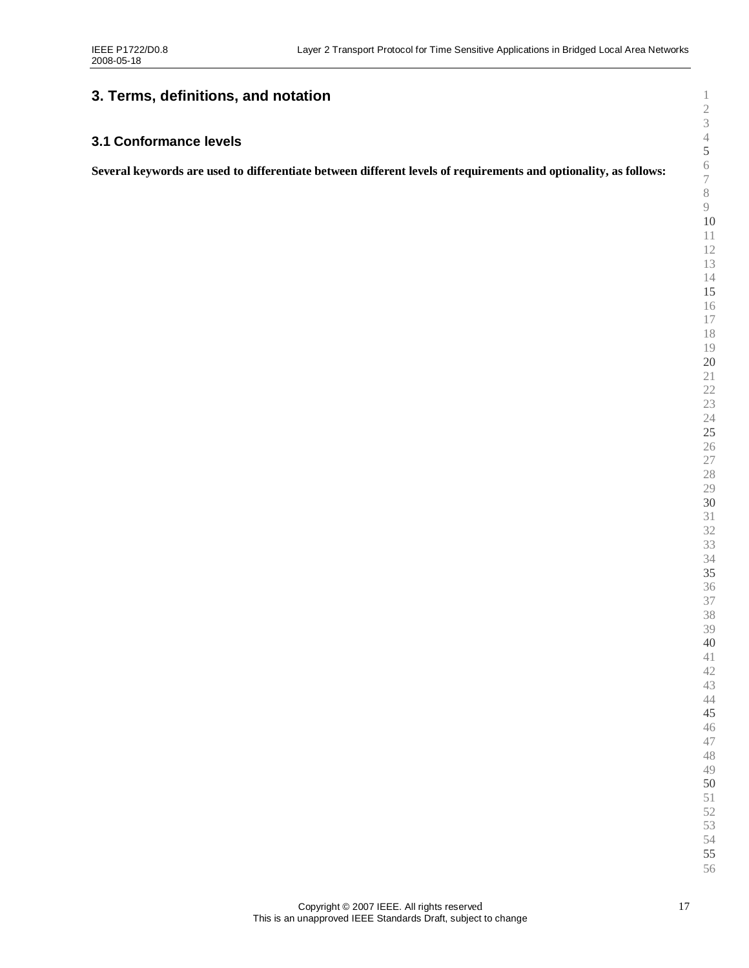# <span id="page-16-1"></span><span id="page-16-0"></span>**3. Terms, definitions, and notation**

## **3.1 Conformance levels**

**Several keywords are used to differentiate between different levels of requirements and optionality, as follows:**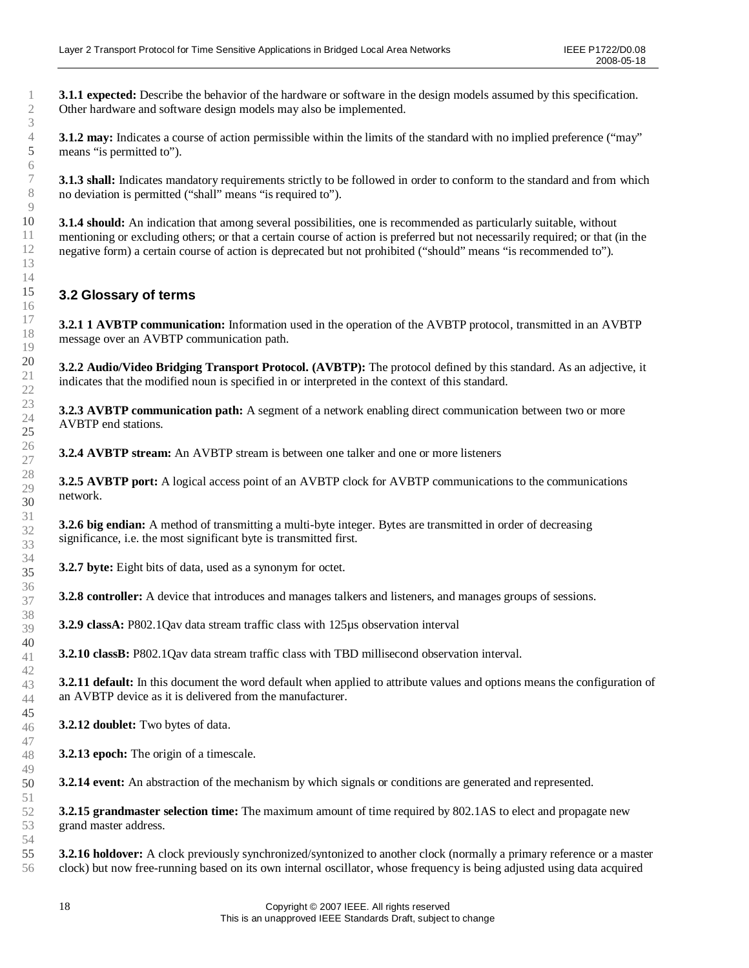<span id="page-17-0"></span>**3.1.1 expected:** Describe the behavior of the hardware or software in the design models assumed by this specification. Other hardware and software design models may also be implemented.

**3.1.2** may: Indicates a course of action permissible within the limits of the standard with no implied preference ("may" means "is permitted to").

**3.1.3 shall:** Indicates mandatory requirements strictly to be followed in order to conform to the standard and from which no deviation is permitted ("shall" means "is required to").

**3.1.4 should:** An indication that among several possibilities, one is recommended as particularly suitable, without mentioning or excluding others; or that a certain course of action is preferred but not necessarily required; or that (in the negative form) a certain course of action is deprecated but not prohibited ("should"means "is recommended to").

## **3.2 Glossary of terms**

**3.2.1 1 AVBTP communication:** Information used in the operation of the AVBTP protocol, transmitted in an AVBTP message over an AVBTP communication path.

**3.2.2 Audio/Video Bridging Transport Protocol. (AVBTP):** The protocol defined by this standard. As an adjective, it indicates that the modified noun is specified in or interpreted in the context of this standard.

**3.2.3 AVBTP communication path:** A segment of a network enabling direct communication between two or more AVBTP end stations.

**3.2.4 AVBTP stream:** An AVBTP stream is between one talker and one or more listeners

**3.2.5 AVBTP port:** A logical access point of an AVBTP clock for AVBTP communications to the communications network.

**3.2.6 big endian:** A method of transmitting a multi-byte integer. Bytes are transmitted in order of decreasing significance, i.e. the most significant byte is transmitted first.

**3.2.7 byte:** Eight bits of data, used as a synonym for octet.

**3.2.8 controller:** A device that introduces and manages talkers and listeners, and manages groups of sessions.

**3.2.9 classA:** P802.1Qav data stream traffic class with 125µs observation interval

**3.2.10 classB:** P802.1Qav data stream traffic class with TBD millisecond observation interval.

**3.2.11 default:** In this document the word default when applied to attribute values and options means the configuration of an AVBTP device as it is delivered from the manufacturer.

**3.2.12 doublet:** Two bytes of data.

**3.2.13 epoch:** The origin of a timescale.

**3.2.14 event:** An abstraction of the mechanism by which signals or conditions are generated and represented.

**3.2.15 grandmaster selection time:** The maximum amount of time required by 802.1AS to elect and propagate new grand master address.

**3.2.16 holdover:** A clock previously synchronized/syntonized to another clock (normally a primary reference or a master clock) but now free-running based on its own internal oscillator, whose frequency is being adjusted using data acquired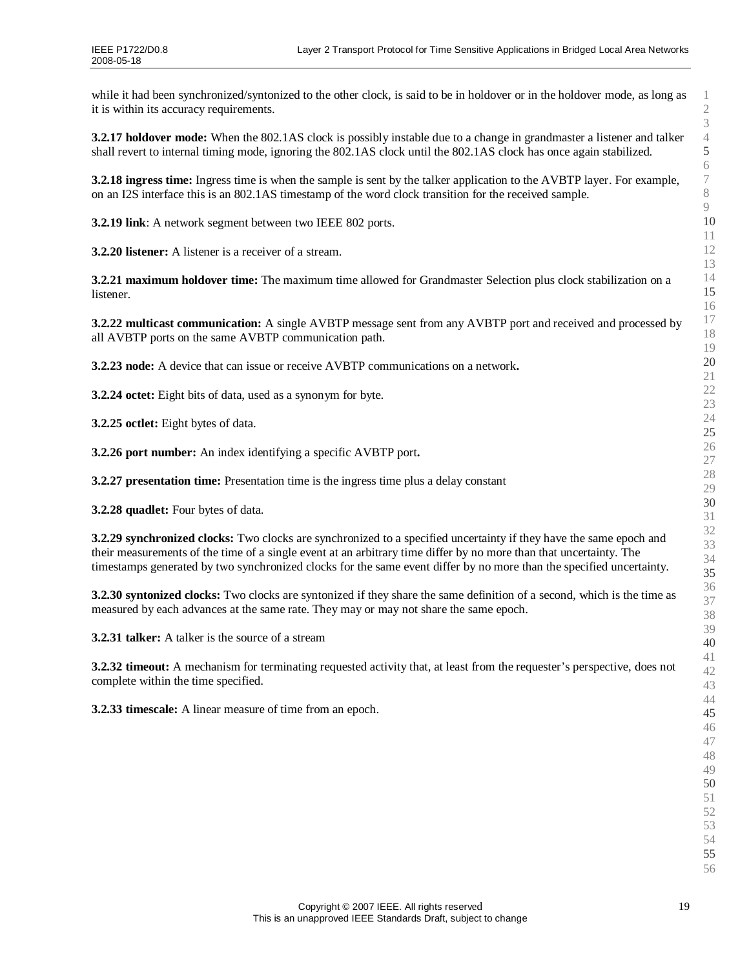while it had been synchronized/syntonized to the other clock, is said to be in holdover or in the holdover mode, as long as it is within its accuracy requirements.

**3.2.17 holdover mode:** When the 802.1AS clock is possibly instable due to a change in grandmaster a listener and talker shall revert to internal timing mode, ignoring the 802.1AS clock until the 802.1AS clock has once again stabilized.

**3.2.18 ingress time:** Ingress time is when the sample is sent by the talker application to the AVBTP layer. For example, on an I2S interface this is an 802.1AS timestamp of the word clock transition for the received sample.

**3.2.19 link**: A network segment between two IEEE 802 ports.

**3.2.20 listener:** A listener is a receiver of a stream.

**3.2.21 maximum holdover time:** The maximum time allowed for Grandmaster Selection plus clock stabilization on a listener.

**3.2.22 multicast communication:** A single AVBTP message sent from any AVBTP port and received and processed by all AVBTP ports on the same AVBTP communication path.

**3.2.23 node:** A device that can issue or receive AVBTP communications on a network**.**

**3.2.24 octet:** Eight bits of data, used as a synonym for byte.

**3.2.25 octlet:** Eight bytes of data.

**3.2.26 port number:** An index identifying a specific AVBTP port**.**

**3.2.27 presentation time:** Presentation time is the ingress time plus a delay constant

**3.2.28 quadlet:** Four bytes of data.

**3.2.29 synchronized clocks:** Two clocks are synchronized to a specified uncertainty if they have the same epoch and their measurements of the time of a single event at an arbitrary time differ by no more than that uncertainty. The timestamps generated by two synchronized clocks for the same event differ by no more than the specified uncertainty.

**3.2.30 syntonized clocks:** Two clocks are syntonized if they share the same definition of a second, which is the time as measured by each advances at the same rate. They may or may not share the same epoch.

**3.2.31 talker:** A talker is the source of a stream

**3.2.32 timeout:** A mechanism for terminating requested activity that, at least from the requester's perspective, does not complete within the time specified.

**3.2.33 timescale:** A linear measure of time from an epoch.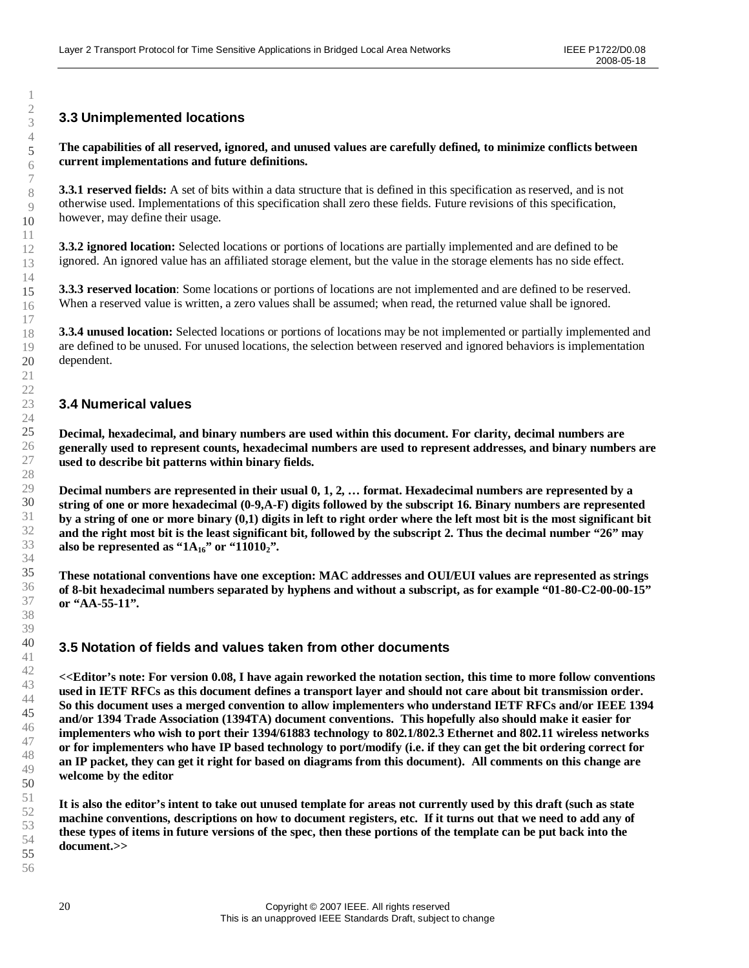# <span id="page-19-1"></span><span id="page-19-0"></span>**3.3 Unimplemented locations**

#### **The capabilities of all reserved, ignored, and unused values are carefully defined, to minimize conflicts between current implementations and future definitions.**

**3.3.1 reserved fields:** A set of bits within a data structure that is defined in this specification as reserved, and is not otherwise used. Implementations of this specification shall zero these fields. Future revisions of this specification, however, may define their usage.

**3.3.2 ignored location:** Selected locations or portions of locations are partially implemented and are defined to be ignored. An ignored value has an affiliated storage element, but the value in the storage elements has no side effect.

**3.3.3 reserved location**: Some locations or portions of locations are not implemented and are defined to be reserved. When a reserved value is written, a zero values shall be assumed; when read, the returned value shall be ignored.

**3.3.4 unused location:** Selected locations or portions of locations may be not implemented or partially implemented and are defined to be unused. For unused locations, the selection between reserved and ignored behaviors is implementation dependent.

#### **3.4 Numerical values**

**Decimal, hexadecimal, and binary numbers are used within this document. For clarity, decimal numbers are generally used to represent counts, hexadecimal numbers are used to represent addresses, and binary numbers are used to describe bit patterns within binary fields.**

**Decimal numbers are represented in their usual 0, 1, 2, … format. Hexadecimal numbers are represented by a string of one or more hexadecimal (0-9,A-F) digits followed by the subscript 16. Binary numbers are represented by a string of one or more binary (0,1) digits in left to right order where the left most bit is the most significant bit and the right most bit is the least significant bit, followed by the subscript 2. Thus the decimal number "26"may also be represented as "1A16"or "110102".**

**These notational conventions have one exception: MAC addresses and OUI/EUI values are represented as strings of 8-bit hexadecimal numbers separated by hyphens and without a subscript, as for example "01-80-C2-00-00-15" or "AA-55-11".**

## **3.5 Notation of fields and values taken from other documents**

**<<Editor's note: For version 0.08, I have again reworked the notation section, this time to more follow conventions used in IETF RFCs as this document defines a transport layer and should not care about bit transmission order. So this document uses a merged convention to allow implementers who understand IETF RFCs and/or IEEE 1394 and/or 1394 Trade Association (1394TA) document conventions. This hopefully also should make it easier for implementers who wish to port their 1394/61883 technology to 802.1/802.3 Ethernet and 802.11 wireless networks or for implementers who have IP based technology to port/modify (i.e. if they can get the bit ordering correct for an IP packet, they can get it right for based on diagrams from this document). All comments on this change are welcome by the editor**

**It is also the editor's intent to take out unused template for areas not currently used by this draft (such as state machine conventions, descriptions on how to document registers, etc. If it turns out that we need to add any of these types of items in future versions of the spec, then these portions of the template can be put back into the document.>>**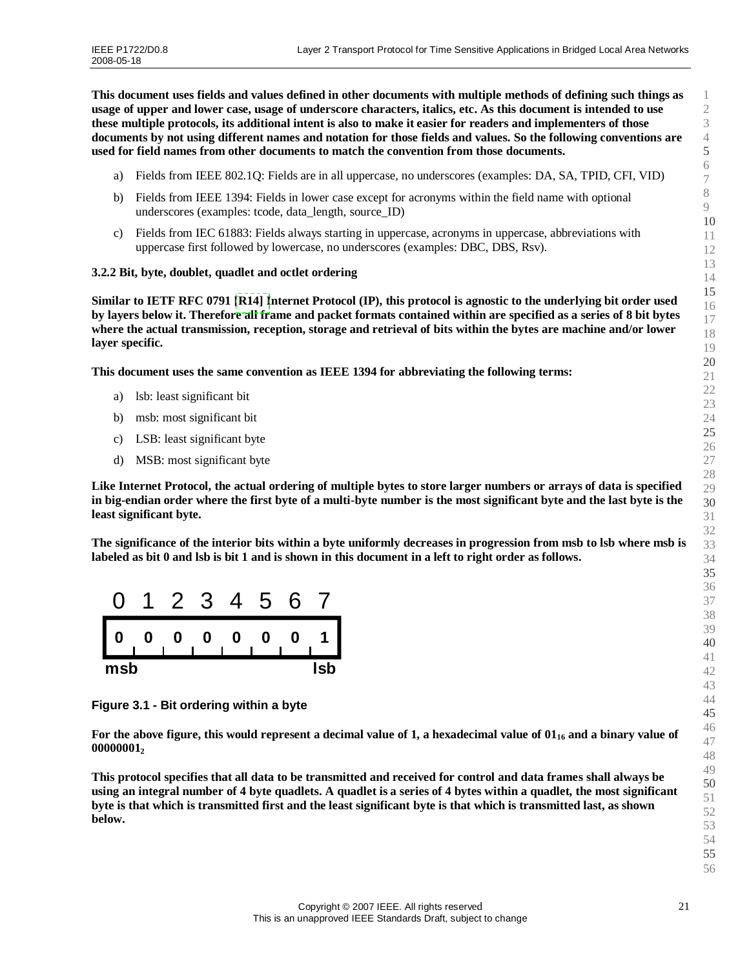<span id="page-20-0"></span>**This document uses fields and values defined in other documents with multiple methods of defining such things as usage of upper and lower case, usage of underscore characters, italics, etc. As this document is intended to use these multiple protocols, its additional intent is also to make it easier for readers and implementers of those documents by not using different names and notation for those fields and values. So the following conventions are used for field names from other documents to match the convention from those documents.**

- a) Fields from IEEE 802.1Q: Fields are in all uppercase, no underscores (examples: DA, SA, TPID, CFI, VID)
- b) Fields from IEEE 1394: Fields in lower case except for acronyms within the field name with optional underscores (examples: tcode, data\_length, source\_ID)
- c) Fields from IEC 61883: Fields always starting in uppercase, acronyms in uppercase, abbreviations with uppercase first followed by lowercase, no underscores (examples: DBC, DBS, Rsv).

#### **3.2.2 Bit, byte, doublet, quadlet and octlet ordering**

**Similar to IETF RFC 0791 [\[R14\]](#page-15-2) Internet Protocol (IP), this protocol is agnostic to the underlying bit order used by layers below it. Therefore all frame and packet formats contained within are specified as a series of 8 bit bytes where the actual transmission, reception, storage and retrieval of bits within the bytes are machine and/or lower layer specific.**

**This document uses the same convention as IEEE 1394 for abbreviating the following terms:**

- a) lsb: least significant bit
- b) msb: most significant bit
- c) LSB: least significant byte
- d) MSB: most significant byte

**Like Internet Protocol, the actual ordering of multiple bytes to store larger numbers or arrays of data is specified in big-endian order where the first byte of a multi-byte number is the most significant byte and the last byte is the least significant byte.**

**The significance of the interior bits within a byte uniformly decreases in progression from msb to lsb where msb is labeled as bit 0 and lsb is bit 1 and is shown in this document in a left to right order as follows.**



**Figure 3.1 - Bit ordering within a byte**

**For the above figure, this would represent a decimal value of 1, a hexadecimal value of 01<sup>16</sup> and a binary value of <sup>2</sup>**

**This protocol specifies that all data to be transmitted and received for control and data frames shall always be using an integral number of 4 byte quadlets. A quadlet is a series of 4 bytes within a quadlet, the most significant byte is that which is transmitted first and the least significant byte is that which is transmitted last, as shown below.**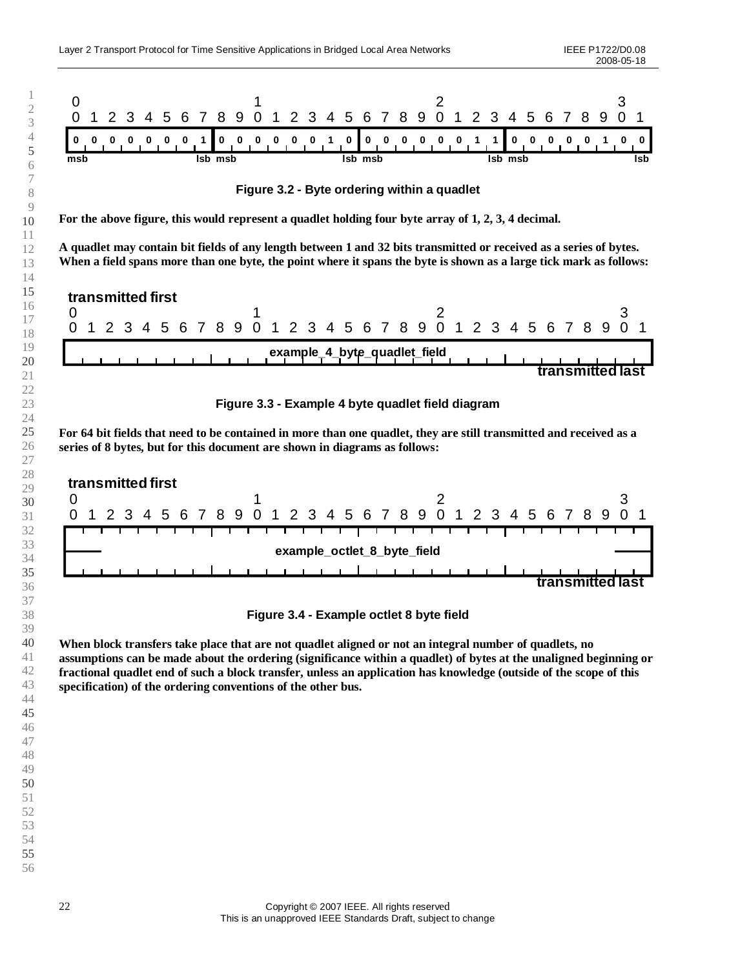

<span id="page-21-1"></span><span id="page-21-0"></span>**Figure 3.2 - Byte ordering within a quadlet**

**For the above figure, this would represent a quadlet holding four byte array of 1, 2, 3, 4 decimal.**

**A quadlet may contain bit fields of any length between 1 and 32 bits transmitted or received as a series of bytes. When a field spans more than one byte, the point where it spans the byte is shown as a large tick mark as follows:**



**Figure 3.3 - Example 4 byte quadlet field diagram**

**For 64 bit fields that need to be contained in more than one quadlet, they are still transmitted and received as a series of 8 bytes, but for this document are shown in diagrams as follows:**

#### **transmitted first**



**Figure 3.4 - Example octlet 8 byte field**

**When block transfers take place that are not quadlet aligned or not an integral number of quadlets, no assumptions can be made about the ordering (significance within a quadlet) of bytes at the unaligned beginning or fractional quadlet end of such a block transfer, unless an application has knowledge (outside of the scope of this specification) of the ordering conventions of the other bus.**

 

- 
- 
- 
- 
- 
- 
-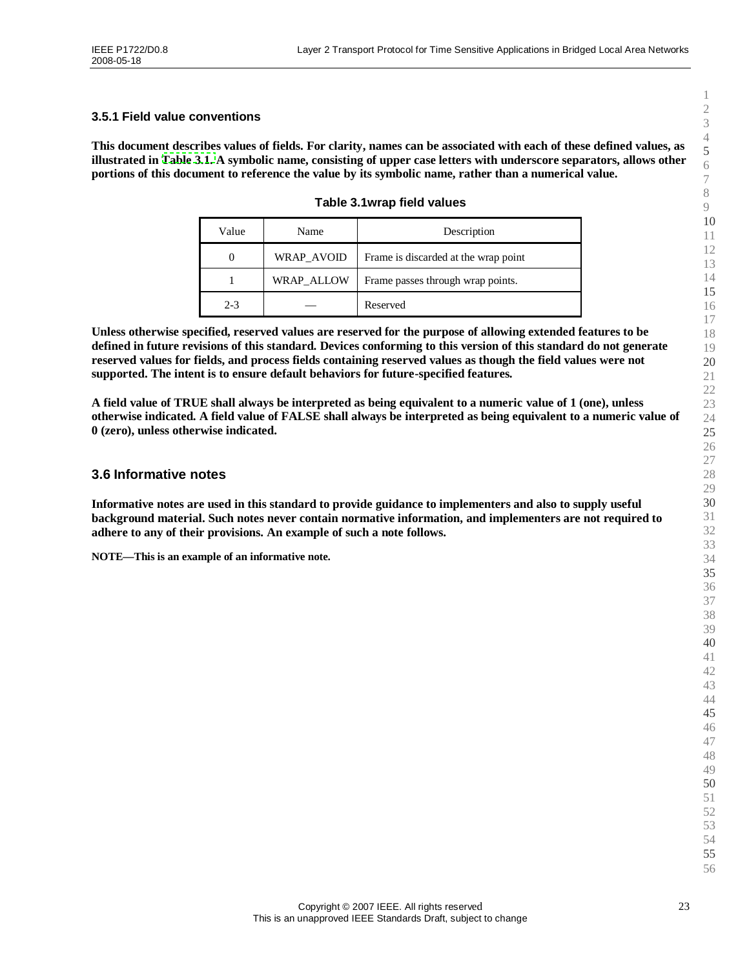#### <span id="page-22-1"></span><span id="page-22-0"></span>**3.5.1 Field value conventions**

**This document describes values of fields. For clarity, names can be associated with each of these defined values, as illustrated in [Table](#page-22-3) 3.1. A symbolic name, consisting of upper case letters with underscore separators, allows other portions of this document to reference the value by its symbolic name, rather than a numerical value.**

#### <span id="page-22-3"></span><span id="page-22-2"></span>**Table 3.1wrap field values**

| Value   | Name              | Description                          |
|---------|-------------------|--------------------------------------|
| 0       | <b>WRAP_AVOID</b> | Frame is discarded at the wrap point |
|         | WRAP ALLOW        | Frame passes through wrap points.    |
| $2 - 3$ |                   | Reserved                             |

**Unless otherwise specified, reserved values are reserved for the purpose of allowing extended features to be defined in future revisions of this standard. Devices conforming to this version of this standard do not generate reserved values for fields, and process fields containing reserved values as though the field values were not supported. The intent is to ensure default behaviors for future-specified features.**

**A field value of TRUE shall always be interpreted as being equivalent to a numeric value of 1 (one), unless otherwise indicated. A field value of FALSE shall always be interpreted as being equivalent to a numeric value of 0 (zero), unless otherwise indicated.**

#### **3.6 Informative notes**

**Informative notes are used in this standard to provide guidance to implementers and also to supply useful background material. Such notes never contain normative information, and implementers are not required to adhere to any of their provisions. An example of such a note follows.**

**NOTE— This is an example of an informative note.**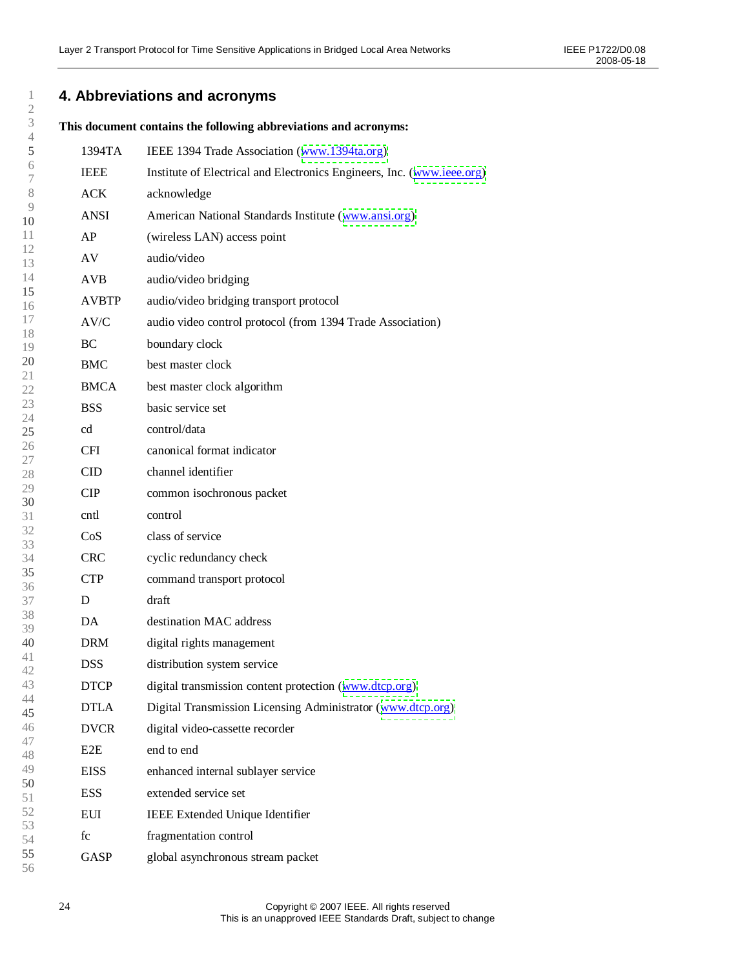# <span id="page-23-0"></span>**4. Abbreviations and acronyms**

1 2 3

54 55 56

#### **This document contains the following abbreviations and acronyms:**

| 4             |              |                                                                        |
|---------------|--------------|------------------------------------------------------------------------|
| $\mathfrak s$ | 1394TA       | IEEE 1394 Trade Association (www.1394ta.org)                           |
| 6<br>7        | <b>IEEE</b>  | Institute of Electrical and Electronics Engineers, Inc. (www.ieee.org) |
| $8\,$         | ACK          | acknowledge                                                            |
| 9<br>10       | <b>ANSI</b>  | American National Standards Institute (www.ansi.org)                   |
| 11            | AP           | (wireless LAN) access point                                            |
| 12<br>13      | AV           | audio/video                                                            |
| 14            | <b>AVB</b>   | audio/video bridging                                                   |
| 15<br>16      | <b>AVBTP</b> | audio/video bridging transport protocol                                |
| 17            | AV/C         | audio video control protocol (from 1394 Trade Association)             |
| 18<br>19      | BC           | boundary clock                                                         |
| 20            | <b>BMC</b>   | best master clock                                                      |
| 21<br>22      | <b>BMCA</b>  | best master clock algorithm                                            |
| 23            | <b>BSS</b>   | basic service set                                                      |
| 24<br>25      | cd           | control/data                                                           |
| 26            | <b>CFI</b>   | canonical format indicator                                             |
| 27<br>28      | <b>CID</b>   | channel identifier                                                     |
| 29            | <b>CIP</b>   | common isochronous packet                                              |
| 30<br>31      | cntl         | control                                                                |
| 32<br>33      | CoS          | class of service                                                       |
| 34            | <b>CRC</b>   | cyclic redundancy check                                                |
| 35<br>36      | <b>CTP</b>   | command transport protocol                                             |
| 37            | D            | draft                                                                  |
| 38<br>39      | DA           | destination MAC address                                                |
| 40            | <b>DRM</b>   | digital rights management                                              |
| 41<br>42      | <b>DSS</b>   | distribution system service                                            |
| 43            | <b>DTCP</b>  | digital transmission content protection (www.dtcp.org)                 |
| 44<br>45      | <b>DTLA</b>  | Digital Transmission Licensing Administrator (www.dtcp.org)            |
| 46            | <b>DVCR</b>  | digital video-cassette recorder                                        |
| 47<br>48      | E2E          | end to end                                                             |
| 49            | <b>EISS</b>  | enhanced internal sublayer service                                     |
| 50<br>51      | <b>ESS</b>   | extended service set                                                   |
| 52            | EUI          | <b>IEEE Extended Unique Identifier</b>                                 |
| 53<br>54      | fc           | fragmentation control                                                  |
| 55            | GASP         | global asynchronous stream packet                                      |
| 56            |              |                                                                        |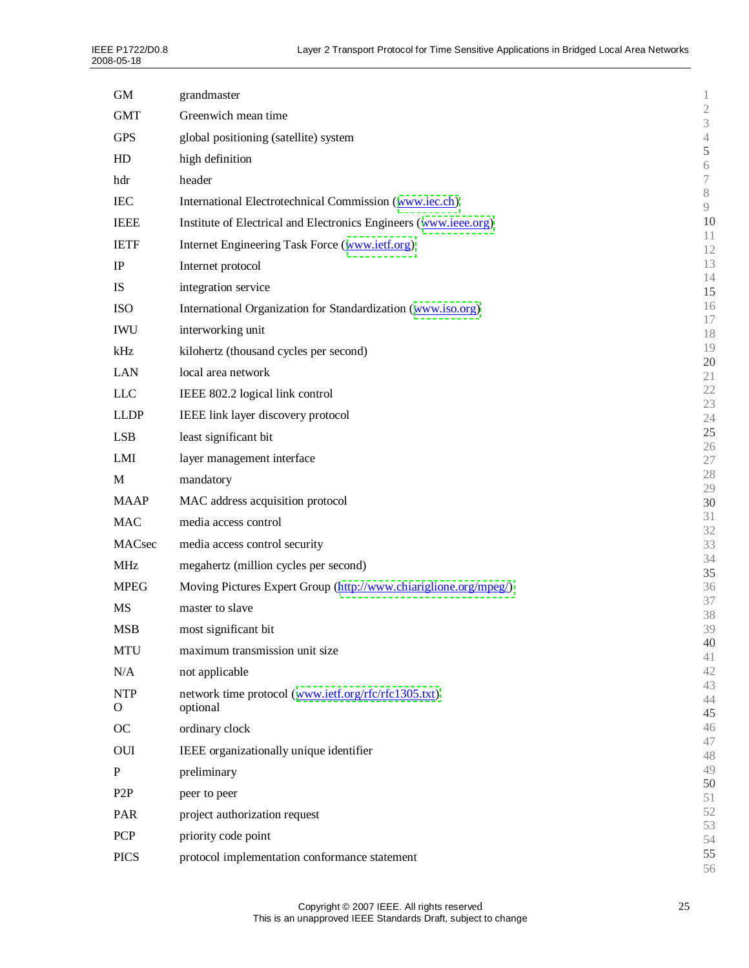| <b>GM</b>        | grandmaster                                                      | 1                                |
|------------------|------------------------------------------------------------------|----------------------------------|
| <b>GMT</b>       | Greenwich mean time                                              | $\mathfrak{2}$<br>$\mathfrak{Z}$ |
| <b>GPS</b>       | global positioning (satellite) system                            | $\sqrt{4}$                       |
| HD               | high definition                                                  | 5<br>$\sqrt{6}$                  |
| hdr              | header                                                           | $\boldsymbol{7}$                 |
| <b>IEC</b>       | International Electrotechnical Commission (www.iec.ch)           | $8\,$                            |
|                  |                                                                  | 9<br>10                          |
| <b>IEEE</b>      | Institute of Electrical and Electronics Engineers (www.ieee.org) | 11                               |
| <b>IETF</b>      | Internet Engineering Task Force (www.ietf.org)                   | 12                               |
| IP               | Internet protocol                                                | 13<br>14                         |
| IS               | integration service                                              | 15                               |
| <b>ISO</b>       | International Organization for Standardization (www.iso.org)     | 16                               |
| <b>IWU</b>       | interworking unit                                                | 17<br>18                         |
| kHz              | kilohertz (thousand cycles per second)                           | 19                               |
| <b>LAN</b>       | local area network                                               | 20                               |
| <b>LLC</b>       | IEEE 802.2 logical link control                                  | 21<br>22                         |
|                  |                                                                  | 23                               |
| <b>LLDP</b>      | IEEE link layer discovery protocol                               | 24<br>25                         |
| <b>LSB</b>       | least significant bit                                            | 26                               |
| LMI              | layer management interface                                       | 27                               |
| M                | mandatory                                                        | 28<br>29                         |
| <b>MAAP</b>      | MAC address acquisition protocol                                 | 30                               |
| <b>MAC</b>       | media access control                                             | 31<br>32                         |
| <b>MACsec</b>    | media access control security                                    | 33                               |
| <b>MHz</b>       | megahertz (million cycles per second)                            | 34                               |
| <b>MPEG</b>      | Moving Pictures Expert Group (http://www.chiariglione.org/mpeg/) | 35<br>36                         |
| MS               | master to slave                                                  | 37                               |
|                  | most significant bit                                             | 38                               |
| <b>MSB</b>       |                                                                  | 39<br>40                         |
| <b>MTU</b>       | maximum transmission unit size                                   | 41                               |
| N/A              | not applicable                                                   | 42<br>43                         |
| <b>NTP</b><br>O  | network time protocol (www.ietf.org/rfc/rfc1305.txt)<br>optional | 44<br>45                         |
| OC               | ordinary clock                                                   | 46                               |
| OUI              | IEEE organizationally unique identifier                          | 47<br>48                         |
| $\mathbf P$      | preliminary                                                      | 49                               |
| P <sub>2</sub> P | peer to peer                                                     | 50                               |
|                  |                                                                  | 51<br>52                         |
| PAR              | project authorization request                                    | 53                               |
| <b>PCP</b>       | priority code point                                              | 54                               |
| <b>PICS</b>      | protocol implementation conformance statement                    | 55<br>56                         |
|                  |                                                                  |                                  |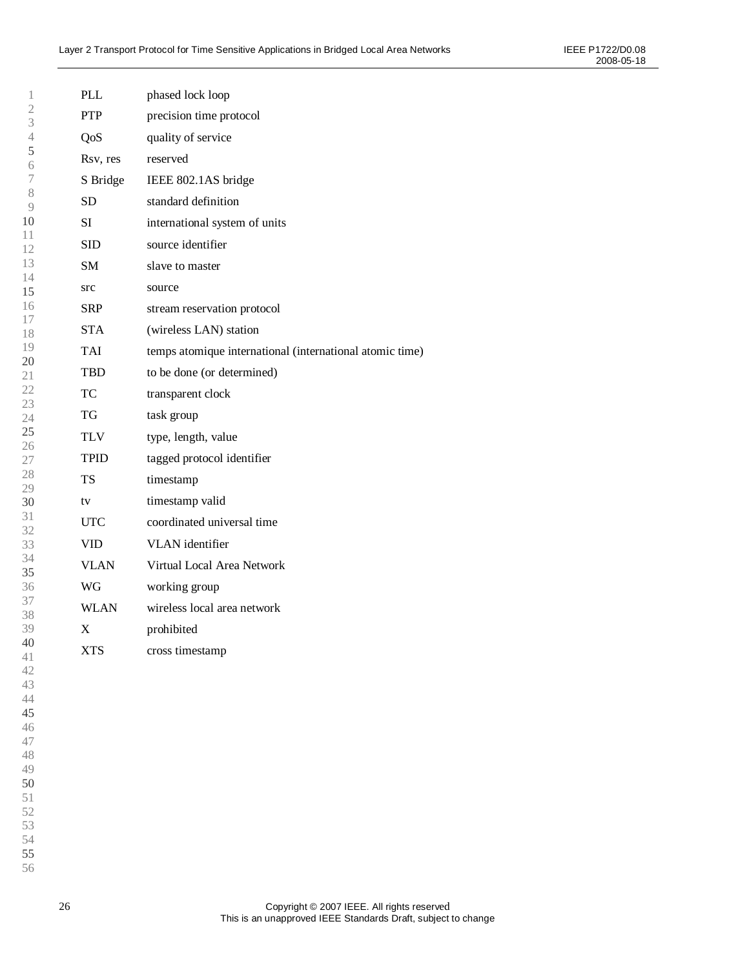| 1                   | PLL         | phased lock loop                                         |
|---------------------|-------------|----------------------------------------------------------|
| $\mathfrak{2}$<br>3 | <b>PTP</b>  | precision time protocol                                  |
| $\overline{4}$      | QoS         | quality of service                                       |
| 5<br>6              | Rsv, res    | reserved                                                 |
| 7                   | S Bridge    | IEEE 802.1AS bridge                                      |
| 8<br>9              | <b>SD</b>   | standard definition                                      |
| 10                  | SI.         | international system of units                            |
| 11<br>12            | <b>SID</b>  | source identifier                                        |
| 13                  | <b>SM</b>   | slave to master                                          |
| 14<br>15            | src         | source                                                   |
| 16                  | <b>SRP</b>  | stream reservation protocol                              |
| 17<br>18            | <b>STA</b>  | (wireless LAN) station                                   |
| 19                  | TAI         | temps atomique international (international atomic time) |
| 20<br>21            | TBD         | to be done (or determined)                               |
| 22                  | TC          | transparent clock                                        |
| 23<br>24            | TG          | task group                                               |
| 25                  | <b>TLV</b>  | type, length, value                                      |
| 26<br>27            | <b>TPID</b> | tagged protocol identifier                               |
| 28                  | TS          | timestamp                                                |
| 29<br>30            | tv          | timestamp valid                                          |
| 31                  | <b>UTC</b>  | coordinated universal time                               |
| 32<br>33            | <b>VID</b>  | VLAN identifier                                          |
| 34                  | <b>VLAN</b> | Virtual Local Area Network                               |
| 35<br>36            | WG          | working group                                            |
| 37                  | <b>WLAN</b> | wireless local area network                              |
| 38<br>39            | X           | prohibited                                               |
| 40                  | <b>XTS</b>  | cross timestamp                                          |
| 41<br>42            |             |                                                          |
| 43                  |             |                                                          |
| 44                  |             |                                                          |
| 45<br>46            |             |                                                          |
| 47                  |             |                                                          |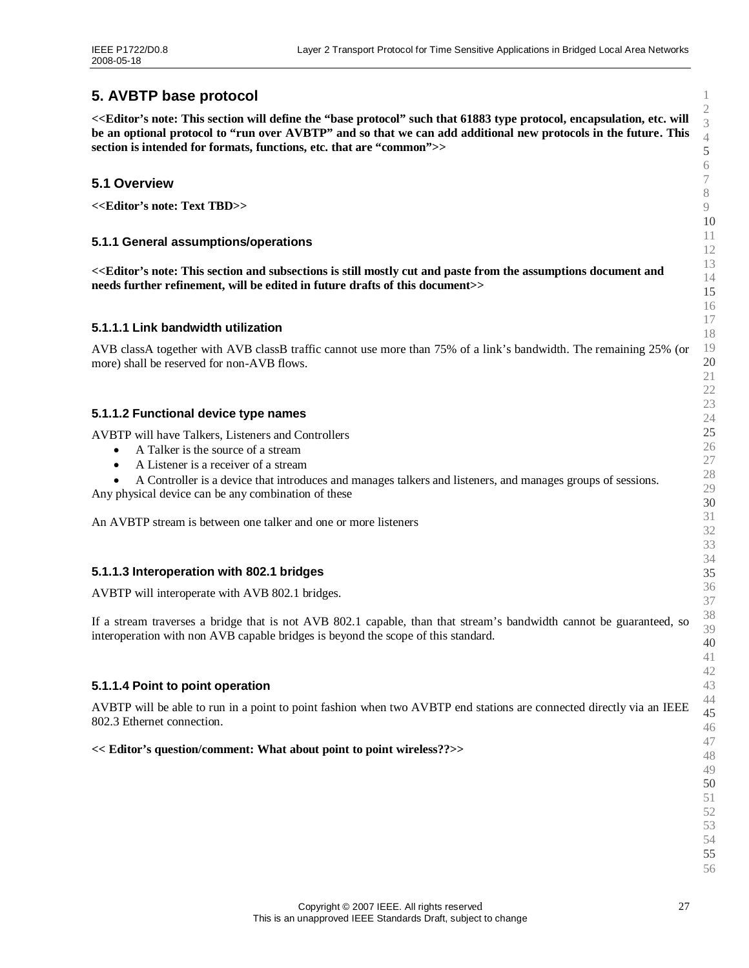# <span id="page-26-0"></span>**5. AVBTP base protocol**

<span id="page-26-2"></span><span id="page-26-1"></span>**<<Editor's note: This section will define the "base protocol"such that 61883 type protocol, encapsulation, etc. will be an optional protocol to "run over AVBTP"and so that we can add additional new protocols in the future. This section is intended for formats, functions, etc. that are "common">>**

#### **5.1 Overview**

**<<Editor's note: Text TBD>>**

#### **5.1.1 General assumptions/operations**

**<<Editor's note: This section and subsections is still mostly cut and paste from the assumptions document and needs further refinement, will be edited in future drafts of this document>>**

#### **5.1.1.1 Link bandwidth utilization**

AVB classA together with AVB classB traffic cannot use more than 75% of a link's bandwidth. The remaining 25% (or more) shall be reserved for non-AVB flows.

#### **5.1.1.2 Functional device type names**

AVBTP will have Talkers, Listeners and Controllers

- A Talker is the source of a stream
- A Listener is a receiver of a stream
- A Controller is a device that introduces and manages talkers and listeners, and manages groups of sessions.

Any physical device can be any combination of these

An AVBTP stream is between one talker and one or more listeners

#### **5.1.1.3 Interoperation with 802.1 bridges**

AVBTP will interoperate with AVB 802.1 bridges.

If a stream traverses a bridge that is not AVB 802.1 capable, than that stream's bandwidth cannot be guaranteed, so interoperation with non AVB capable bridges is beyond the scope of this standard.

#### **5.1.1.4 Point to point operation**

AVBTP will be able to run in a point to point fashion when two AVBTP end stations are connected directly via an IEEE 802.3 Ethernet connection.

#### **<< Editor's question/comment: What about point to point wireless??>>**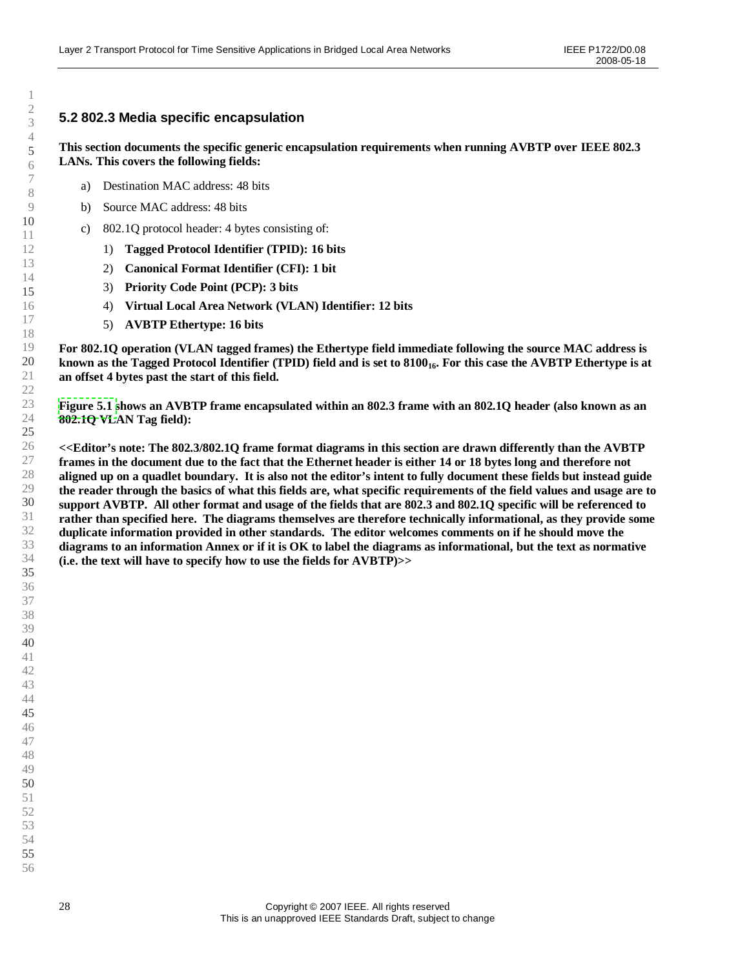## <span id="page-27-0"></span>**5.2 802.3 Media specific encapsulation**

#### **This section documents the specific generic encapsulation requirements when running AVBTP over IEEE 802.3 LANs. This covers the following fields:**

- a) Destination MAC address: 48 bits
- b) Source MAC address: 48 bits
- c) 802.1Q protocol header: 4 bytes consisting of:
	- 1) **Tagged Protocol Identifier (TPID): 16 bits**
	- 2) **Canonical Format Identifier (CFI): 1 bit**
	- 3) **Priority Code Point (PCP): 3 bits**
	- 4) **Virtual Local Area Network (VLAN) Identifier: 12 bits**
	- 5) **AVBTP Ethertype: 16 bits**

**For 802.1Q operation (VLAN tagged frames) the Ethertype field immediate following the source MAC address is known as the Tagged Protocol Identifier (TPID) field and is set to 810016. For this case the AVBTP Ethertype is at an offset 4 bytes past the start of this field.**

**[Figure](#page-28-0) 5.1 shows an AVBTP frame encapsulated within an 802.3 frame with an 802.1Q header (also known as an 802.1Q VLAN Tag field):**

**<<Editor's note: The 802.3/802.1Q frame format diagrams in this section are drawn differently than the AVBTP frames in the document due to the fact that the Ethernet header is either 14 or 18 bytes long and therefore not aligned up on a quadlet boundary. It is also not the editor's intent to fully document these fields but instead guide the reader through the basics of what this fields are, what specific requirements of the field values and usage are to support AVBTP. All other format and usage of the fields that are 802.3 and 802.1Q specific will be referenced to rather than specified here. The diagrams themselves are therefore technically informational, as they provide some duplicate information provided in other standards. The editor welcomes comments on if he should move the diagrams to an information Annex or if it is OK to label the diagrams as informational, but the text as normative (i.e. the text will have to specify how to use the fields for AVBTP)>>**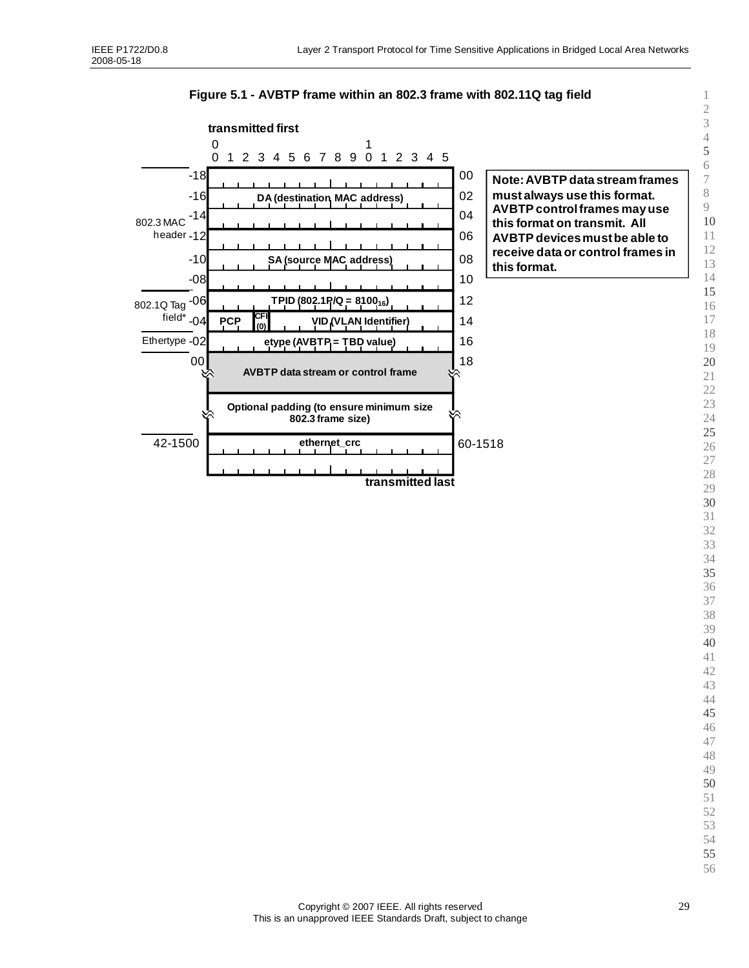

<span id="page-28-0"></span>**Figure 5.1 - AVBTP frame within an 802.3 frame with 802.11Q tag field**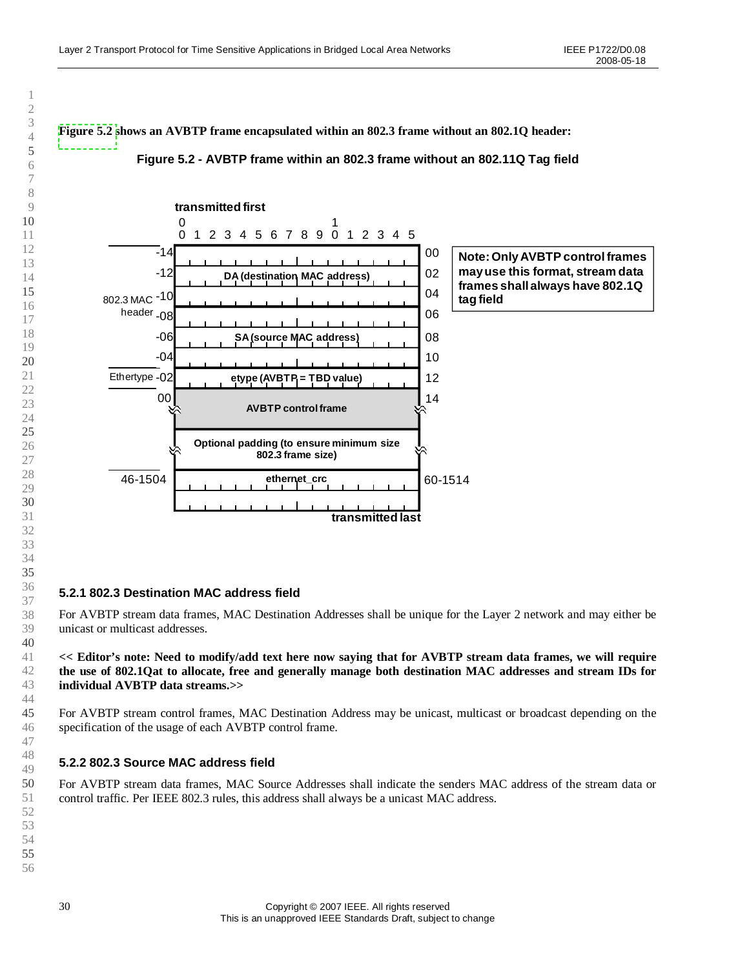<span id="page-29-2"></span><span id="page-29-1"></span><span id="page-29-0"></span>

### **[Figure](#page-29-2) 5.2 shows an AVBTP frame encapsulated within an 802.3 frame without an 802.1Q header:**

#### **5.2.1 802.3 Destination MAC address field**

For AVBTP stream data frames, MAC Destination Addresses shall be unique for the Layer 2 network and may either be unicast or multicast addresses.

#### **<< Editor's note: Need to modify/add text here now saying that for AVBTP stream data frames, we will require the use of 802.1Qat to allocate, free and generally manage both destination MAC addresses and stream IDs for individual AVBTP data streams.>>**

For AVBTP stream control frames, MAC Destination Address may be unicast, multicast or broadcast depending on the specification of the usage of each AVBTP control frame.

## **5.2.2 802.3 Source MAC address field**

For AVBTP stream data frames, MAC Source Addresses shall indicate the senders MAC address of the stream data or control traffic. Per IEEE 802.3 rules, this address shall always be a unicast MAC address.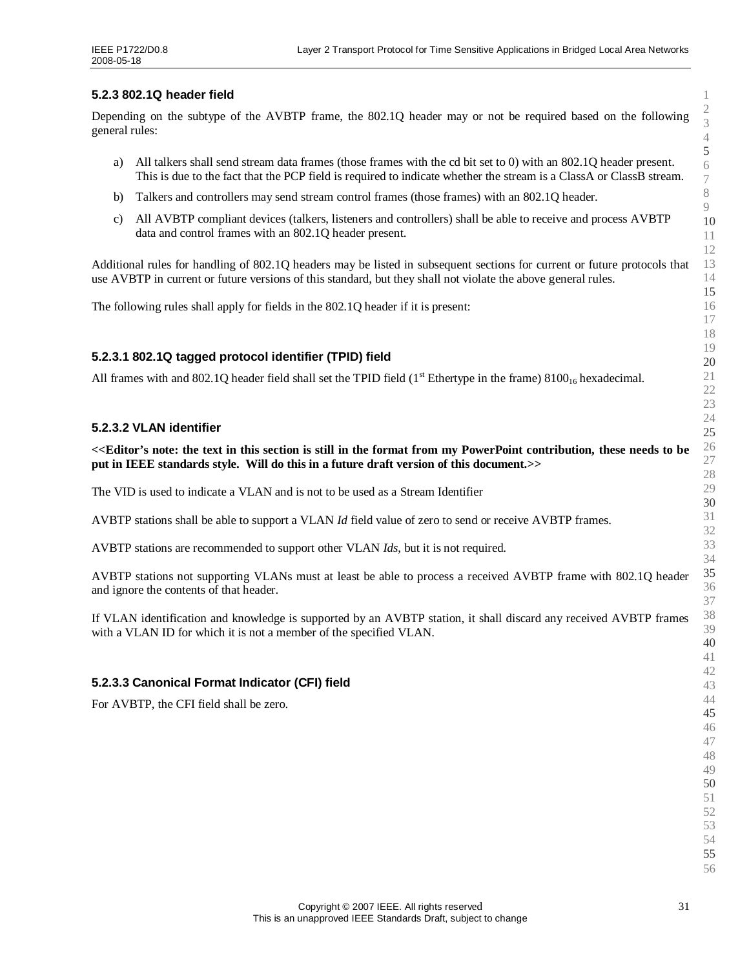#### **5.2.3 802.1Q header field**

<span id="page-30-0"></span>Depending on the subtype of the AVBTP frame, the 802.1Q header may or not be required based on the following general rules:

- a) All talkers shall send stream data frames (those frames with the cd bit set to 0) with an 802.1Q header present. This is due to the fact that the PCP field is required to indicate whether the stream is a ClassA or ClassB stream.
- b) Talkers and controllers may send stream control frames (those frames) with an 802.1Q header.
- c) All AVBTP compliant devices (talkers, listeners and controllers) shall be able to receive and process AVBTP data and control frames with an 802.1Q header present.

Additional rules for handling of 802.1Q headers may be listed in subsequent sections for current or future protocols that use AVBTP in current or future versions of this standard, but they shall not violate the above general rules.

The following rules shall apply for fields in the 802.1Q header if it is present:

#### **5.2.3.1 802.1Q tagged protocol identifier (TPID) field**

All frames with and 802.1Q header field shall set the TPID field  $(1<sup>st</sup>$  Ethertype in the frame) 8100<sub>16</sub> hexadecimal.

#### **5.2.3.2 VLAN identifier**

**<<Editor's note: the text in this section is still in the format from my PowerPoint contribution, these needs to be put in IEEE standards style. Will do this in a future draft version of this document.>>**

The VID is used to indicate a VLAN and is not to be used as a Stream Identifier

AVBTP stations shall be able to support a VLAN *Id* field value of zero to send or receive AVBTP frames.

AVBTP stations are recommended to support other VLAN *Ids*, but it is not required.

AVBTP stations not supporting VLANs must at least be able to process a received AVBTP frame with 802.1Q header and ignore the contents of that header.

If VLAN identification and knowledge is supported by an AVBTP station, it shall discard any received AVBTP frames with a VLAN ID for which it is not a member of the specified VLAN.

#### **5.2.3.3 Canonical Format Indicator (CFI) field**

For AVBTP, the CFI field shall be zero.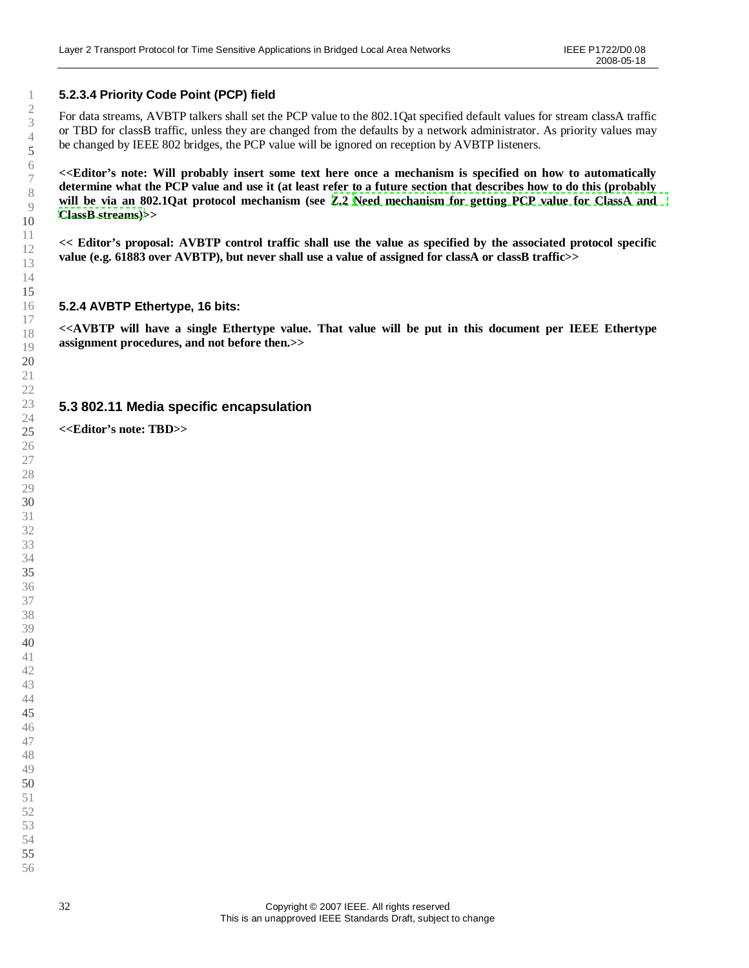#### **5.2.3.4 Priority Code Point (PCP) field**

<span id="page-31-1"></span><span id="page-31-0"></span>For data streams, AVBTP talkers shall set the PCP value to the 802.1Qat specified default values for stream classA traffic or TBD for classB traffic, unless they are changed from the defaults by a network administrator. As priority values may be changed by IEEE 802 bridges, the PCP value will be ignored on reception by AVBTP listeners.

**<<Editor's note: Will probably insert some text here once a mechanism is specified on how to automatically determine what the PCP value and use it (at least refer to a future section that describes how to do this (probably will be via an 802.1Qat protocol mechanism (see [Z.2](#page-85-1) [Need mechanism for getting PCP value for](#page-85-1) ClassA and ClassB [streams\)>](#page-85-1)>**

**<< Editor's proposal: AVBTP control traffic shall use the value as specified by the associated protocol specific value (e.g. 61883 over AVBTP), but never shall use a value of assigned for classA or classB traffic>>**

#### **5.2.4 AVBTP Ethertype, 16 bits:**

**<<AVBTP will have a single Ethertype value. That value will be put in this document per IEEE Ethertype assignment procedures, and not before then.>>**

#### **5.3 802.11 Media specific encapsulation**

**<<Editor's note: TBD>>**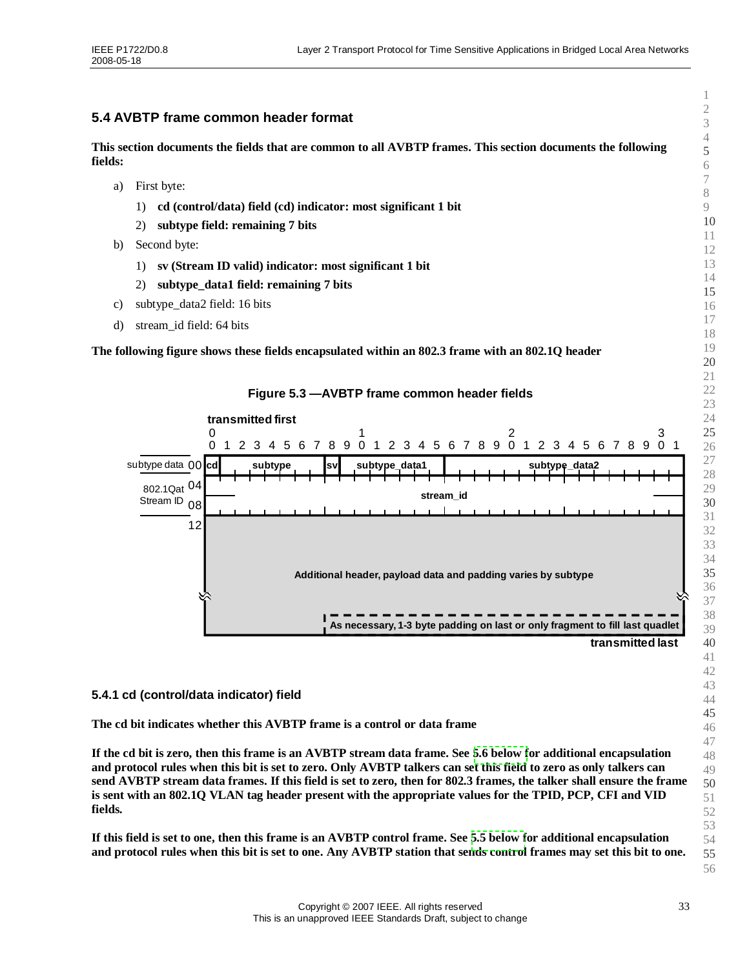## <span id="page-32-2"></span><span id="page-32-1"></span><span id="page-32-0"></span>**5.4 AVBTP frame common header format**

**This section documents the fields that are common to all AVBTP frames. This section documents the following fields:**

- a) First byte:
	- 1) **cd (control/data) field (cd) indicator: most significant 1 bit**
	- 2) **subtype field: remaining 7 bits**
- b) Second byte:
	- 1) **sv (Stream ID valid) indicator: most significant 1 bit**
	- 2) **subtype\_data1 field: remaining 7 bits**
- c) subtype\_data2 field: 16 bits
- d) stream\_id field: 64 bits

**The following figure shows these fields encapsulated within an 802.3 frame with an 802.1Q header**



#### **5.4.1 cd (control/data indicator) field**

**The cd bit indicates whether this AVBTP frame is a control or data frame**

**If the cd bit is zero, then this frame is an AVBTP stream data frame. See [5.6 below](#page-36-0) for additional encapsulation and protocol rules when this bit is set to zero. Only AVBTP talkers can set this field to zero as only talkers can send AVBTP stream data frames. If this field is set to zero, then for 802.3 frames, the talker shall ensure the frame is sent with an 802.1Q VLAN tag header present with the appropriate values for the TPID, PCP, CFI and VID fields.**

**If this field is set to one, then this frame is an AVBTP control frame. See [5.5 below](#page-35-0) for additional encapsulation and protocol rules when this bit is set to one. Any AVBTP station that sends control frames may set this bit to one.**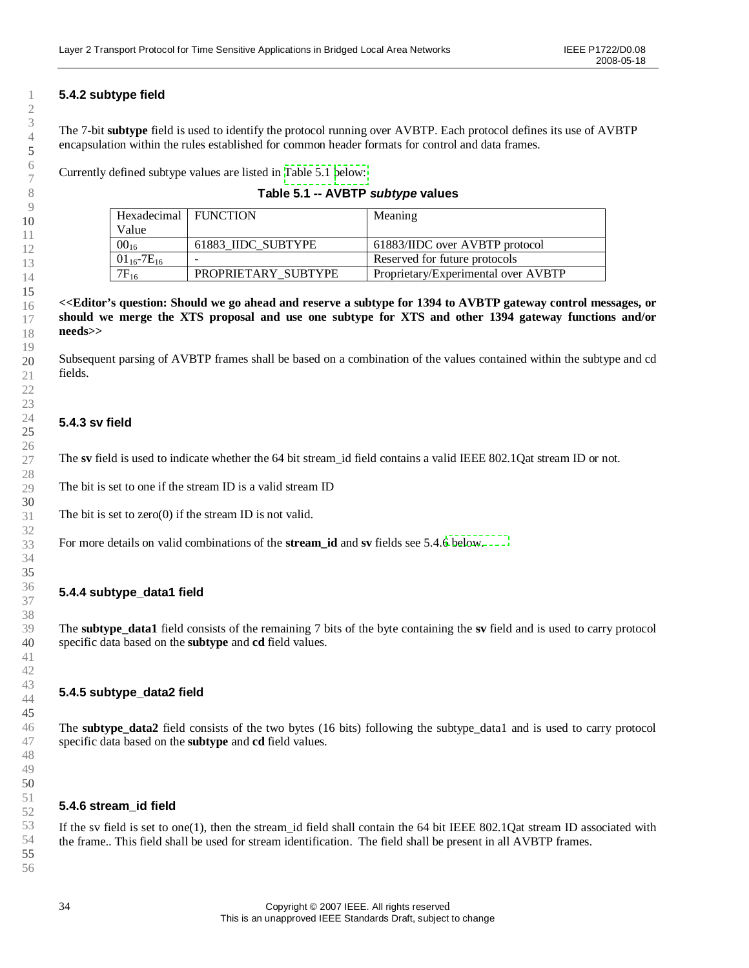## <span id="page-33-0"></span>**5.4.2 subtype field**

The 7-bit **subtype** field is used to identify the protocol running over AVBTP. Each protocol defines its use of AVBTP encapsulation within the rules established for common header formats for control and data frames.

Currently defined subtype values are listed in [Table](#page-33-2) 5.1 [below:](#page-33-2)

<span id="page-33-2"></span><span id="page-33-1"></span>

| Table 5.1 -- AVBTP subtype values |  |
|-----------------------------------|--|
|-----------------------------------|--|

| Hexadecimal   FUNCTION |                     | Meaning                             |
|------------------------|---------------------|-------------------------------------|
| Value                  |                     |                                     |
| $00_{16}$              | 61883 IIDC SUBTYPE  | 61883/IIDC over AVBTP protocol      |
| $01_{16} - 7E_{16}$    |                     | Reserved for future protocols       |
| $7F_{16}$              | PROPRIETARY SUBTYPE | Proprietary/Experimental over AVBTP |

**<<Editor's question: Should we go ahead and reserve a subtype for 1394 to AVBTP gateway control messages, or should we merge the XTS proposal and use one subtype for XTS and other 1394 gateway functions and/or needs>>**

Subsequent parsing of AVBTP frames shall be based on a combination of the values contained within the subtype and cd fields.

#### **5.4.3 sv field**

The **sv** field is used to indicate whether the 64 bit stream id field contains a valid IEEE 802.1Qat stream ID or not.

The bit is set to one if the stream ID is a valid stream ID

The bit is set to zero(0) if the stream ID is not valid.

For more details on valid combinations of the **stream\_id** and **sv** fields see 5.4.[6 below.](#page-33-3)

#### **5.4.4 subtype\_data1 field**

The **subtype\_data1** field consists of the remaining 7 bits of the byte containing the **sv** field and is used to carry protocol specific data based on the **subtype** and **cd** field values.

#### **5.4.5 subtype\_data2 field**

The **subtype data2** field consists of the two bytes (16 bits) following the subtype data1 and is used to carry protocol specific data based on the **subtype** and **cd** field values.

#### <span id="page-33-3"></span>**5.4.6 stream\_id field**

If the sv field is set to one(1), then the stream\_id field shall contain the 64 bit IEEE 802.1Qat stream ID associated with the frame.. This field shall be used for stream identification. The field shall be present in all AVBTP frames.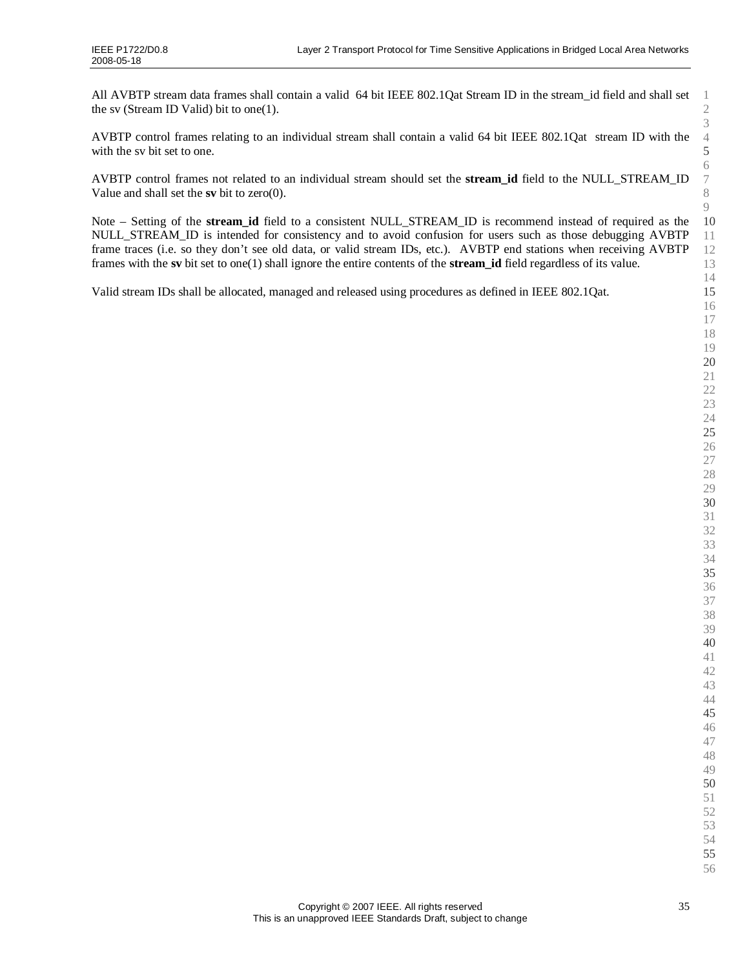All AVBTP stream data frames shall contain a valid 64 bit IEEE 802.1Qat Stream ID in the stream\_id field and shall set the sv (Stream ID Valid) bit to one(1).

AVBTP control frames relating to an individual stream shall contain a valid 64 bit IEEE 802.1Qat stream ID with the with the sv bit set to one.

AVBTP control frames not related to an individual stream should set the **stream\_id** field to the NULL\_STREAM\_ID Value and shall set the **sv** bit to zero(0).

Note –Setting of the **stream\_id** field to a consistent NULL\_STREAM\_ID is recommend instead of required as the NULL\_STREAM\_ID is intended for consistency and to avoid confusion for users such as those debugging AVBTP frame traces (i.e. so they don't see old data, or valid stream IDs, etc.). AVBTP end stations when receiving AVBTP frames with the **sv** bit set to one(1) shall ignore the entire contents of the **stream\_id** field regardless of its value.

Valid stream IDs shall be allocated, managed and released using procedures as defined in IEEE 802.1Qat.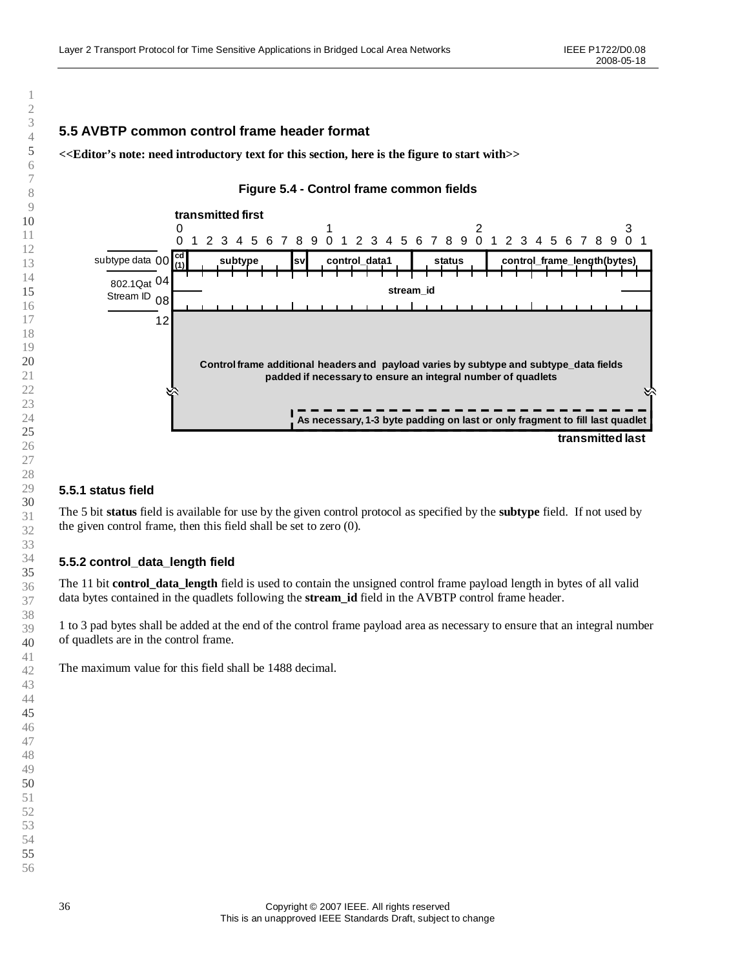# <span id="page-35-1"></span><span id="page-35-0"></span>**5.5 AVBTP common control frame header format**

#### **<<Editor's note: need introductory text for this section, here is the figure to start with>>**

<span id="page-35-2"></span>



#### **5.5.1 status field**

The 5 bit **status** field is available for use by the given control protocol as specified by the **subtype** field. If not used by the given control frame, then this field shall be set to zero (0).

#### **5.5.2 control\_data\_length field**

The 11 bit **control data length** field is used to contain the unsigned control frame payload length in bytes of all valid data bytes contained in the quadlets following the **stream\_id** field in the AVBTP control frame header.

1 to 3 pad bytes shall be added at the end of the control frame payload area as necessary to ensure that an integral number of quadlets are in the control frame.

The maximum value for this field shall be 1488 decimal.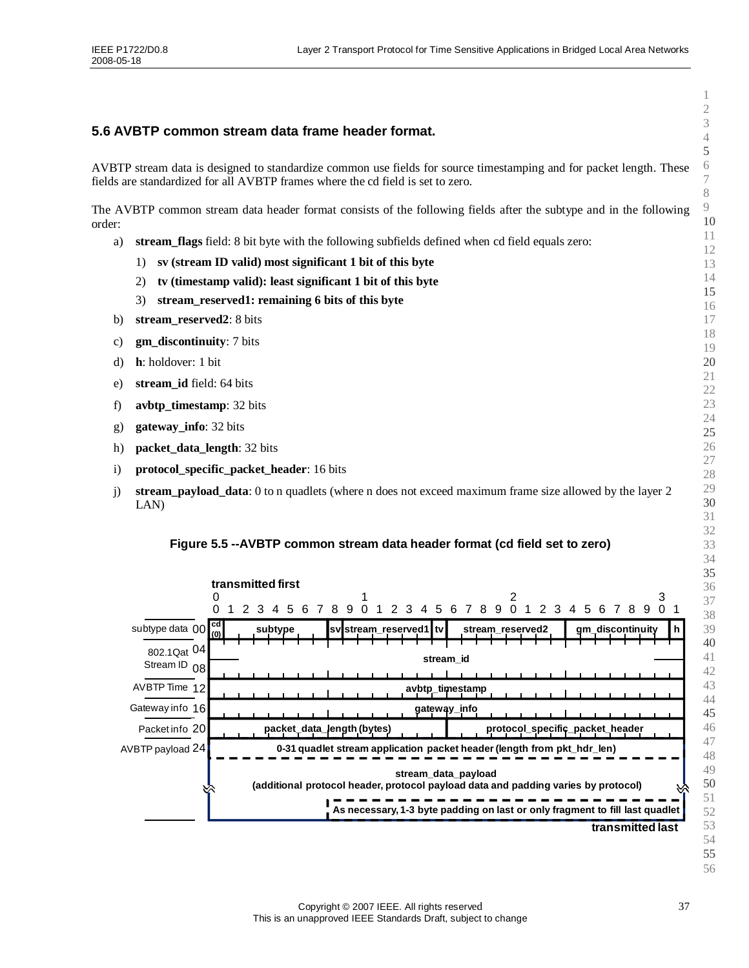# **5.6 AVBTP common stream data frame header format.**

AVBTP stream data is designed to standardize common use fields for source timestamping and for packet length. These fields are standardized for all AVBTP frames where the cd field is set to zero.

The AVBTP common stream data header format consists of the following fields after the subtype and in the following order:

- a) **stream\_flags** field: 8 bit byte with the following subfields defined when cd field equals zero:
	- 1) **sv (stream ID valid) most significant 1 bit of this byte**
	- 2) **tv (timestamp valid): least significant 1 bit of this byte**
	- 3) **stream\_reserved1: remaining 6 bits of this byte**
- b) **stream\_reserved2**: 8 bits
- c) **gm\_discontinuity**: 7 bits
- d) **h**: holdover: 1 bit
- e) **stream\_id** field: 64 bits
- f) **avbtp\_timestamp**: 32 bits
- g) **gateway\_info**: 32 bits
- h) **packet\_data\_length**: 32 bits
- i) **protocol\_specific\_packet\_header**: 16 bits
- j) **stream\_payload\_data**: 0 to n quadlets (where n does not exceed maximum frame size allowed by the layer 2 LAN)

#### **Figure 5.5 --AVBTP common stream data header format (cd field set to zero)**

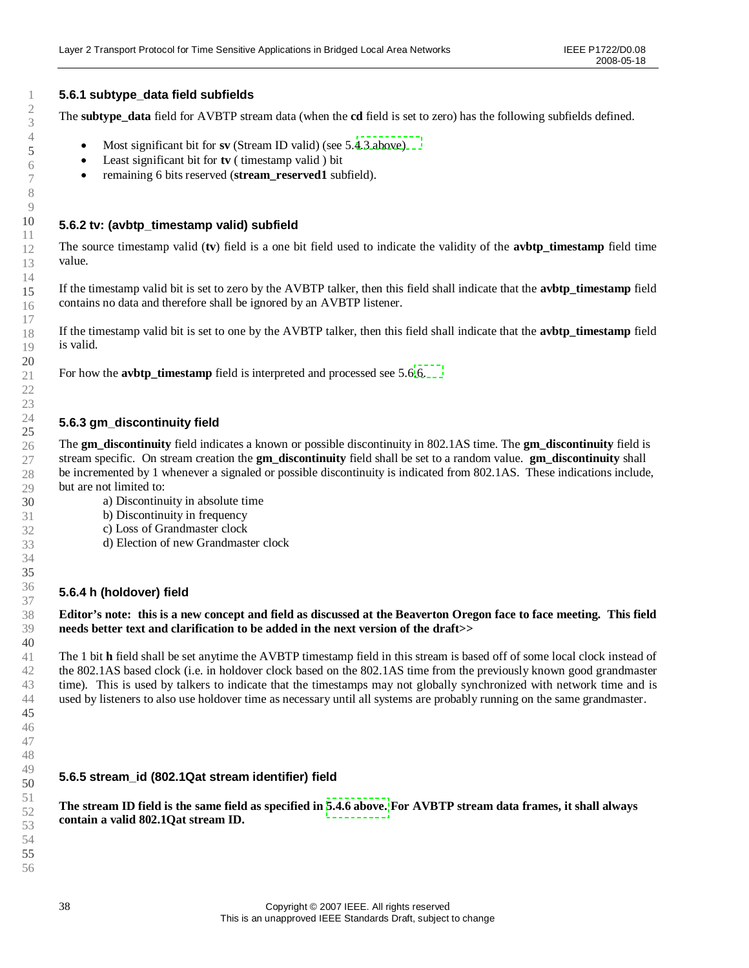# **5.6.1 subtype\_data field subfields**

The **subtype** data field for AVBTP stream data (when the cd field is set to zero) has the following subfields defined.

- Most significant bit for **sv** (Stream ID valid) (see 5.[4.3 above\)](#page-33-0)
- Least significant bit for **tv** ( timestamp valid ) bit
- remaining 6 bits reserved (**stream\_reserved1** subfield).

#### **5.6.2 tv: (avbtp\_timestamp valid) subfield**

The source timestamp valid (**tv**) field is a one bit field used to indicate the validity of the **avbtp\_timestamp** field time value.

If the timestamp valid bit is set to zero by the AVBTP talker, then this field shall indicate that the **avbtp\_timestamp** field contains no data and therefore shall be ignored by an AVBTP listener.

If the timestamp valid bit is set to one by the AVBTP talker, then this field shall indicate that the **avbtp\_timestamp** field is valid.

For how the **avbtp** timestamp field is interpreted and processed see 5[.6.](#page-38-0)6.

# **5.6.3 gm\_discontinuity field**

The **gm\_discontinuity** field indicates a known or possible discontinuity in 802.1AS time. The **gm\_discontinuity** field is stream specific. On stream creation the **gm\_discontinuity** field shall be set to a random value. **gm\_discontinuity** shall be incremented by 1 whenever a signaled or possible discontinuity is indicated from 802.1AS. These indications include, but are not limited to:

- a) Discontinuity in absolute time
- b) Discontinuity in frequency
- c) Loss of Grandmaster clock
- d) Election of new Grandmaster clock

#### **5.6.4 h (holdover) field**

#### **Editor's note: this is a new concept and field as discussed at the Beaverton Oregon face to face meeting. This field needs better text and clarification to be added in the next version of the draft>>**

The 1 bit **h** field shall be set anytime the AVBTP timestamp field in this stream is based off of some local clock instead of the 802.1AS based clock (i.e. in holdover clock based on the 802.1AS time from the previously known good grandmaster time). This is used by talkers to indicate that the timestamps may not globally synchronized with network time and is used by listeners to also use holdover time as necessary until all systems are probably running on the same grandmaster.

#### **5.6.5 stream\_id (802.1Qat stream identifier) field**

**The stream ID field is the same field as specified in [5.4.6 above.](#page-33-0) For AVBTP stream data frames, it shall always contain a valid 802.1Qat stream ID.**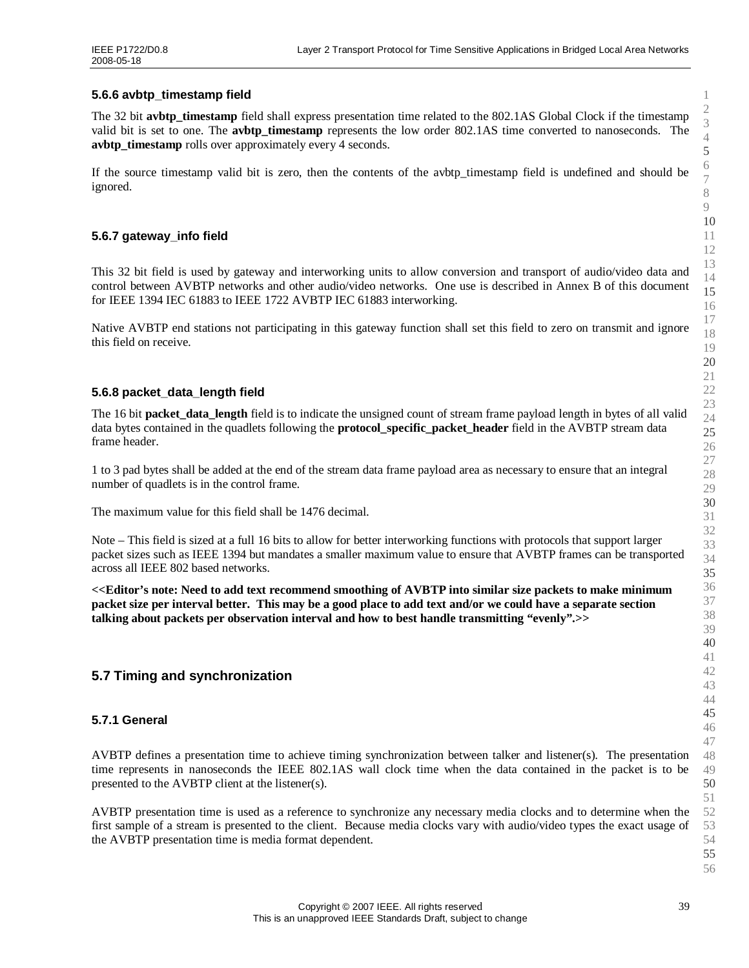#### **5.6.6 avbtp\_timestamp field**

<span id="page-38-0"></span>The 32 bit **avbtp timestamp** field shall express presentation time related to the 802.1AS Global Clock if the timestamp valid bit is set to one. The **avbtp\_timestamp** represents the low order 802.1AS time converted to nanoseconds. The **avbtp** timestamp rolls over approximately every 4 seconds.

If the source timestamp valid bit is zero, then the contents of the avbtp\_timestamp field is undefined and should be ignored.

#### **5.6.7 gateway\_info field**

This 32 bit field is used by gateway and interworking units to allow conversion and transport of audio/video data and control between AVBTP networks and other audio/video networks. One use is described in Annex B of this document for IEEE 1394 IEC 61883 to IEEE 1722 AVBTP IEC 61883 interworking.

Native AVBTP end stations not participating in this gateway function shall set this field to zero on transmit and ignore this field on receive.

# **5.6.8 packet\_data\_length field**

The 16 bit **packet\_data\_length** field is to indicate the unsigned count of stream frame payload length in bytes of all valid data bytes contained in the quadlets following the **protocol\_specific\_packet\_header** field in the AVBTP stream data frame header.

1 to 3 pad bytes shall be added at the end of the stream data frame payload area as necessary to ensure that an integral number of quadlets is in the control frame.

The maximum value for this field shall be 1476 decimal.

Note – This field is sized at a full 16 bits to allow for better interworking functions with protocols that support larger packet sizes such as IEEE 1394 but mandates a smaller maximum value to ensure that AVBTP frames can be transported across all IEEE 802 based networks.

**<<Editor's note: Need to add text recommend smoothing of AVBTP into similar size packets to make minimum packet size per interval better. This may be a good place to add text and/or we could have a separate section talking about packets per observation interval and how to best handle transmitting "evenly".>>**

# **5.7 Timing and synchronization**

#### **5.7.1 General**

AVBTP defines a presentation time to achieve timing synchronization between talker and listener(s). The presentation time represents in nanoseconds the IEEE 802.1AS wall clock time when the data contained in the packet is to be presented to the AVBTP client at the listener(s).

AVBTP presentation time is used as a reference to synchronize any necessary media clocks and to determine when the first sample of a stream is presented to the client. Because media clocks vary with audio/video types the exact usage of the AVBTP presentation time is media format dependent.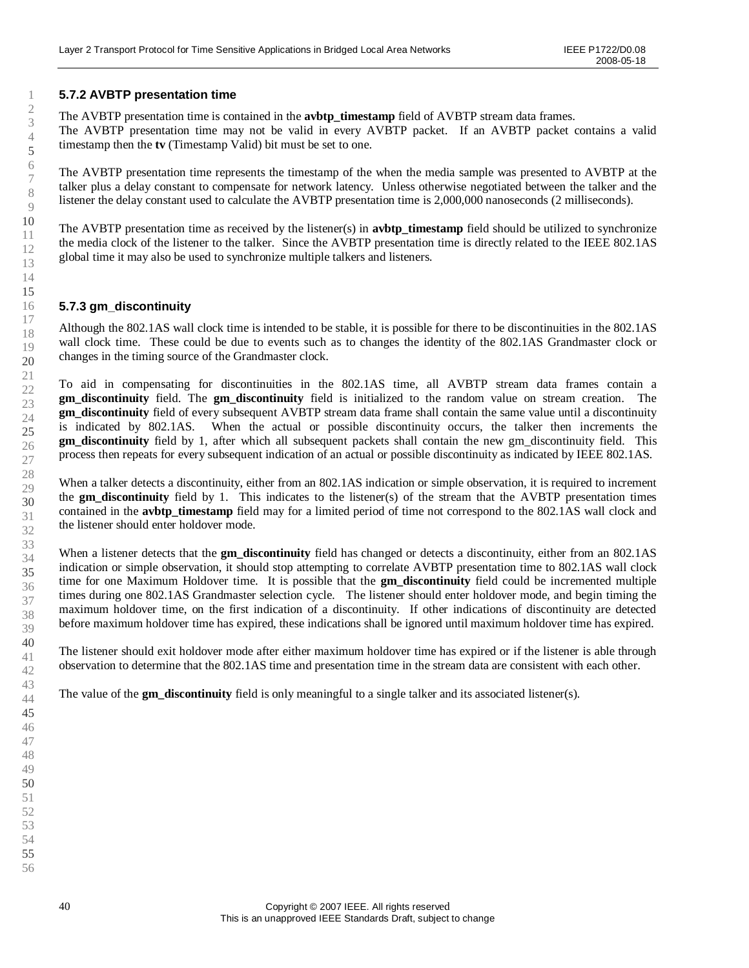#### **5.7.2 AVBTP presentation time**

The AVBTP presentation time is contained in the **avbtp\_timestamp** field of AVBTP stream data frames. The AVBTP presentation time may not be valid in every AVBTP packet. If an AVBTP packet contains a valid timestamp then the **tv** (Timestamp Valid) bit must be set to one.

The AVBTP presentation time represents the timestamp of the when the media sample was presented to AVBTP at the talker plus a delay constant to compensate for network latency. Unless otherwise negotiated between the talker and the listener the delay constant used to calculate the AVBTP presentation time is 2,000,000 nanoseconds (2 milliseconds).

The AVBTP presentation time as received by the listener(s) in **avbtp\_timestamp** field should be utilized to synchronize the media clock of the listener to the talker. Since the AVBTP presentation time is directly related to the IEEE 802.1AS global time it may also be used to synchronize multiple talkers and listeners.

#### **5.7.3 gm\_discontinuity**

Although the 802.1AS wall clock time is intended to be stable, it is possible for there to be discontinuities in the 802.1AS wall clock time. These could be due to events such as to changes the identity of the 802.1AS Grandmaster clock or changes in the timing source of the Grandmaster clock.

To aid in compensating for discontinuities in the 802.1AS time, all AVBTP stream data frames contain a **gm** discontinuity field. The **gm** discontinuity field is initialized to the random value on stream creation. The **gm** discontinuity field of every subsequent AVBTP stream data frame shall contain the same value until a discontinuity is indicated by 802.1AS. When the actual or possible discontinuity occurs, the talker then increments the **gm** discontinuity field by 1, after which all subsequent packets shall contain the new gm discontinuity field. This process then repeats for every subsequent indication of an actual or possible discontinuity as indicated by IEEE 802.1AS.

When a talker detects a discontinuity, either from an 802.1AS indication or simple observation, it is required to increment the **gm\_discontinuity** field by 1. This indicates to the listener(s) of the stream that the AVBTP presentation times contained in the **avbtp\_timestamp** field may for a limited period of time not correspond to the 802.1AS wall clock and the listener should enter holdover mode.

When a listener detects that the **gm\_discontinuity** field has changed or detects a discontinuity, either from an 802.1AS indication or simple observation, it should stop attempting to correlate AVBTP presentation time to 802.1AS wall clock time for one Maximum Holdover time. It is possible that the **gm\_discontinuity** field could be incremented multiple times during one 802.1AS Grandmaster selection cycle. The listener should enter holdover mode, and begin timing the maximum holdover time, on the first indication of a discontinuity. If other indications of discontinuity are detected before maximum holdover time has expired, these indications shall be ignored until maximum holdover time has expired.

The listener should exit holdover mode after either maximum holdover time has expired or if the listener is able through observation to determine that the 802.1AS time and presentation time in the stream data are consistent with each other.

The value of the **gm\_discontinuity** field is only meaningful to a single talker and its associated listener(s).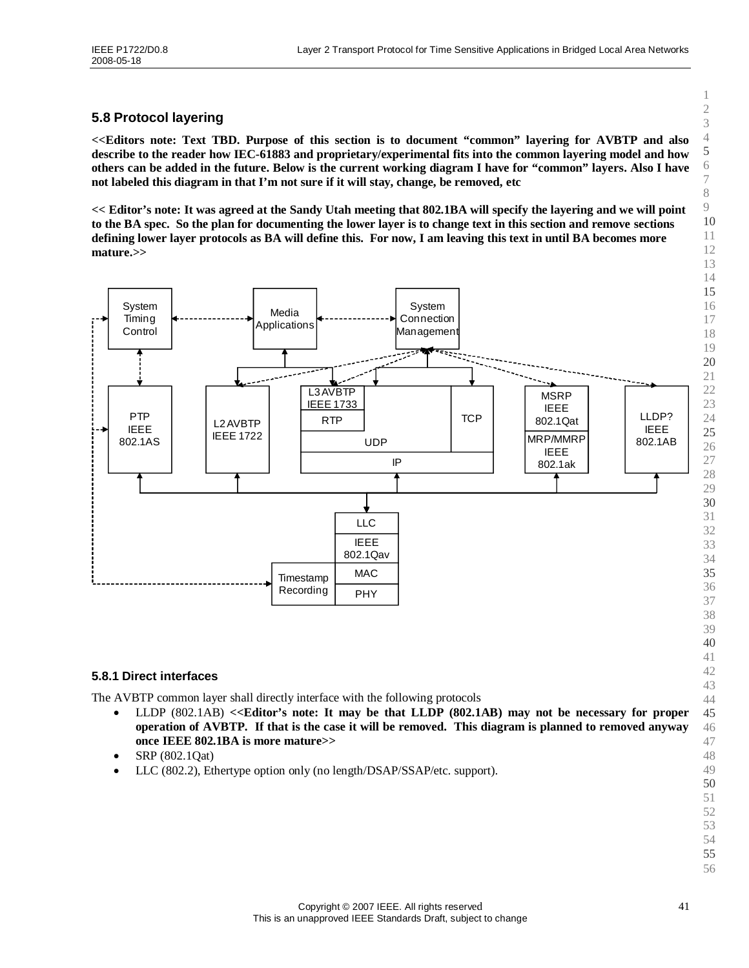# **5.8 Protocol layering**

**<<Editors note: Text TBD. Purpose of this section is to document "common" layering for AVBTP and also describe to the reader how IEC-61883 and proprietary/experimental fits into the common layering model and how others can be added in the future. Below is the current working diagram I have for "common"layers. Also I have not labeled this diagram in that I'm not sure if it will stay, change, be removed, etc**

**<< Editor's note: It was agreed at the Sandy Utah meeting that 802.1BA will specify the layering and we will point to the BA spec. So the plan for documenting the lower layer is to change text in this section and remove sections defining lower layer protocols as BA will define this. For now, I am leaving this text in until BA becomes more mature.>>**



#### **5.8.1 Direct interfaces**

The AVBTP common layer shall directly interface with the following protocols

- LLDP (802.1AB) **<<Editor's note: It may be that LLDP (802.1AB) may not be necessary for proper operation of AVBTP. If that is the case it will be removed. This diagram is planned to removed anyway once IEEE 802.1BA is more mature>>**
- SRP (802.1Qat)
- LLC (802.2), Ethertype option only (no length/DSAP/SSAP/etc. support).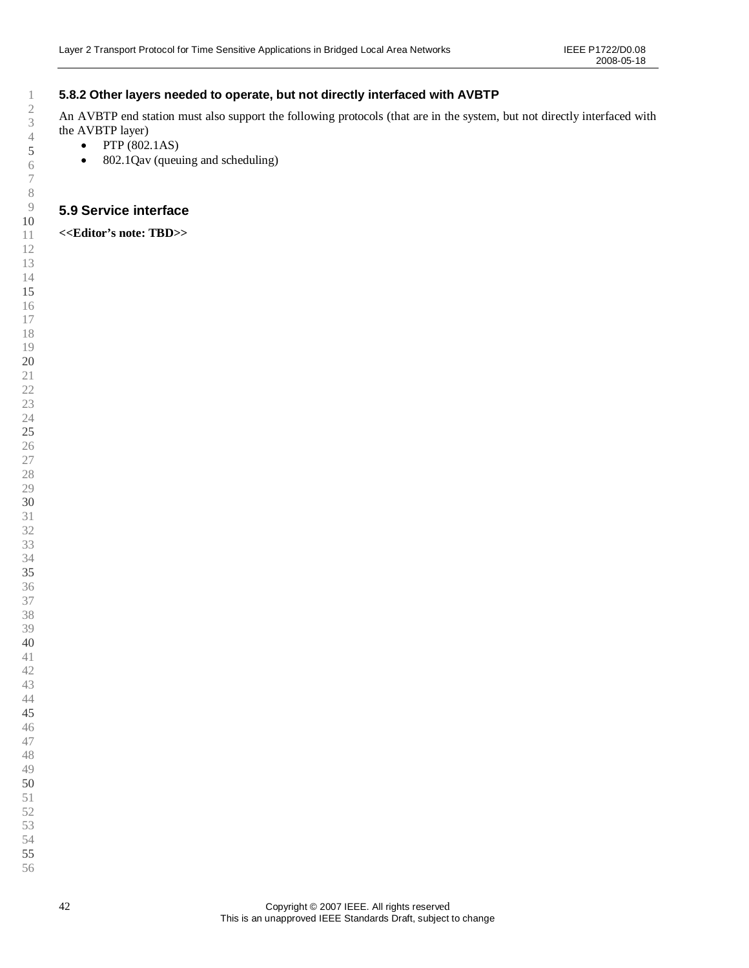# **5.8.2 Other layers needed to operate, but not directly interfaced with AVBTP**

An AVBTP end station must also support the following protocols (that are in the system, but not directly interfaced with the AVBTP layer)

- $\bullet$  PTP (802.1AS)
- 802.1Qav (queuing and scheduling)

# **5.9 Service interface**

**<<Editor's note: TBD>>**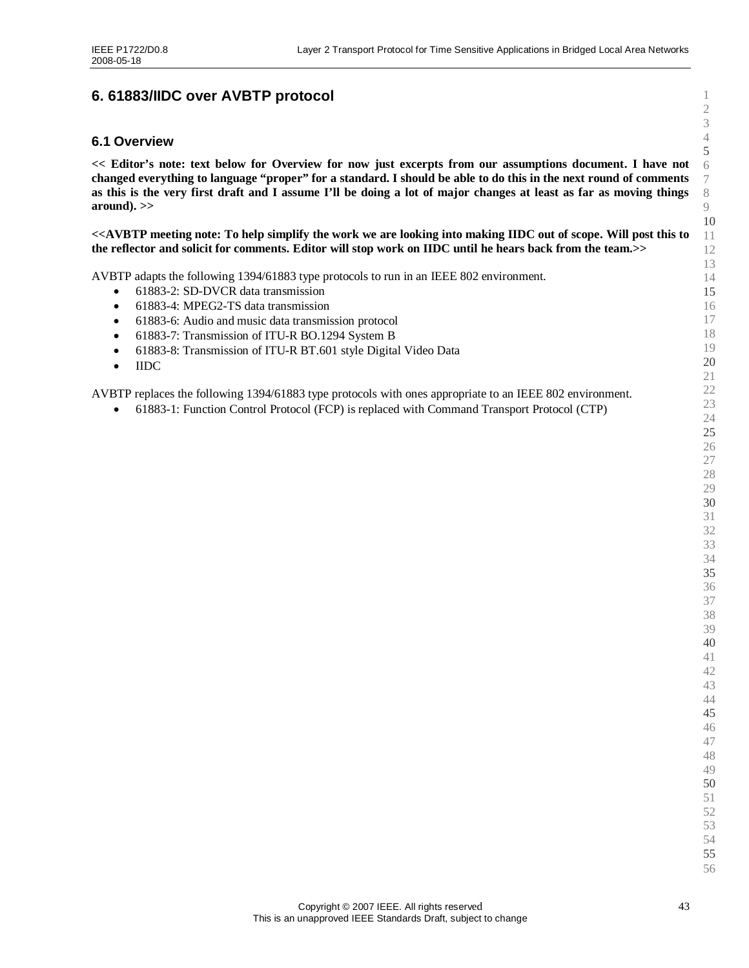# **6. 61883/IIDC over AVBTP protocol**

#### **6.1 Overview**

**<< Editor's note: text below for Overview for now just excerpts from our assumptions document. I have not changed everything to language "proper"for a standard. I should be able to do this in the next round of comments as this is the very first draft and I assume I'll be doing a lot of major changes at least as far as moving things around). >>**

**<<AVBTP meeting note: To help simplify the work we are looking into making IIDC out of scope. Will post this to the reflector and solicit for comments. Editor will stop work on IIDC until he hears back from the team.>>**

AVBTP adapts the following 1394/61883 type protocols to run in an IEEE 802 environment.

- 61883-2: SD-DVCR data transmission
- 61883-4: MPEG2-TS data transmission
- 61883-6: Audio and music data transmission protocol
- 61883-7: Transmission of ITU-R BO.1294 System B
- 61883-8: Transmission of ITU-R BT.601 style Digital Video Data
- IIDC

AVBTP replaces the following 1394/61883 type protocols with ones appropriate to an IEEE 802 environment.

61883-1: Function Control Protocol (FCP) is replaced with Command Transport Protocol (CTP)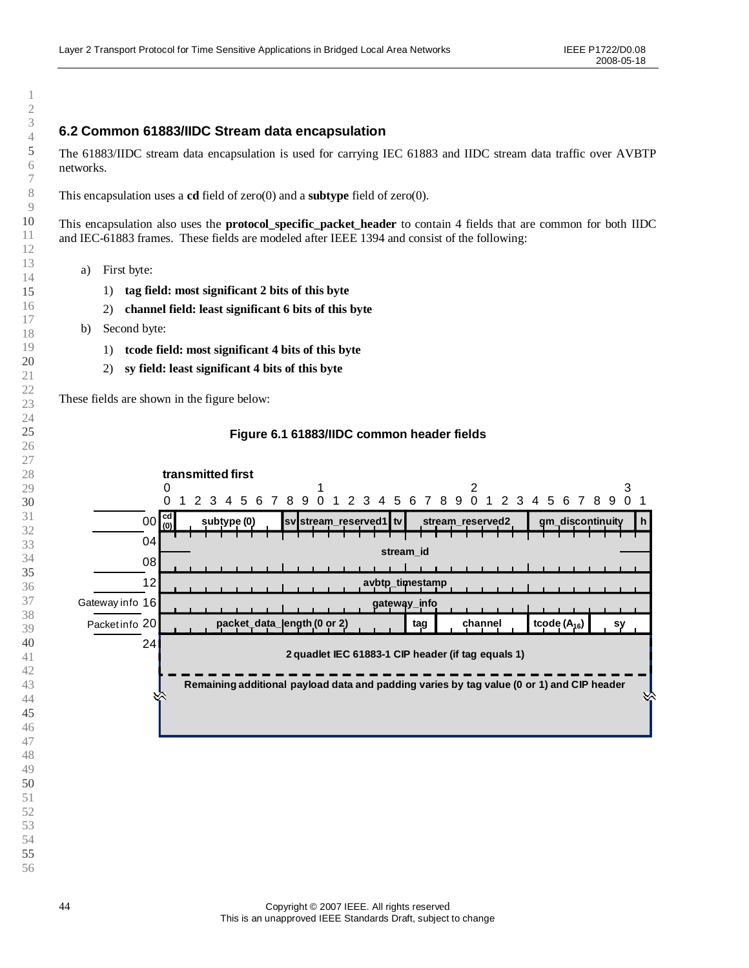# **6.2 Common 61883/IIDC Stream data encapsulation**

The 61883/IIDC stream data encapsulation is used for carrying IEC 61883 and IIDC stream data traffic over AVBTP networks.

This encapsulation uses a **cd** field of zero(0) and a **subtype** field of zero(0).

This encapsulation also uses the **protocol\_specific\_packet\_header** to contain 4 fields that are common for both IIDC and IEC-61883 frames. These fields are modeled after IEEE 1394 and consist of the following:

a) First byte:

- 1) **tag field: most significant 2 bits of this byte**
- 2) **channel field: least significant 6 bits of this byte**
- b) Second byte:
	- 1) **tcode field: most significant 4 bits of this byte**
	- 2) **sy field: least significant 4 bits of this byte**

These fields are shown in the figure below:



**Figure 6.1 61883/IIDC common header fields**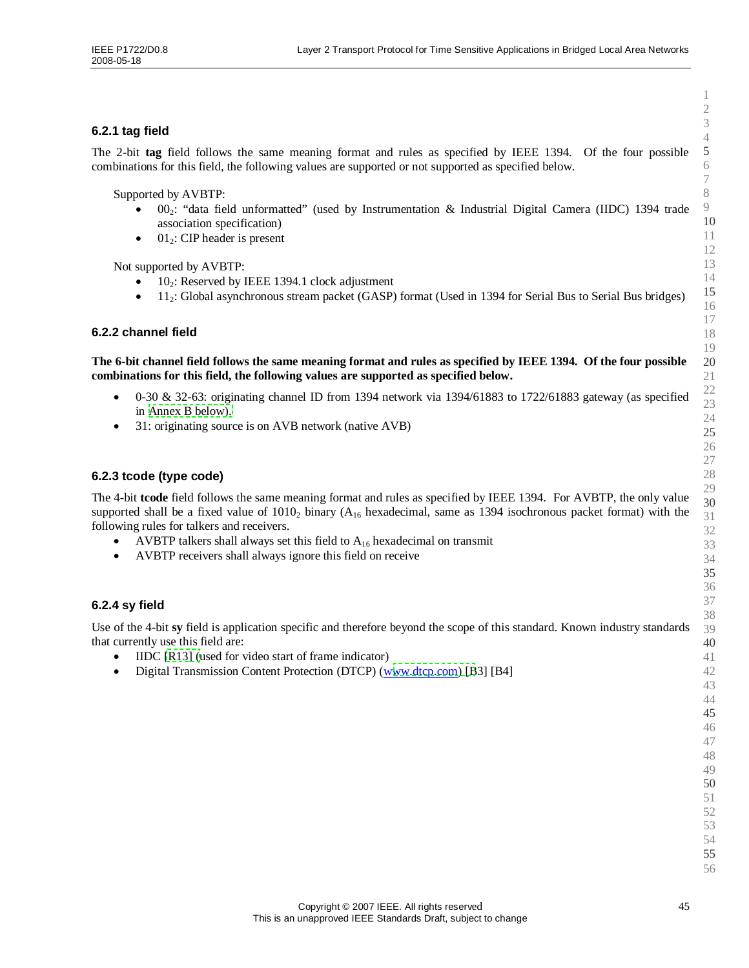# **6.2.1 tag field**

The 2-bit **tag** field follows the same meaning format and rules as specified by IEEE 1394. Of the four possible combinations for this field, the following values are supported or not supported as specified below.

Supported by AVBTP:

- 002: "data field unformatted" (used by Instrumentation & Industrial Digital Camera (IIDC) 1394 trade association specification)
- $\bullet$  01<sup>2</sup>: CIP header is present

Not supported by AVBTP:

- $10<sub>2</sub>$ : Reserved by IEEE 1394.1 clock adjustment
- 112: Global asynchronous stream packet (GASP) format (Used in 1394 for Serial Bus to Serial Bus bridges)

#### **6.2.2 channel field**

**The 6-bit channel field follows the same meaning format and rules as specified by IEEE 1394. Of the four possible combinations for this field, the following values are supported as specified below.**

- $\bullet$  0-30 & 32-63: originating channel ID from 1394 network via 1394/61883 to 1722/61883 gateway (as specified in [Annex B below\).](#page-71-0)
- 31: originating source is on AVB network (native AVB)

#### **6.2.3 tcode (type code)**

The 4-bit **tcode** field follows the same meaning format and rules as specified by IEEE 1394. For AVBTP, the only value supported shall be a fixed value of  $1010<sub>2</sub>$  binary (A<sub>16</sub> hexadecimal, same as 1394 isochronous packet format) with the following rules for talkers and receivers.

- AVBTP talkers shall always set this field to  $A_{16}$  hexadecimal on transmit
- AVBTP receivers shall always ignore this field on receive

#### **6.2.4 sy field**

Use of the 4-bit **sy** field is application specific and therefore beyond the scope of this standard. Known industry standards that currently use this field are:

- IIDC [\[R13\]](#page-15-0) (used for video start of frame indicator)
- Digital Transmission Content Protection (DTCP)(w[ww.dtcp.com\)](http://www.dtcp.com/) [B3] [B4]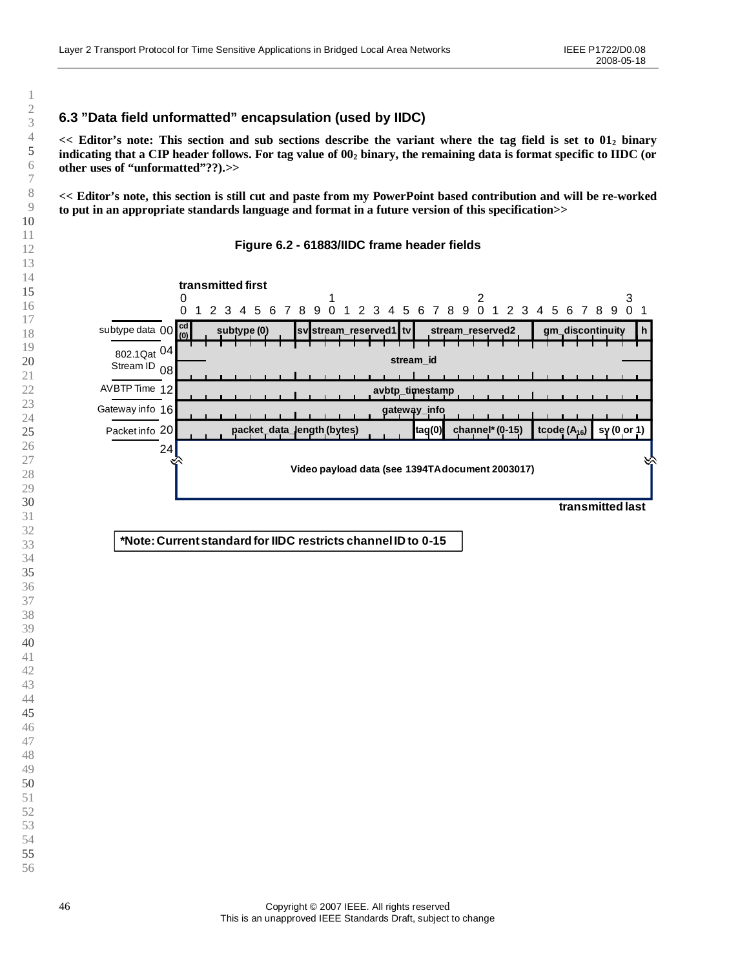# **6.3 "Data field unformatted"encapsulation (used by IIDC)**

**<< Editor's note: This section and sub sections describe the variant where the tag field is set to 01<sup>2</sup> binary indicating that a CIP header follows. For tag value of 00<sup>2</sup> binary, the remaining data is format specific to IIDC (or other uses of "unformatted"??).>>**

**<< Editor's note, this section is still cut and paste from my PowerPoint based contribution and will be re-worked to put in an appropriate standards language and format in a future version of this specification>>**

#### **Figure 6.2 - 61883/IIDC frame header fields**

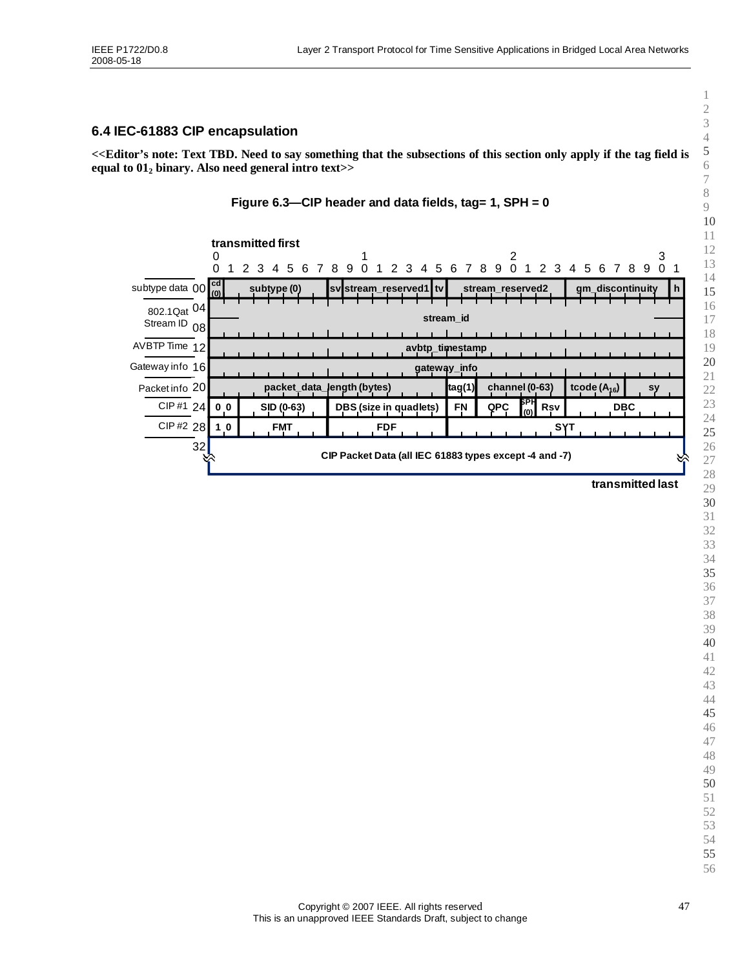# **6.4 IEC-61883 CIP encapsulation**

**<<Editor's note: Text TBD. Need to say something that the subsections of this section only apply if the tag field is equal to 01<sup>2</sup> binary. Also need general intro text>>**



|                                  |    | transmitted first                                                                |  |   |             |            |            |    |     |  |          |            |   |                        |   |   |    |  |  |                  |  |            | З                                                      |  |  |  |  |                  |  |    |
|----------------------------------|----|----------------------------------------------------------------------------------|--|---|-------------|------------|------------|----|-----|--|----------|------------|---|------------------------|---|---|----|--|--|------------------|--|------------|--------------------------------------------------------|--|--|--|--|------------------|--|----|
|                                  |    |                                                                                  |  | 2 | 3 4 5       |            |            | -6 | 789 |  | $\Omega$ |            | 2 | 3                      | 4 | 5 |    |  |  | 678901           |  |            |                                                        |  |  |  |  | 2 3 4 5 6 7 8 9  |  |    |
| subtype data $00\int_{(0)}^{cd}$ |    |                                                                                  |  |   | subtype (0) |            |            |    |     |  |          |            |   | svistream_reserved1 tv |   |   |    |  |  | stream_reserved2 |  |            |                                                        |  |  |  |  | gm_discontinuity |  | h. |
| 802.1Qat 04<br>Stream ID 08      |    | stream id                                                                        |  |   |             |            |            |    |     |  |          |            |   |                        |   |   |    |  |  |                  |  |            |                                                        |  |  |  |  |                  |  |    |
| AVBTP Time 12                    |    | avbtp_timestamp                                                                  |  |   |             |            |            |    |     |  |          |            |   |                        |   |   |    |  |  |                  |  |            |                                                        |  |  |  |  |                  |  |    |
| Gateway info 16                  |    | gateway_info                                                                     |  |   |             |            |            |    |     |  |          |            |   |                        |   |   |    |  |  |                  |  |            |                                                        |  |  |  |  |                  |  |    |
| Packet info 20                   |    | tag(1)<br>channel (0-63)<br>packet_data_length (bytes)<br>tcode $(A_{16})$<br>sy |  |   |             |            |            |    |     |  |          |            |   |                        |   |   |    |  |  |                  |  |            |                                                        |  |  |  |  |                  |  |    |
| CIP#1 24                         |    | 0 <sub>0</sub>                                                                   |  |   |             |            | SID (0-63) |    |     |  |          |            |   | DBS (size in quadlets) |   |   | FN |  |  | QPC              |  | БРН<br>(0) | <b>Rsv</b>                                             |  |  |  |  | <b>DBC</b>       |  |    |
| CIP#2 28                         |    | 1 <sub>0</sub>                                                                   |  |   |             | <b>FMT</b> |            |    |     |  |          | <b>FDF</b> |   |                        |   |   |    |  |  |                  |  |            |                                                        |  |  |  |  |                  |  |    |
|                                  | 32 |                                                                                  |  |   |             |            |            |    |     |  |          |            |   |                        |   |   |    |  |  |                  |  |            | CIP Packet Data (all IEC 61883 types except -4 and -7) |  |  |  |  |                  |  |    |

**transmitted last**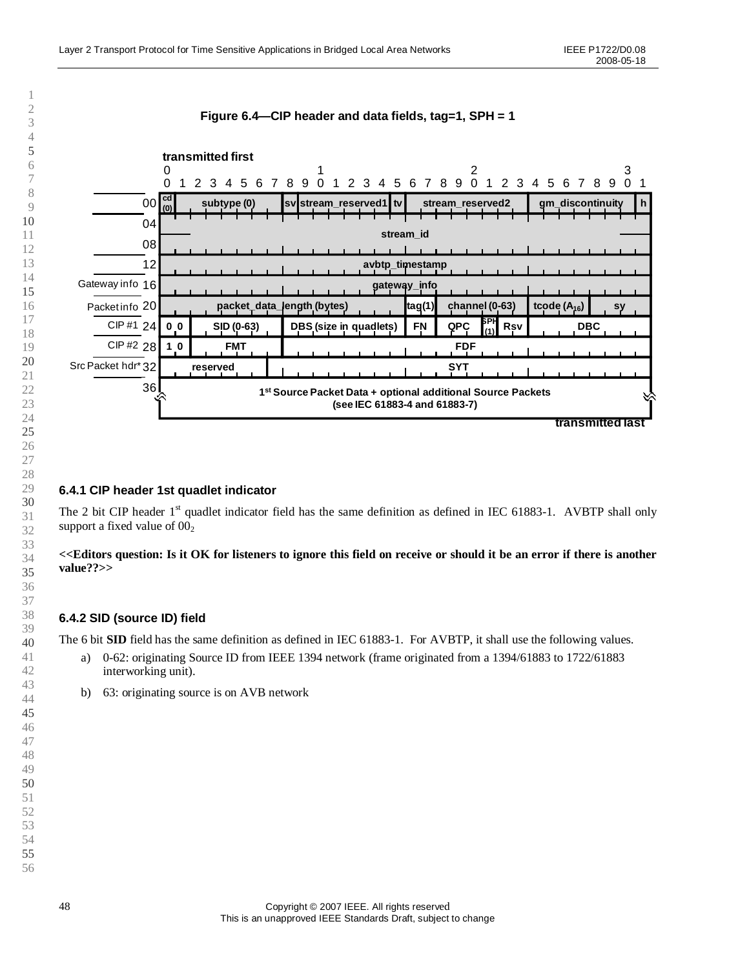

# **Figure 6.4— CIP header and data fields, tag=1, SPH = 1**

# **6.4.1 CIP header 1st quadlet indicator**

The 2 bit CIP header  $1<sup>st</sup>$  quadlet indicator field has the same definition as defined in IEC 61883-1. AVBTP shall only support a fixed value of  $00<sub>2</sub>$ 

#### **<<Editors question: Is it OK for listeners to ignore this field on receive or should it be an error if there is another value??>>**

#### **6.4.2 SID (source ID) field**

The 6 bit **SID** field has the same definition as defined in IEC 61883-1. For AVBTP, it shall use the following values.

- a) 0-62: originating Source ID from IEEE 1394 network (frame originated from a 1394/61883 to 1722/61883 interworking unit).
	- b) 63: originating source is on AVB network
-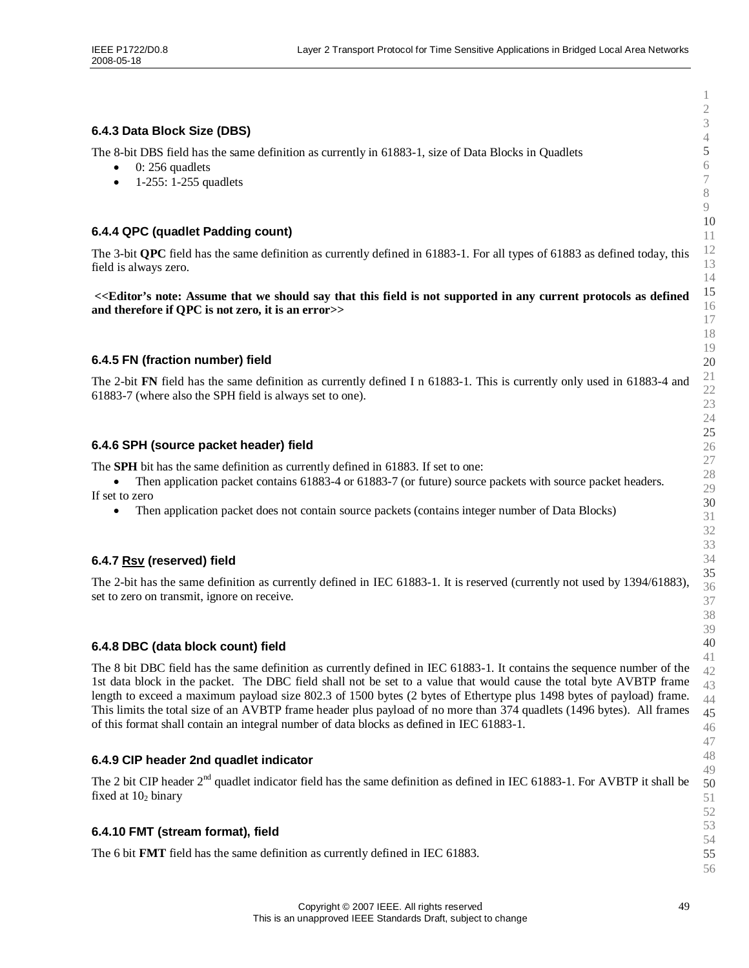#### **6.4.3 Data Block Size (DBS)**

The 8-bit DBS field has the same definition as currently in 61883-1, size of Data Blocks in Quadlets

- $\bullet$  0: 256 quadlets
- $1-255$ :  $1-255$  quadlets

#### **6.4.4 QPC (quadlet Padding count)**

The 3-bit **QPC** field has the same definition as currently defined in 61883-1. For all types of 61883 as defined today, this field is always zero.

**<<Editor's note: Assume that we should say that this field is not supported in any current protocols as defined and therefore if QPC is not zero, it is an error>>**

# **6.4.5 FN (fraction number) field**

The 2-bit **FN** field has the same definition as currently defined I n 61883-1. This is currently only used in 61883-4 and 61883-7 (where also the SPH field is always set to one).

#### **6.4.6 SPH (source packet header) field**

The **SPH** bit has the same definition as currently defined in 61883. If set to one:

• Then application packet contains 61883-4 or 61883-7 (or future) source packets with source packet headers. If set to zero

• Then application packet does not contain source packets (contains integer number of Data Blocks)

# **6.4.7 Rsv (reserved) field**

The 2-bit has the same definition as currently defined in IEC 61883-1. It is reserved (currently not used by 1394/61883), set to zero on transmit, ignore on receive.

#### **6.4.8 DBC (data block count) field**

The 8 bit DBC field has the same definition as currently defined in IEC 61883-1. It contains the sequence number of the 1st data block in the packet. The DBC field shall not be set to a value that would cause the total byte AVBTP frame length to exceed a maximum payload size 802.3 of 1500 bytes (2 bytes of Ethertype plus 1498 bytes of payload) frame. This limits the total size of an AVBTP frame header plus payload of no more than 374 quadlets (1496 bytes). All frames of this format shall contain an integral number of data blocks as defined in IEC 61883-1.

#### **6.4.9 CIP header 2nd quadlet indicator**

The 2 bit CIP header  $2<sup>nd</sup>$  quadlet indicator field has the same definition as defined in IEC 61883-1. For AVBTP it shall be fixed at  $10<sub>2</sub>$  binary

#### **6.4.10 FMT (stream format), field**

The 6 bit **FMT** field has the same definition as currently defined in IEC 61883.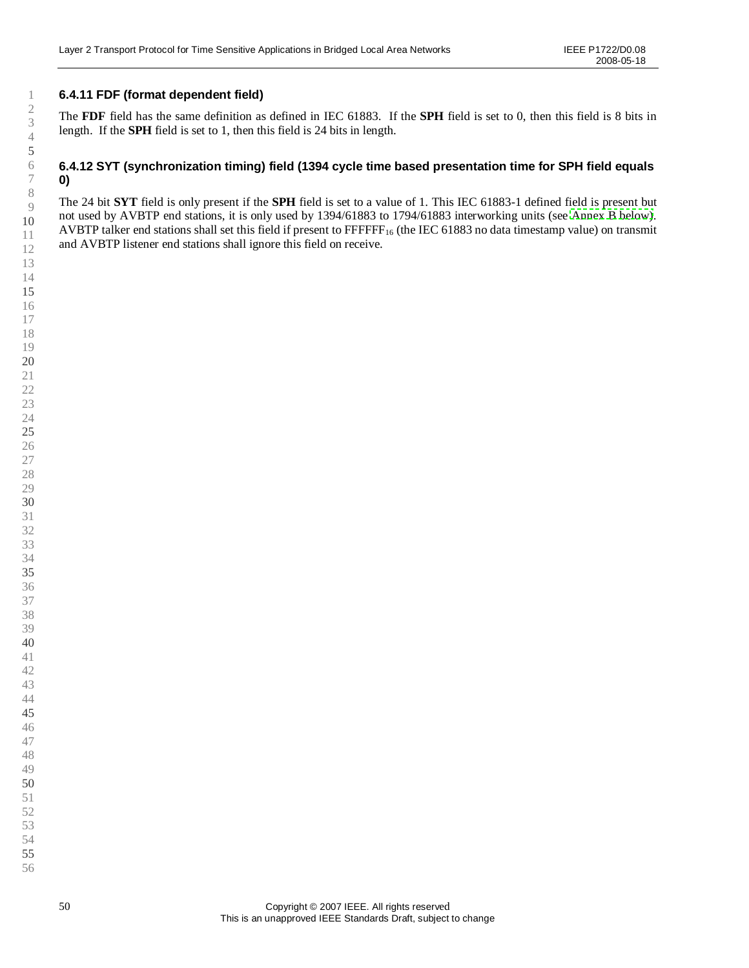# **6.4.11 FDF (format dependent field)**

The **FDF** field has the same definition as defined in IEC 61883. If the **SPH** field is set to 0, then this field is 8 bits in length. If the **SPH** field is set to 1, then this field is 24 bits in length.

# **6.4.12 SYT (synchronization timing) field (1394 cycle time based presentation time for SPH field equals 0)**

The 24 bit **SYT** field is only present if the **SPH** field is set to a value of 1. This IEC 61883-1 defined field is present but not used by AVBTP end stations, it is only used by 1394/61883 to 1794/61883 interworking units (see [Annex B below\)](#page-71-0). AVBTP talker end stations shall set this field if present to  $\text{FFFFF}_{16}$  (the IEC 61883 no data timestamp value) on transmit and AVBTP listener end stations shall ignore this field on receive.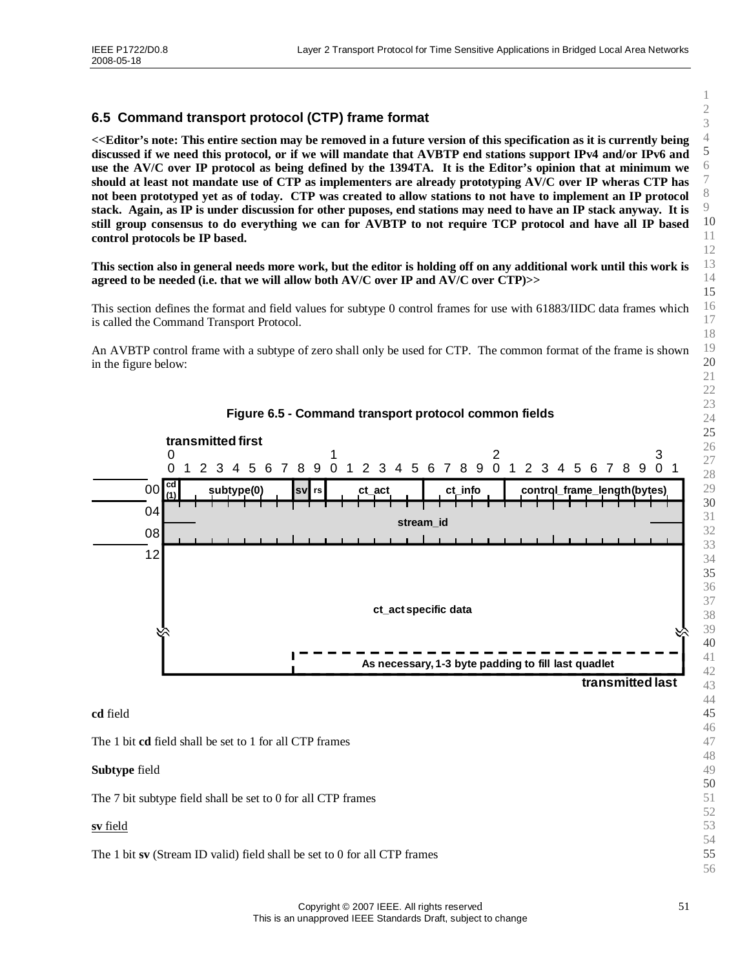# <span id="page-50-0"></span>**6.5 Command transport protocol (CTP) frame format**

**<<Editor's note: This entire section may be removed in a future version of this specification as it is currently being discussed if we need this protocol, or if we will mandate that AVBTP end stations support IPv4 and/or IPv6 and use the AV/C over IP protocol as being defined by the 1394TA. It is the Editor's opinion that at minimum we should at least not mandate use of CTP as implementers are already prototyping AV/C over IP wheras CTP has not been prototyped yet as of today. CTP was created to allow stations to not have to implement an IP protocol stack. Again, as IP is under discussion for other puposes, end stations may need to have an IP stack anyway. It is still group consensus to do everything we can for AVBTP to not require TCP protocol and have all IP based control protocols be IP based.**

**This section also in general needs more work, but the editor is holding off on any additional work until this work is agreed to be needed (i.e. that we will allow both AV/C over IP and AV/C over CTP)>>**

This section defines the format and field values for subtype 0 control frames for use with 61883/IIDC data frames which is called the Command Transport Protocol.

An AVBTP control frame with a subtype of zero shall only be used for CTP. The common format of the frame is shown in the figure below:



# **Figure 6.5 - Command transport protocol common fields**

**cd** field

The 1 bit **cd** field shall be set to 1 for all CTP frames

#### **Subtype** field

The 7 bit subtype field shall be set to 0 for all CTP frames

#### **sv** field

The 1 bit **sv** (Stream ID valid) field shall be set to 0 for all CTP frames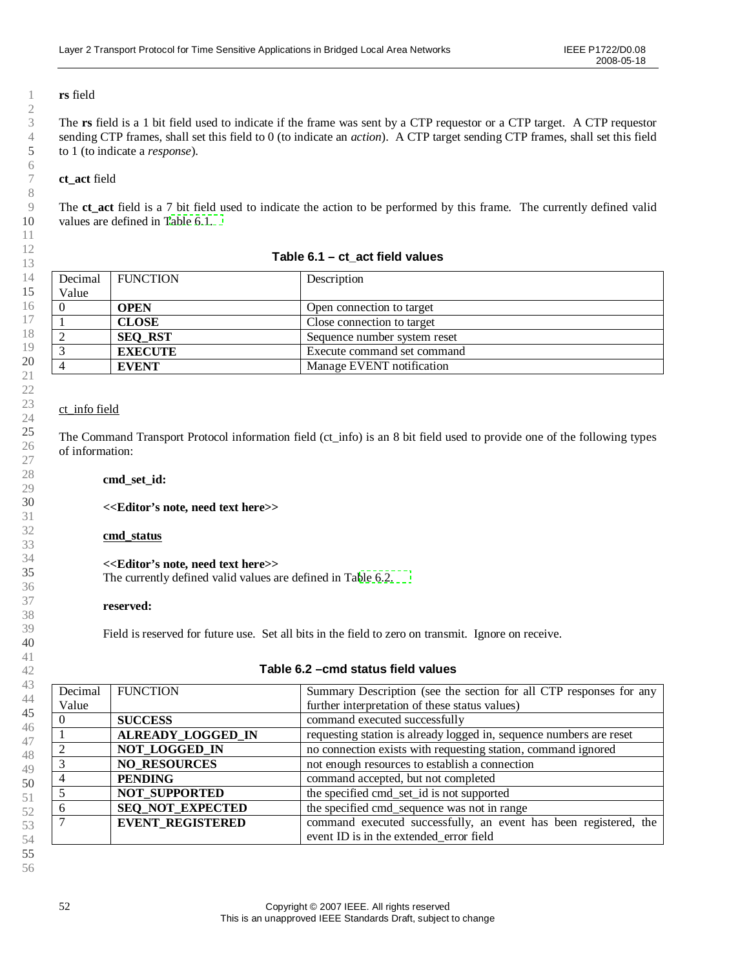# **rs** field

The **rs** field is a 1 bit field used to indicate if the frame was sent by a CTP requestor or a CTP target. A CTP requestor sending CTP frames, shall set this field to 0 (to indicate an *action*). A CTP target sending CTP frames, shall set this field to 1 (to indicate a *response*).

#### **ct\_act** field

The **ct\_act** field is a 7 bit field used to indicate the action to be performed by this frame. The currently defined valid values are defined in [Table](#page-51-0) 6.1.

# <span id="page-51-0"></span>**Table 6.1 –ct\_act field values**

| Decimal | <b>FUNCTION</b> | Description                  |  |  |  |  |  |
|---------|-----------------|------------------------------|--|--|--|--|--|
| Value   |                 |                              |  |  |  |  |  |
|         | <b>OPEN</b>     | Open connection to target    |  |  |  |  |  |
|         | <b>CLOSE</b>    | Close connection to target   |  |  |  |  |  |
|         | <b>SEQ RST</b>  | Sequence number system reset |  |  |  |  |  |
|         | <b>EXECUTE</b>  | Execute command set command  |  |  |  |  |  |
|         | <b>EVENT</b>    | Manage EVENT notification    |  |  |  |  |  |

#### ct\_info field

The Command Transport Protocol information field (ct\_info) is an 8 bit field used to provide one of the following types of information:

#### **cmd\_set\_id:**

#### **<<Editor's note, need text here>>**

#### **cmd\_status**

#### **<<Editor's note, need text here>>**

The currently defined valid values are defined in Table [6.2.](#page-51-1)

#### **reserved:**

Field is reserved for future use. Set all bits in the field to zero on transmit. Ignore on receive.

#### <span id="page-51-1"></span>**Table 6.2 –cmd status field values**

| Decimal | <b>FUNCTION</b>         | Summary Description (see the section for all CTP responses for any  |
|---------|-------------------------|---------------------------------------------------------------------|
| Value   |                         | further interpretation of these status values)                      |
|         | <b>SUCCESS</b>          | command executed successfully                                       |
|         | ALREADY_LOGGED_IN       | requesting station is already logged in, sequence numbers are reset |
|         | NOT_LOGGED_IN           | no connection exists with requesting station, command ignored       |
|         | <b>NO RESOURCES</b>     | not enough resources to establish a connection                      |
|         | <b>PENDING</b>          | command accepted, but not completed                                 |
|         | <b>NOT SUPPORTED</b>    | the specified cmd_set_id is not supported                           |
| h       | <b>SEQ_NOT_EXPECTED</b> | the specified cmd_sequence was not in range                         |
|         | <b>EVENT REGISTERED</b> | command executed successfully, an event has been registered, the    |
|         |                         | event ID is in the extended error field                             |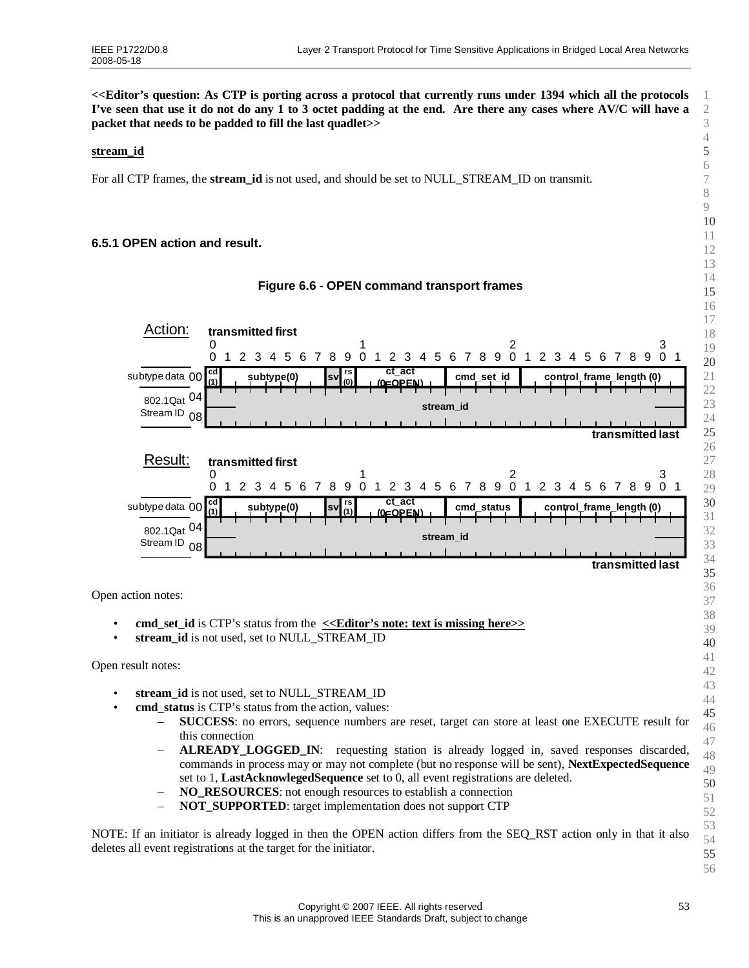**<<Editor's question: As CTP is porting across a protocol that currently runs under 1394 which all the protocols I've seen that use it do not do any 1 to 3 octet padding at the end. Are there any cases where AV/C will have a packet that needs to be padded to fill the last quadlet>>**

#### **stream\_id**

For all CTP frames, the **stream\_id** is not used, and should be set to NULL\_STREAM\_ID on transmit.

# **6.5.1 OPEN action and result.**

#### **Figure 6.6 - OPEN command transport frames**



- **cmd** set id is CTP's status from the **<<Editor's note: text is missing here>>**
- stream id is not used, set to NULL\_STREAM\_ID

Open result notes:

- stream id is not used, set to NULL\_STREAM\_ID
- **cmd** status is CTP's status from the action, values:
	- **SUCCESS**: no errors, sequence numbers are reset, target can store at least one EXECUTE result for this connection
	- **ALREADY\_LOGGED\_IN**: requesting station is already logged in, saved responses discarded, commands in process may or may not complete (but no response will be sent), **NextExpectedSequence** set to 1, **LastAcknowlegedSequence** set to 0, all event registrations are deleted.
	- **NO\_RESOURCES**: not enough resources to establish a connection
	- **NOT\_SUPPORTED**: target implementation does not support CTP

NOTE: If an initiator is already logged in then the OPEN action differs from the SEQ\_RST action only in that it also deletes all event registrations at the target for the initiator.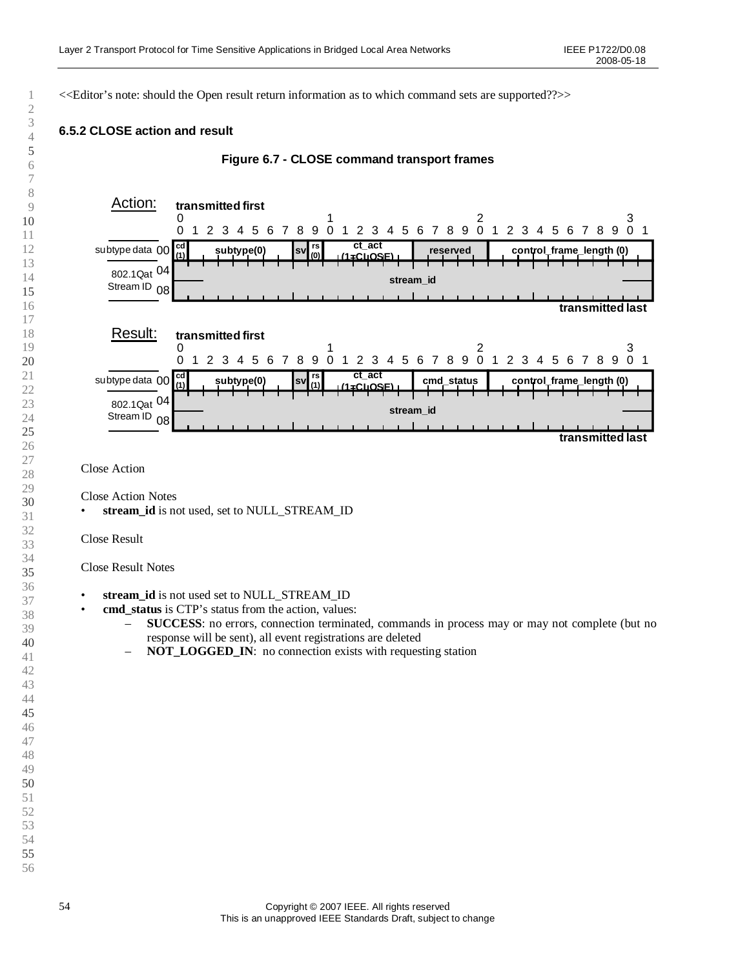<<Editor's note: should the Open result return information as to which command sets are supported??>>

#### **6.5.2 CLOSE action and result**

#### **Figure 6.7 - CLOSE command transport frames**



#### Close Action

Close Action Notes

• **stream\_id** is not used, set to NULL\_STREAM\_ID

#### Close Result

#### Close Result Notes

- **stream\_id** is not used set to NULL\_STREAM\_ID
- **cmd** status is CTP's status from the action, values:
	- **SUCCESS**: no errors, connection terminated, commands in process may or may not complete (but no response will be sent), all event registrations are deleted
	- **NOT\_LOGGED\_IN**: no connection exists with requesting station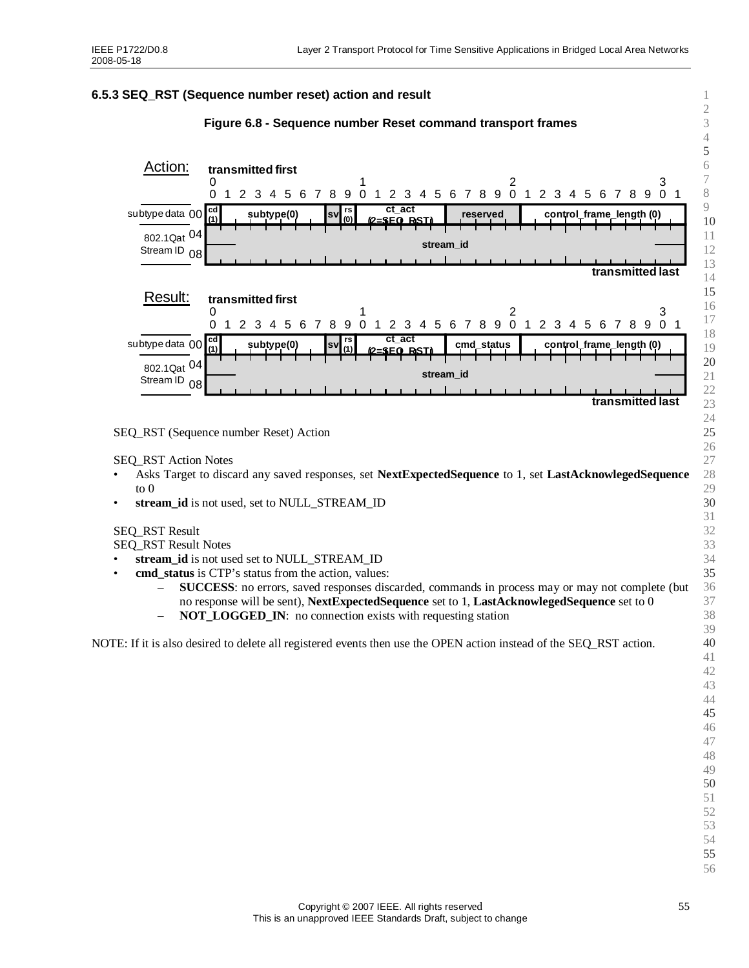# **6.5.3 SEQ\_RST (Sequence number reset) action and result**





SEQ\_RST Action Notes

- Asks Target to discard any saved responses, set **NextExpectedSequence** to 1, set **LastAcknowlegedSequence** to 0
- stream id is not used, set to NULL\_STREAM\_ID

SEQ\_RST Result

SEQ\_RST Result Notes

- **stream\_id** is not used set to NULL\_STREAM\_ID
- **cmd** status is CTP's status from the action, values:
	- **SUCCESS**: no errors, saved responses discarded, commands in process may or may not complete (but no response will be sent), **NextExpectedSequence** set to 1, **LastAcknowlegedSequence** set to 0
		- **NOT\_LOGGED\_IN:** no connection exists with requesting station

NOTE: If it is also desired to delete all registered events then use the OPEN action instead of the SEQ\_RST action.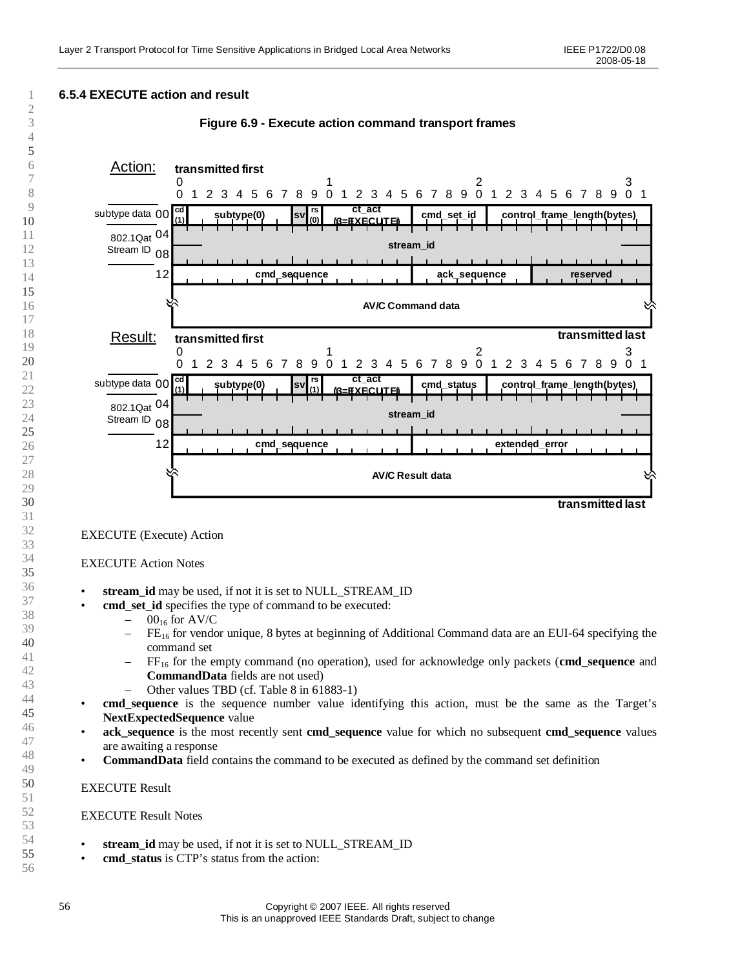# **6.5.4 EXECUTE action and result**





```
EXECUTE (Execute) Action
```
#### EXECUTE Action Notes

- **stream\_id** may be used, if not it is set to NULL\_STREAM\_ID
	- **cmd\_set\_id** specifies the type of command to be executed:
		- $-$  00<sub>16</sub> for AV/C
		- $-$  FE<sub>16</sub> for vendor unique, 8 bytes at beginning of Additional Command data are an EUI-64 specifying the command set
		- FF<sup>16</sup> for the empty command (no operation), used for acknowledge only packets (**cmd\_sequence** and **CommandData** fields are not used)
		- Other values TBD (cf. Table 8 in 61883-1)
- **cmd sequence** is the sequence number value identifying this action, must be the same as the Target's **NextExpectedSequence** value
- **ack** sequence is the most recently sent **cmd** sequence value for which no subsequent **cmd** sequence values are awaiting a response
- **CommandData** field contains the command to be executed as defined by the command set definition

#### EXECUTE Result

#### EXECUTE Result Notes

- stream\_id may be used, if not it is set to NULL\_STREAM\_ID
- **cmd** status is CTP's status from the action:

1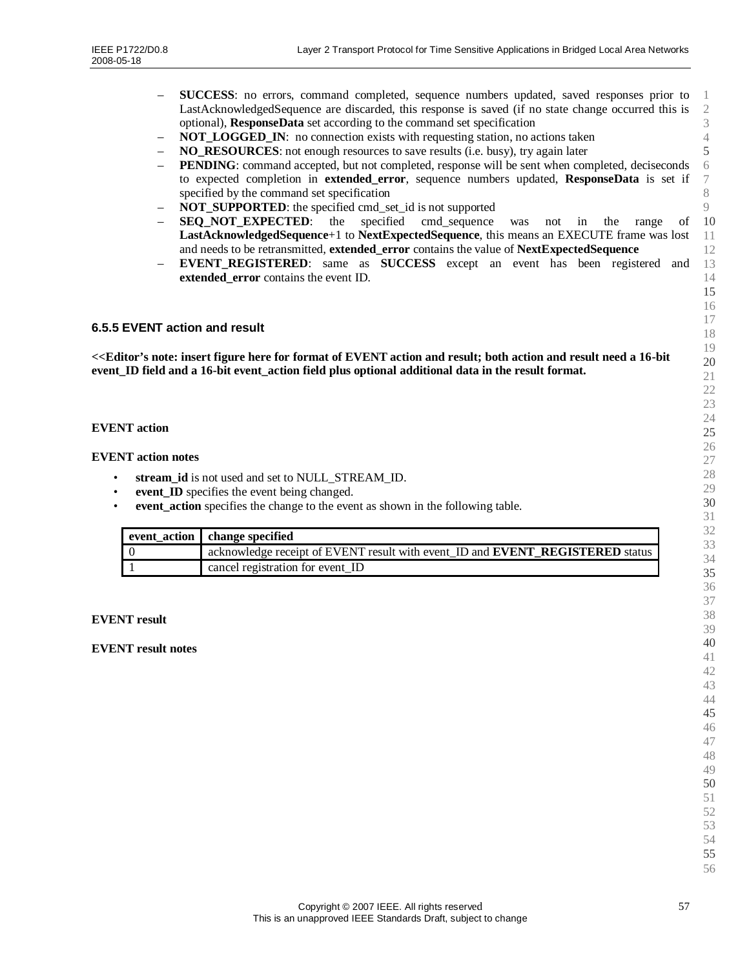- **SUCCESS**: no errors, command completed, sequence numbers updated, saved responses prior to LastAcknowledgedSequence are discarded, this response is saved (if no state change occurred this is optional), **ResponseData** set according to the command set specification
- **NOT\_LOGGED\_IN:** no connection exists with requesting station, no actions taken
- **NO\_RESOURCES**: not enough resources to save results (i.e. busy), try again later
- **PENDING**: command accepted, but not completed, response will be sent when completed, deciseconds to expected completion in **extended\_error**, sequence numbers updated, **ResponseData** is set if specified by the command set specification
- **NOT\_SUPPORTED:** the specified cmd\_set\_id is not supported
- **SEQ\_NOT\_EXPECTED**: the specified cmd\_sequence was not in the range of **LastAcknowledgedSequence**+1 to **NextExpectedSequence**, this means an EXECUTE frame was lost and needs to be retransmitted, **extended\_error** contains the value of **NextExpectedSequence**
- **EVENT REGISTERED:** same as **SUCCESS** except an event has been registered and **extended\_error** contains the event ID.

#### **6.5.5 EVENT action and result**

**<<Editor's note: insert figure here for format of EVENT action and result; both action and result need a 16-bit event\_ID field and a 16-bit event\_action field plus optional additional data in the result format.**

#### **EVENT action**

#### **EVENT action notes**

- stream id is not used and set to NULL\_STREAM\_ID.
- event **ID** specifies the event being changed.
- **event** action specifies the change to the event as shown in the following table.

| event action change specified                                                        |
|--------------------------------------------------------------------------------------|
| acknowledge receipt of EVENT result with event ID and <b>EVENT REGISTERED</b> status |
| cancel registration for event ID                                                     |

#### **EVENT result**

**EVENT result notes**

Copyright © 2007 IEEE. All rights reserved 57 This is an unapproved IEEE Standards Draft, subject to change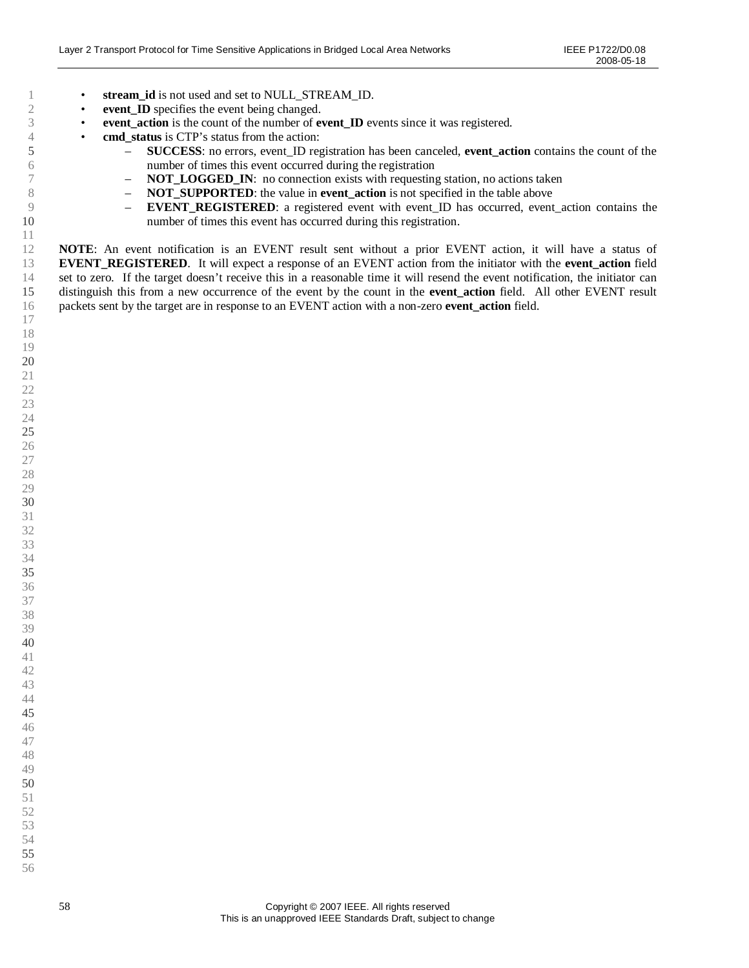- **stream\_id** is not used and set to NULL\_STREAM\_ID.
- **event ID** specifies the event being changed.

- **event\_action** is the count of the number of **event\_ID** events since it was registered.
- **cmd** status is CTP's status from the action:
	- **SUCCESS**: no errors, event\_ID registration has been canceled, **event\_action** contains the count of the number of times this event occurred during the registration
	- **NOT\_LOGGED\_IN**: no connection exists with requesting station, no actions taken
	- **NOT\_SUPPORTED**: the value in **event** action is not specified in the table above
	- **EVENT\_REGISTERED**: a registered event with event\_ID has occurred, event\_action contains the number of times this event has occurred during this registration.

**NOTE**: An event notification is an EVENT result sent without a prior EVENT action, it will have a status of **EVENT\_REGISTERED.** It will expect a response of an EVENT action from the initiator with the **event** action field set to zero. If the target doesn't receive this in a reasonable time it will resend the event notification, the initiator can distinguish this from a new occurrence of the event by the count in the **event\_action** field. All other EVENT result packets sent by the target are in response to an EVENT action with a non-zero **event\_action** field.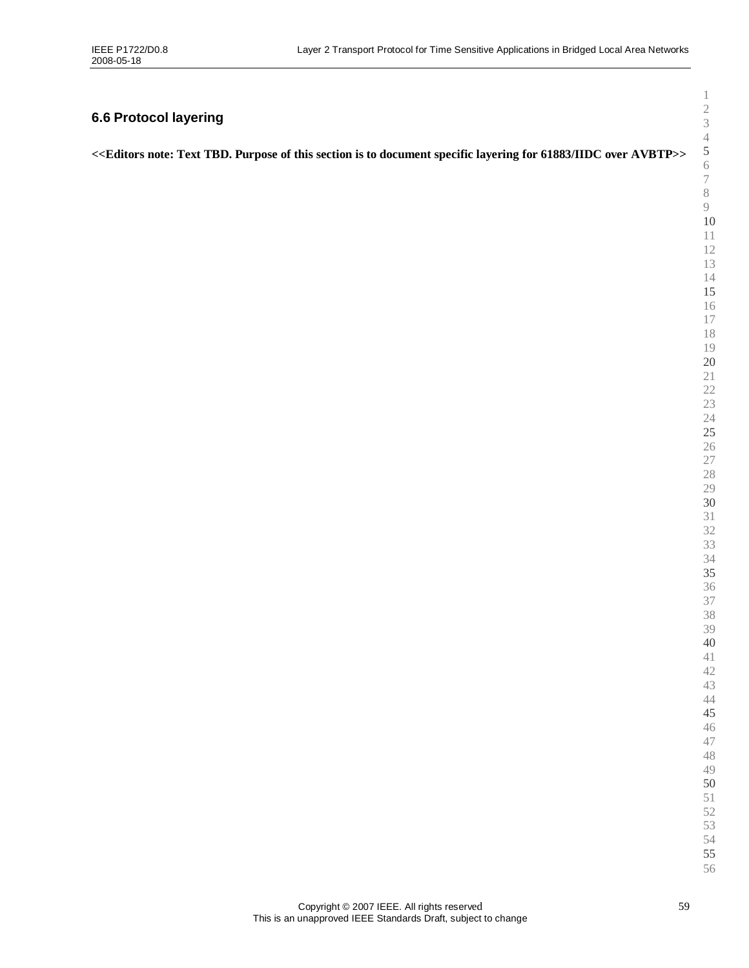# **6.6 Protocol layering**

<span id="page-58-0"></span>

|  | < <editors 61883="" avbtp="" document="" for="" iidc="" is="" layering="" note:="" of="" over="" purpose="" section="" specific="" tbd.="" text="" this="" to="">&gt;</editors> |
|--|---------------------------------------------------------------------------------------------------------------------------------------------------------------------------------|
|  |                                                                                                                                                                                 |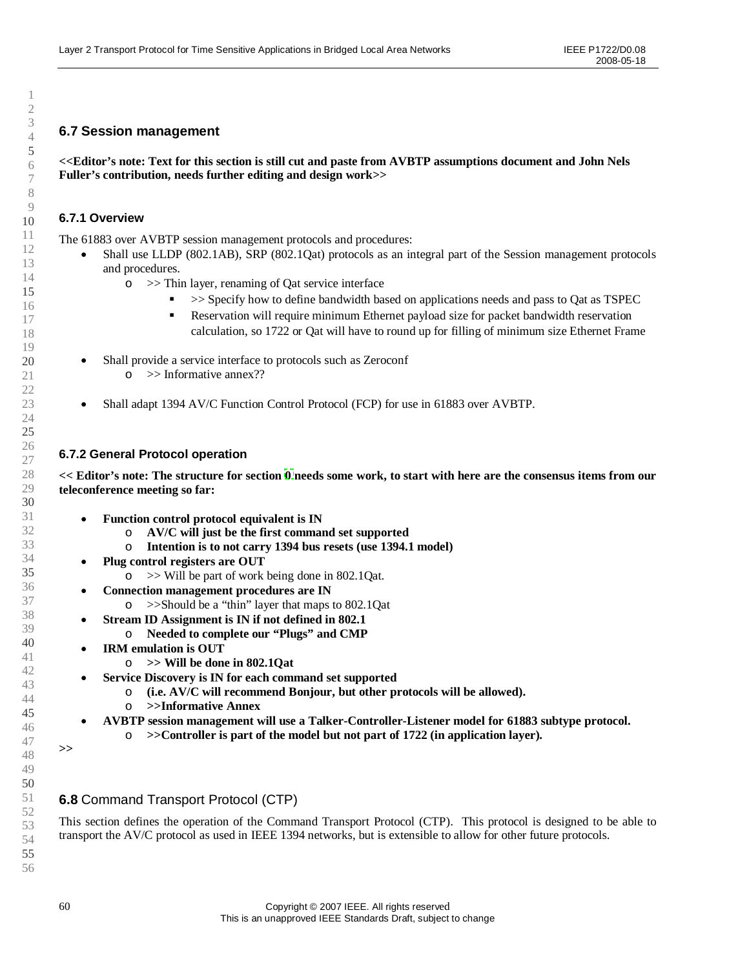# **6.7 Session management**

**<<Editor's note: Text for this section is still cut and paste from AVBTP assumptions document and John Nels Fuller's contribution, needs further editing and design work>>**

#### **6.7.1 Overview**

The 61883 over AVBTP session management protocols and procedures:

- Shall use LLDP (802.1AB), SRP (802.1Qat) protocols as an integral part of the Session management protocols and procedures.
	- $\circ$   $\gg$  Thin layer, renaming of Qat service interface
		- $\sim$  >> Specify how to define bandwidth based on applications needs and pass to Qat as TSPEC
		- Reservation will require minimum Ethernet payload size for packet bandwidth reservation calculation, so 1722 or Qat will have to round up for filling of minimum size Ethernet Frame
- Shall provide a service interface to protocols such as Zeroconf o >> Informative annex??
- Shall adapt 1394 AV/C Function Control Protocol (FCP) for use in 61883 over AVBTP.

#### **6.7.2 General Protocol operation**

**<< Editor's note: The structure for section [0](#page-58-0) needs some work, to start with here are the consensus items from our teleconference meeting so far:**

- **Function control protocol equivalent is IN**
	- o **AV/C will just be the first command set supported**
	- o **Intention is to not carry 1394 bus resets (use 1394.1 model)**
- **Plug control registers are OUT**
	- o >> Will be part of work being done in 802.1Qat.
- **Connection management procedures are IN**
	- o >>Should be a "thin"layer that maps to 802.1Qat
	- **Stream ID Assignment is IN if not defined in 802.1**
	- o **Needed to complete our "Plugs"and CMP**
- **IRM emulation is OUT**
	- o **>> Will be done in 802.1Qat**
	- **Service Discovery is IN for each command set supported**
		- o **(i.e. AV/C will recommend Bonjour, but other protocols will be allowed).**
		- o **>>Informative Annex**
	- **AVBTP session management will use a Talker-Controller-Listener model for 61883 subtype protocol.**
		- o **>>Controller is part of the model but not part of 1722 (in application layer).**

#### **>>**

# **6.8** Command Transport Protocol (CTP)

This section defines the operation of the Command Transport Protocol (CTP). This protocol is designed to be able to transport the AV/C protocol as used in IEEE 1394 networks, but is extensible to allow for other future protocols.

1 2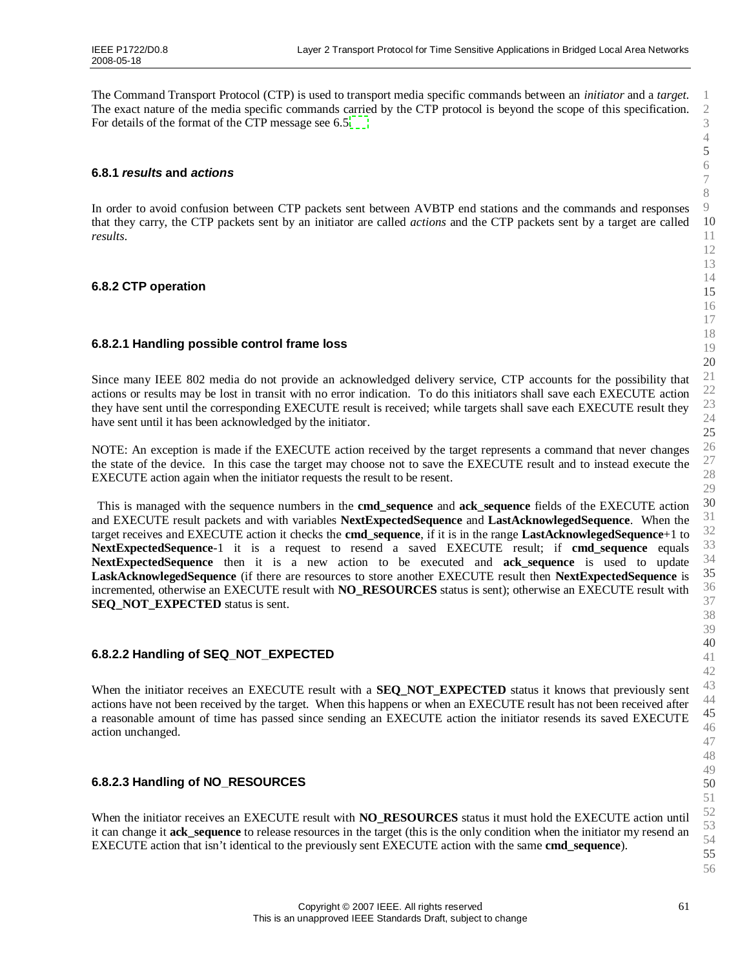The Command Transport Protocol (CTP) is used to transport media specific commands between an *initiator* and a *target*. The exact nature of the media specific commands carried by the CTP protocol is beyond the scope of this specification. For details of the format of the CTP message see 6.5[.](#page-50-0)

# **6.8.1** *results* **and** *actions*

In order to avoid confusion between CTP packets sent between AVBTP end stations and the commands and responses that they carry, the CTP packets sent by an initiator are called *actions* and the CTP packets sent by a target are called *results*.

# **6.8.2 CTP operation**

# **6.8.2.1 Handling possible control frame loss**

Since many IEEE 802 media do not provide an acknowledged delivery service, CTP accounts for the possibility that actions or results may be lost in transit with no error indication. To do this initiators shall save each EXECUTE action they have sent until the corresponding EXECUTE result is received; while targets shall save each EXECUTE result they have sent until it has been acknowledged by the initiator.

NOTE: An exception is made if the EXECUTE action received by the target represents a command that never changes the state of the device. In this case the target may choose not to save the EXECUTE result and to instead execute the EXECUTE action again when the initiator requests the result to be resent.

This is managed with the sequence numbers in the **cmd\_sequence** and **ack\_sequence** fields of the EXECUTE action and EXECUTE result packets and with variables **NextExpectedSequence** and **LastAcknowlegedSequence**. When the target receives and EXECUTE action it checks the **cmd\_sequence**, if it is in the range **LastAcknowlegedSequence**+1 to **NextExpectedSequence**-1 it is a request to resend a saved EXECUTE result; if **cmd\_sequence** equals **NextExpectedSequence** then it is a new action to be executed and **ack\_sequence** is used to update **LaskAcknowlegedSequence** (if there are resources to store another EXECUTE result then **NextExpectedSequence** is incremented, otherwise an EXECUTE result with **NO\_RESOURCES** status is sent); otherwise an EXECUTE result with **SEQ\_NOT\_EXPECTED** status is sent.

#### **6.8.2.2 Handling of SEQ\_NOT\_EXPECTED**

When the initiator receives an EXECUTE result with a **SEQ\_NOT\_EXPECTED** status it knows that previously sent actions have not been received by the target. When this happens or when an EXECUTE result has not been received after a reasonable amount of time has passed since sending an EXECUTE action the initiator resends its saved EXECUTE action unchanged.

# **6.8.2.3 Handling of NO\_RESOURCES**

When the initiator receives an EXECUTE result with **NO\_RESOURCES** status it must hold the EXECUTE action until it can change it **ack\_sequence** to release resources in the target (this is the only condition when the initiator my resend an EXECUTE action that isn't identical to the previously sent EXECUTE action with the same **cmd\_sequence**).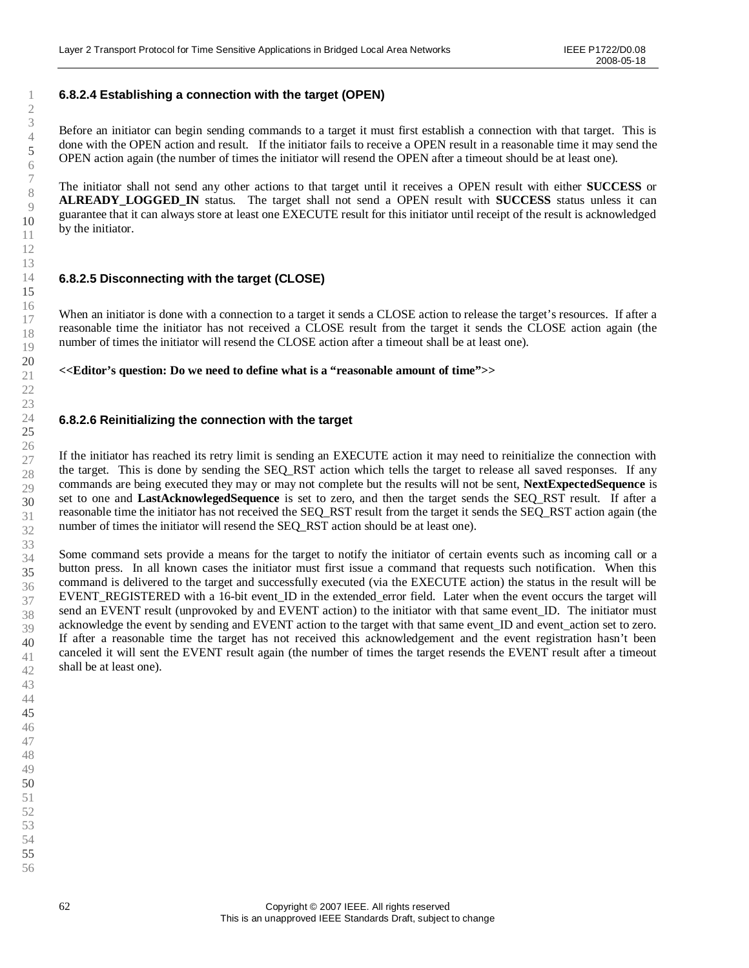# **6.8.2.4 Establishing a connection with the target (OPEN)**

Before an initiator can begin sending commands to a target it must first establish a connection with that target. This is done with the OPEN action and result. If the initiator fails to receive a OPEN result in a reasonable time it may send the OPEN action again (the number of times the initiator will resend the OPEN after a timeout should be at least one).

The initiator shall not send any other actions to that target until it receives a OPEN result with either **SUCCESS** or **ALREADY\_LOGGED\_IN** status. The target shall not send a OPEN result with **SUCCESS** status unless it can guarantee that it can always store at least one EXECUTE result for this initiator until receipt of the result is acknowledged by the initiator.

#### **6.8.2.5 Disconnecting with the target (CLOSE)**

When an initiator is done with a connection to a target it sends a CLOSE action to release the target's resources. If after a reasonable time the initiator has not received a CLOSE result from the target it sends the CLOSE action again (the number of times the initiator will resend the CLOSE action after a timeout shall be at least one).

**<<Editor's question: Do we need to define what is a "reasonable amount of time">>**

#### **6.8.2.6 Reinitializing the connection with the target**

If the initiator has reached its retry limit is sending an EXECUTE action it may need to reinitialize the connection with the target. This is done by sending the SEQ\_RST action which tells the target to release all saved responses. If any commands are being executed they may or may not complete but the results will not be sent, **NextExpectedSequence** is set to one and **LastAcknowlegedSequence** is set to zero, and then the target sends the SEQ\_RST result. If after a reasonable time the initiator has not received the SEQ\_RST result from the target it sends the SEQ\_RST action again (the number of times the initiator will resend the SEO\_RST action should be at least one).

Some command sets provide a means for the target to notify the initiator of certain events such as incoming call or a button press. In all known cases the initiator must first issue a command that requests such notification. When this command is delivered to the target and successfully executed (via the EXECUTE action) the status in the result will be EVENT\_REGISTERED with a 16-bit event\_ID in the extended\_error field. Later when the event occurs the target will send an EVENT result (unprovoked by and EVENT action) to the initiator with that same event ID. The initiator must acknowledge the event by sending and EVENT action to the target with that same event\_ID and event\_action set to zero. If after a reasonable time the target has not received this acknowledgement and the event registration hasn't been canceled it will sent the EVENT result again (the number of times the target resends the EVENT result after a timeout shall be at least one).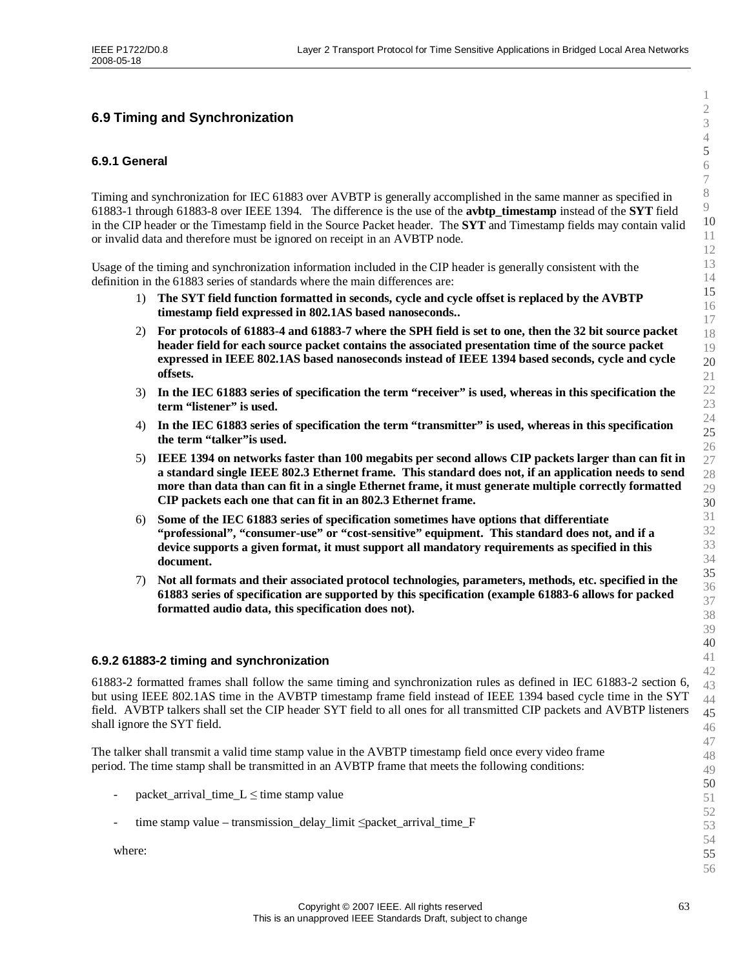# **6.9 Timing and Synchronization**

# **6.9.1 General**

Timing and synchronization for IEC 61883 over AVBTP is generally accomplished in the same manner as specified in 61883-1 through 61883-8 over IEEE 1394. The difference is the use of the **avbtp\_timestamp** instead of the **SYT** field in the CIP header or the Timestamp field in the Source Packet header. The **SYT** and Timestamp fields may contain valid or invalid data and therefore must be ignored on receipt in an AVBTP node.

Usage of the timing and synchronization information included in the CIP header is generally consistent with the definition in the 61883 series of standards where the main differences are:

- 1) **The SYT field function formatted in seconds, cycle and cycle offset is replaced by the AVBTP timestamp field expressed in 802.1AS based nanoseconds..**
- 2) **For protocols of 61883-4 and 61883-7 where the SPH field is set to one, then the 32 bit source packet header field for each source packet contains the associated presentation time of the source packet expressed in IEEE 802.1AS based nanoseconds instead of IEEE 1394 based seconds, cycle and cycle offsets.**
- 3) **In the IEC 61883 series of specification the term "receiver"is used, whereas in this specification the term "listener"is used.**
- 4) **In the IEC 61883 series of specification the term "transmitter"is used, whereas in this specification the term "talker"is used.**
- 5) **IEEE 1394 on networks faster than 100 megabits per second allows CIP packets larger than can fit in a standard single IEEE 802.3 Ethernet frame. This standard does not, if an application needs to send more than data than can fit in a single Ethernet frame, it must generate multiple correctly formatted CIP packets each one that can fit in an 802.3 Ethernet frame.**
- 6) **Some of the IEC 61883 series of specification sometimes have options that differentiate "professional", "consumer-use"or "cost-sensitive"equipment. This standard does not, and if a device supports a given format, it must support all mandatory requirements as specified in this document.**
- 7) **Not all formats and their associated protocol technologies, parameters, methods, etc. specified in the 61883 series of specification are supported by this specification (example 61883-6 allows for packed formatted audio data, this specification does not).**

#### **6.9.2 61883-2 timing and synchronization**

61883-2 formatted frames shall follow the same timing and synchronization rules as defined in IEC 61883-2 section 6, but using IEEE 802.1AS time in the AVBTP timestamp frame field instead of IEEE 1394 based cycle time in the SYT field. AVBTP talkers shall set the CIP header SYT field to all ones for all transmitted CIP packets and AVBTP listeners shall ignore the SYT field.

The talker shall transmit a valid time stamp value in the AVBTP timestamp field once every video frame period. The time stamp shall be transmitted in an AVBTP frame that meets the following conditions:

- packet arrival time  $L \leq$  time stamp value
- time stamp value transmission delay limit  $\leq$ packet arrival time F

where: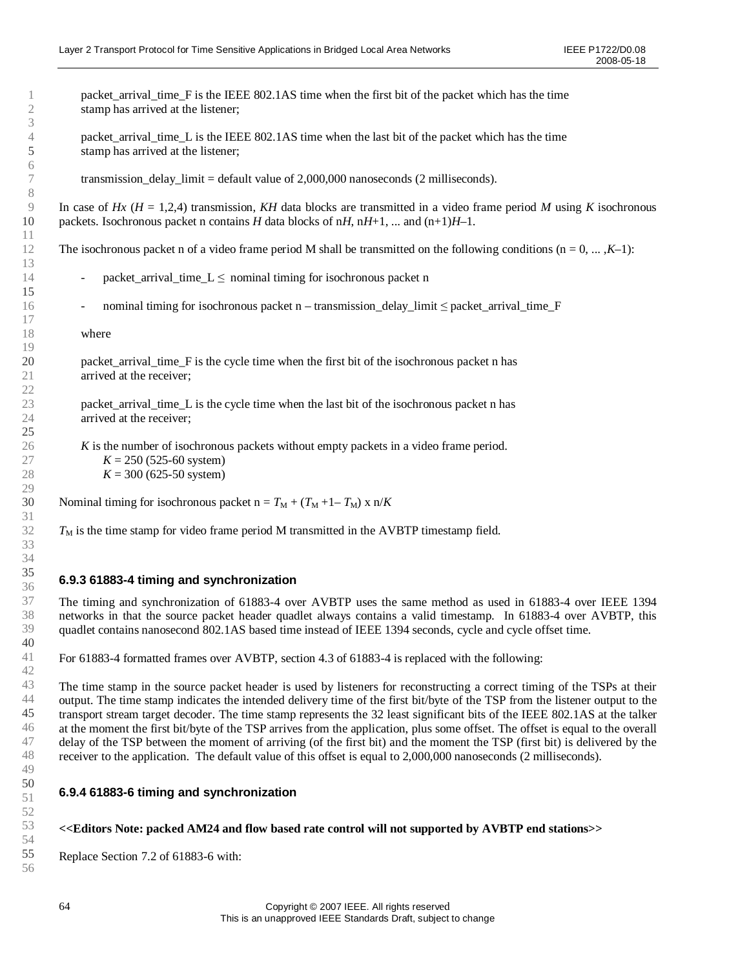packet\_arrival\_time\_F is the IEEE 802.1AS time when the first bit of the packet which has the time stamp has arrived at the listener; packet arrival time L is the IEEE 802.1AS time when the last bit of the packet which has the time stamp has arrived at the listener; transmission\_delay\_limit = default value of 2,000,000 nanoseconds (2 milliseconds). In case of *Hx* (*H* = 1,2,4) transmission, *KH* data blocks are transmitted in a video frame period *M* using *K* isochronous packets. Isochronous packet n contains *H* data blocks of n*H*, n*H*+1, ... and (n+1)*H*–1. The isochronous packet n of a video frame period M shall be transmitted on the following conditions  $(n = 0, ..., K-1)$ : packet arrival time  $L \le$  nominal timing for isochronous packet n nominal timing for isochronous packet n – transmission delay  $limit \leq$  packet arrival time F where packet arrival time F is the cycle time when the first bit of the isochronous packet n has arrived at the receiver; packet\_arrival\_time\_L is the cycle time when the last bit of the isochronous packet n has arrived at the receiver; *K* is the number of isochronous packets without empty packets in a video frame period.  $K = 250$  (525-60 system)  $K = 300 (625 - 50$  system) Nominal timing for isochronous packet  $n = T_M + (T_M + 1 - T_M) \times n/K$  $T_M$  is the time stamp for video frame period M transmitted in the AVBTP timestamp field. **6.9.3 61883-4 timing and synchronization**

The timing and synchronization of 61883-4 over AVBTP uses the same method as used in 61883-4 over IEEE 1394 networks in that the source packet header quadlet always contains a valid timestamp. In 61883-4 over AVBTP, this quadlet contains nanosecond 802.1AS based time instead of IEEE 1394 seconds, cycle and cycle offset time.

For 61883-4 formatted frames over AVBTP, section 4.3 of 61883-4 is replaced with the following:

The time stamp in the source packet header is used by listeners for reconstructing a correct timing of the TSPs at their output. The time stamp indicates the intended delivery time of the first bit/byte of the TSP from the listener output to the transport stream target decoder. The time stamp represents the 32 least significant bits of the IEEE 802.1AS at the talker at the moment the first bit/byte of the TSP arrives from the application, plus some offset. The offset is equal to the overall delay of the TSP between the moment of arriving (of the first bit) and the moment the TSP (first bit) is delivered by the receiver to the application. The default value of this offset is equal to 2,000,000 nanoseconds (2 milliseconds).

#### **6.9.4 61883-6 timing and synchronization**

#### **<<Editors Note: packed AM24 and flow based rate control will not supported by AVBTP end stations>>**

Replace Section 7.2 of 61883-6 with: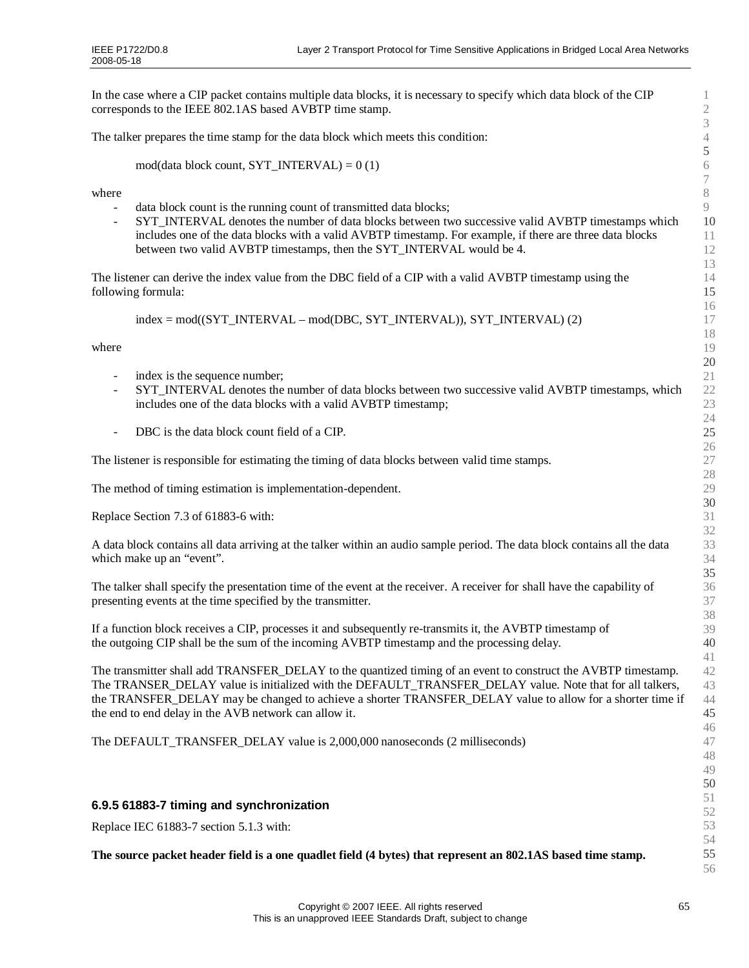1 2 3 4 5 6 7 8 9 10 11 12 13 14 15 16 17 18 19 20 21 22 23 24 25 26 27 28 29 30 31 32 33 34 35 36 37 38 39 40 41 42 43 44 45 46 47 48 49 50 51 52 53 54 55 56 In the case where a CIP packet contains multiple data blocks, it is necessary to specify which data block of the CIP corresponds to the IEEE 802.1AS based AVBTP time stamp. The talker prepares the time stamp for the data block which meets this condition:  $mod(data block count, SYT_NTERVAL) = 0 (1)$ where data block count is the running count of transmitted data blocks; SYT\_INTERVAL denotes the number of data blocks between two successive valid AVBTP timestamps which includes one of the data blocks with a valid AVBTP timestamp. For example, if there are three data blocks between two valid AVBTP timestamps, then the SYT\_INTERVAL would be 4. The listener can derive the index value from the DBC field of a CIP with a valid AVBTP timestamp using the following formula:  $index = mod(SYT INTERVAL –mod(DBC, SYT INTERVAL)$ ), SYT\_INTERVAL) (2) where - index is the sequence number; SYT\_INTERVAL denotes the number of data blocks between two successive valid AVBTP timestamps, which includes one of the data blocks with a valid AVBTP timestamp; - DBC is the data block count field of a CIP. The listener is responsible for estimating the timing of data blocks between valid time stamps. The method of timing estimation is implementation-dependent. Replace Section 7.3 of 61883-6 with: A data block contains all data arriving at the talker within an audio sample period. The data block contains all the data which make up an "event". The talker shall specify the presentation time of the event at the receiver. A receiver for shall have the capability of presenting events at the time specified by the transmitter. If a function block receives a CIP, processes it and subsequently re-transmits it, the AVBTP timestamp of the outgoing CIP shall be the sum of the incoming AVBTP timestamp and the processing delay. The transmitter shall add TRANSFER\_DELAY to the quantized timing of an event to construct the AVBTP timestamp. The TRANSER\_DELAY value is initialized with the DEFAULT\_TRANSFER\_DELAY value. Note that for all talkers, the TRANSFER\_DELAY may be changed to achieve a shorter TRANSFER\_DELAY value to allow for a shorter time if the end to end delay in the AVB network can allow it. The DEFAULT\_TRANSFER\_DELAY value is 2,000,000 nanoseconds (2 milliseconds) **6.9.5 61883-7 timing and synchronization** Replace IEC 61883-7 section 5.1.3 with: **The source packet header field is a one quadlet field (4 bytes) that represent an 802.1AS based time stamp.**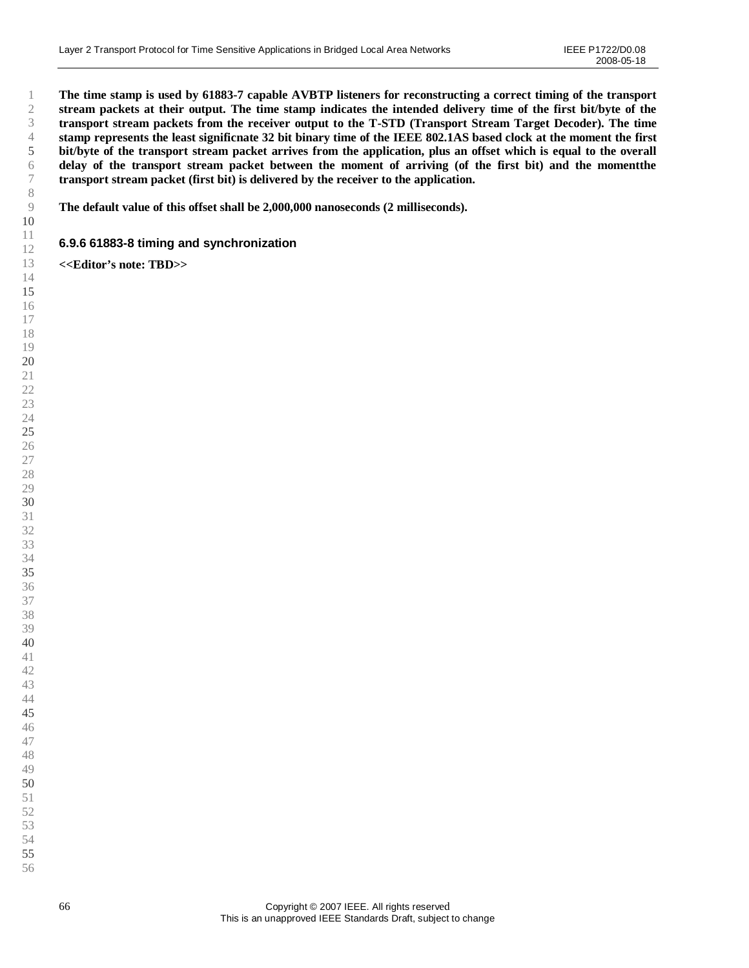**The time stamp is used by 61883-7 capable AVBTP listeners for reconstructing a correct timing of the transport stream packets at their output. The time stamp indicates the intended delivery time of the first bit/byte of the transport stream packets from the receiver output to the T-STD (Transport Stream Target Decoder). The time stamp represents the least significnate 32 bit binary time of the IEEE 802.1AS based clock at the moment the first bit/byte of the transport stream packet arrives from the application, plus an offset which is equal to the overall delay of the transport stream packet between the moment of arriving (of the first bit) and the momentthe transport stream packet (first bit) is delivered by the receiver to the application.**

**The default value of this offset shall be 2,000,000 nanoseconds (2 milliseconds).**

**6.9.6 61883-8 timing and synchronization**

**<<Editor's note: TBD>>**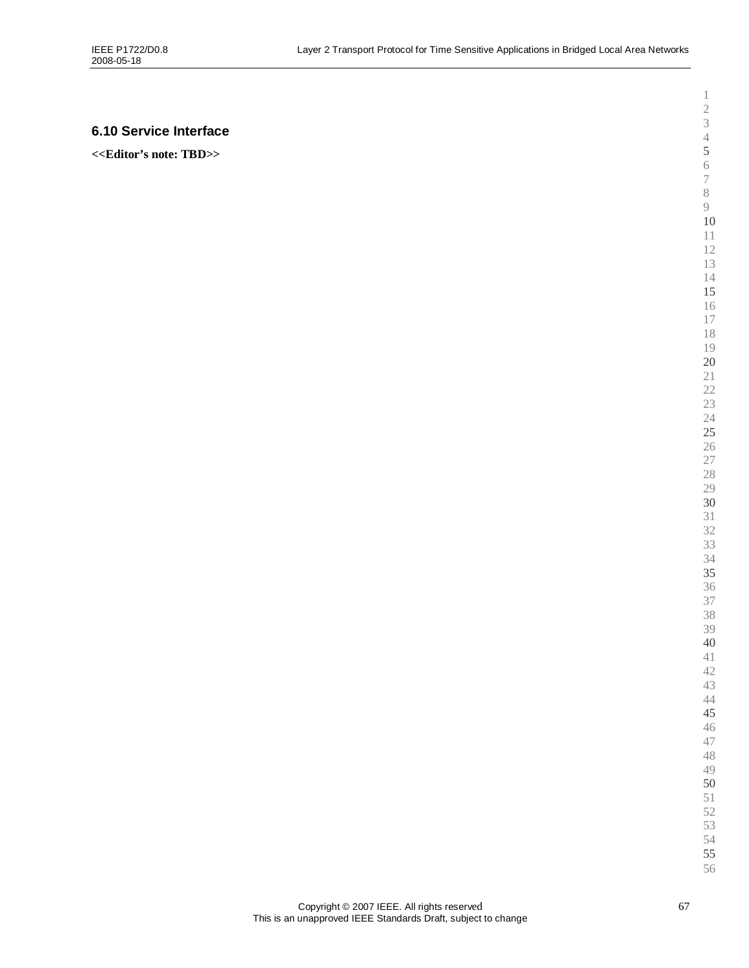# **6.10 Service Interface**

**<<Editor's note: TBD>>**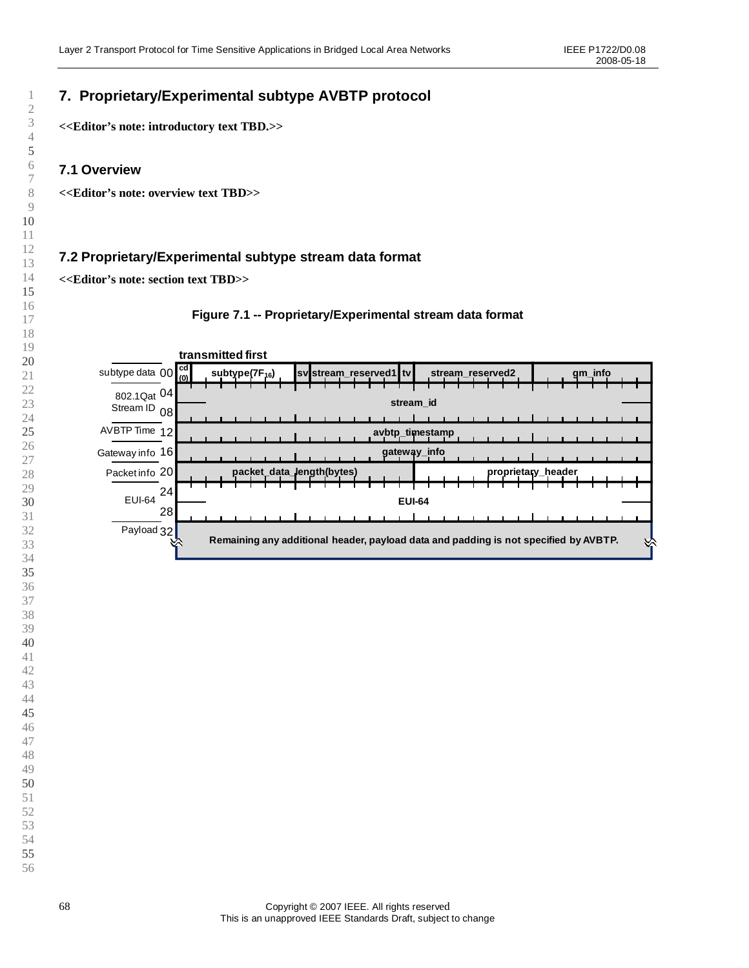# **7. Proprietary/Experimental subtype AVBTP protocol**

**<<Editor's note: introductory text TBD.>>**

# **7.1 Overview**

**<<Editor's note: overview text TBD>>**

# **7.2 Proprietary/Experimental subtype stream data format**

**<<Editor's note: section text TBD>>**

#### **Figure 7.1 -- Proprietary/Experimental stream data format**

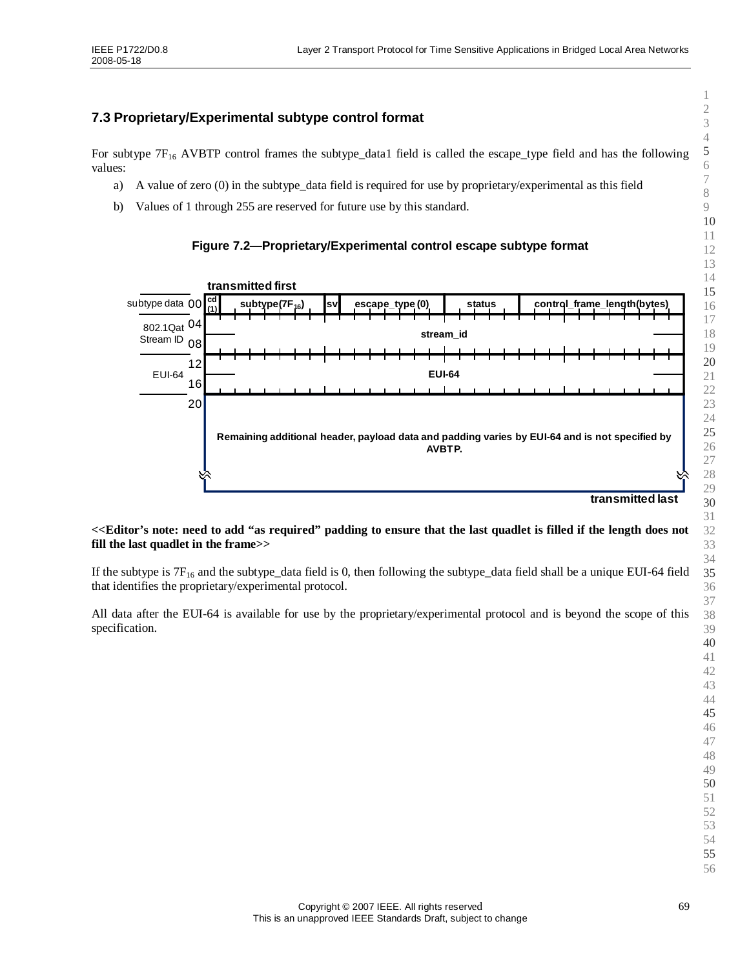# **7.3 Proprietary/Experimental subtype control format**

For subtype  $7F_{16}$  AVBTP control frames the subtype\_data1 field is called the escape\_type field and has the following values:

- a) A value of zero (0) in the subtype\_data field is required for use by proprietary/experimental as this field
- b) Values of 1 through 255 are reserved for future use by this standard.

# **Figure 7.2— Proprietary/Experimental control escape subtype format**



#### **<<Editor's note: need to add "as required"padding to ensure that the last quadlet is filled if the length does not fill the last quadlet in the frame>>**

If the subtype is  $7F_{16}$  and the subtype\_data field is 0, then following the subtype\_data field shall be a unique EUI-64 field that identifies the proprietary/experimental protocol.

All data after the EUI-64 is available for use by the proprietary/experimental protocol and is beyond the scope of this specification.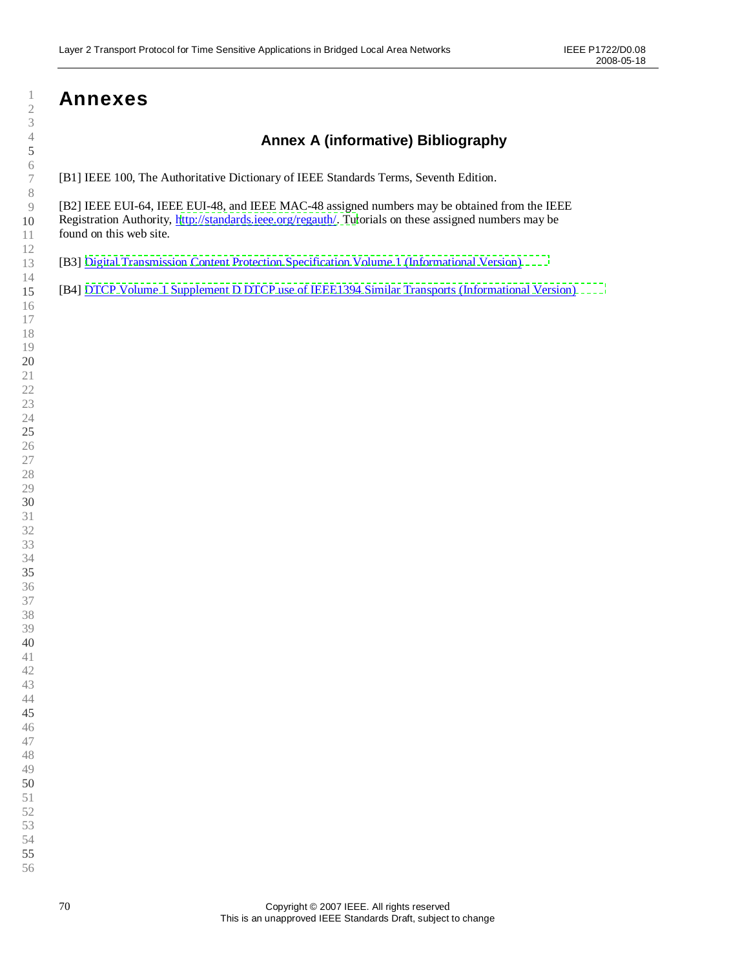# **Annexes**

 

# **Annex A (informative) Bibliography**

[B1] IEEE 100, The Authoritative Dictionary of IEEE Standards Terms, Seventh Edition.

[B2] IEEE EUI-64, IEEE EUI-48, and IEEE MAC-48 assigned numbers may be obtained from the IEEE Registration Authority, [http://standards.ieee.org/regauth/. Tut](http://standards.ieee.org/regauth/)orials on these assigned numbers may be found on this web site.

[B3] [Digital Transmission Content Protection Specification Volume 1 \(Informational Version\)](http://www.dtcp.com/data/info 20071001 DTCP V1 1p51.pdf)

[B4] [DTCP Volume 1 Supplement D DTCP use of IEEE1394 Similar Transports \(Informational Version\)](http://www.dtcp.com/data/info 20070615 DTCP V1SD  1p1.pdf)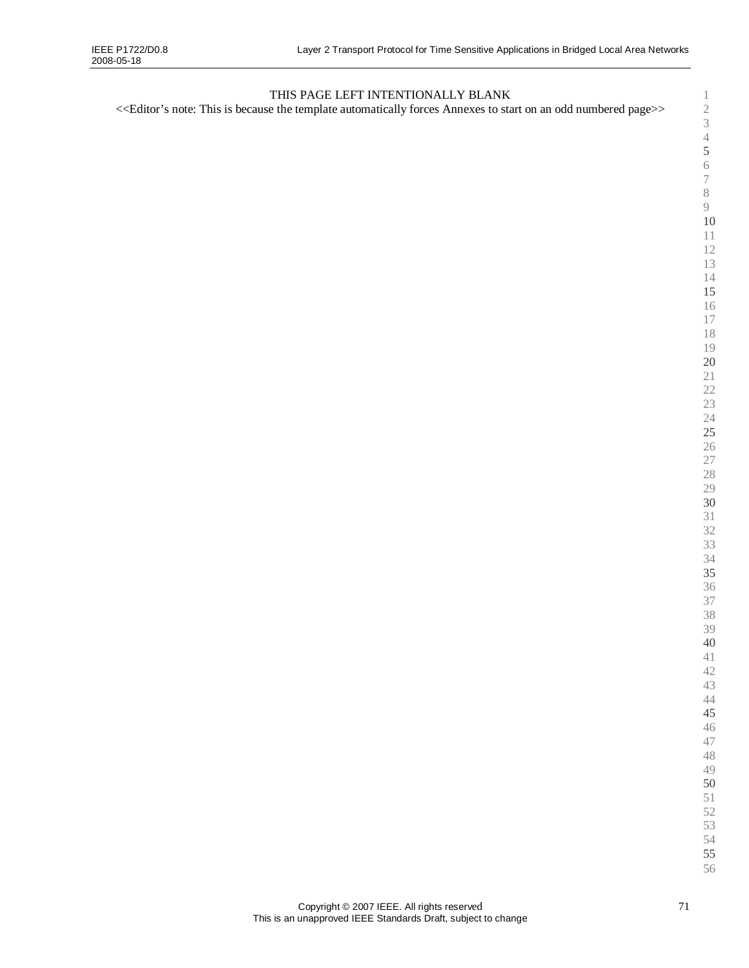# THIS PAGE LEFT INTENTIONALLY BLANK

<<Editor's note: This is because the template automatically forces Annexes to start on an odd numbered page>>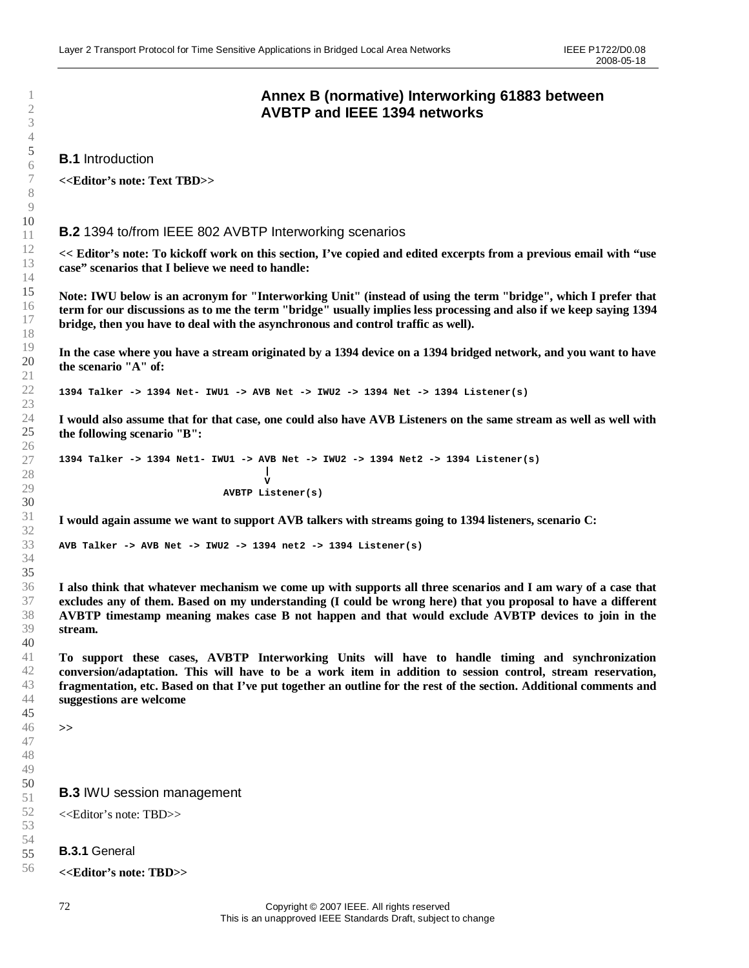# <span id="page-71-0"></span>**Annex B (normative) Interworking 61883 between AVBTP and IEEE 1394 networks**

**B.1** Introduction

**<<Editor's note: Text TBD>>**

#### **B.2** 1394 to/from IEEE 802 AVBTP Interworking scenarios

**<< Editor's note: To kickoff work on this section, I've copied and edited excerpts from a previous email with "use case"scenarios that I believe we need to handle:**

**Note: IWU below is an acronym for "Interworking Unit" (instead of using the term "bridge", which I prefer that term for our discussions as to me the term "bridge" usually implies less processing and also if we keep saying 1394 bridge, then you have to deal with the asynchronous and control traffic as well).**

**In the case where you have a stream originated by a 1394 device on a 1394 bridged network, and you want to have the scenario "A" of:**

**1394 Talker -> 1394 Net- IWU1 -> AVB Net -> IWU2 -> 1394 Net -> 1394 Listener(s)**

**I would also assume that for that case, one could also have AVB Listeners on the same stream as well as well with the following scenario "B":**

**1394 Talker -> 1394 Net1- IWU1 -> AVB Net -> IWU2 -> 1394 Net2 -> 1394 Listener(s) | V AVBTP Listener(s)**

**I would again assume we want to support AVB talkers with streams going to 1394 listeners, scenario C:**

```
AVB Talker -> AVB Net -> IWU2 -> 1394 net2 -> 1394 Listener(s)
```
**I also think that whatever mechanism we come up with supports all three scenarios and I am wary of a case that excludes any of them. Based on my understanding (I could be wrong here) that you proposal to have a different AVBTP timestamp meaning makes case B not happen and that would exclude AVBTP devices to join in the stream.**

**To support these cases, AVBTP Interworking Units will have to handle timing and synchronization conversion/adaptation. This will have to be a work item in addition to session control, stream reservation, fragmentation, etc. Based on that I've put together an outline for the rest of the section. Additional comments and suggestions are welcome**

**>>**

**B.3** IWU session management

<<Editor's note: TBD>>

#### **B.3.1** General

**<<Editor's note: TBD>>**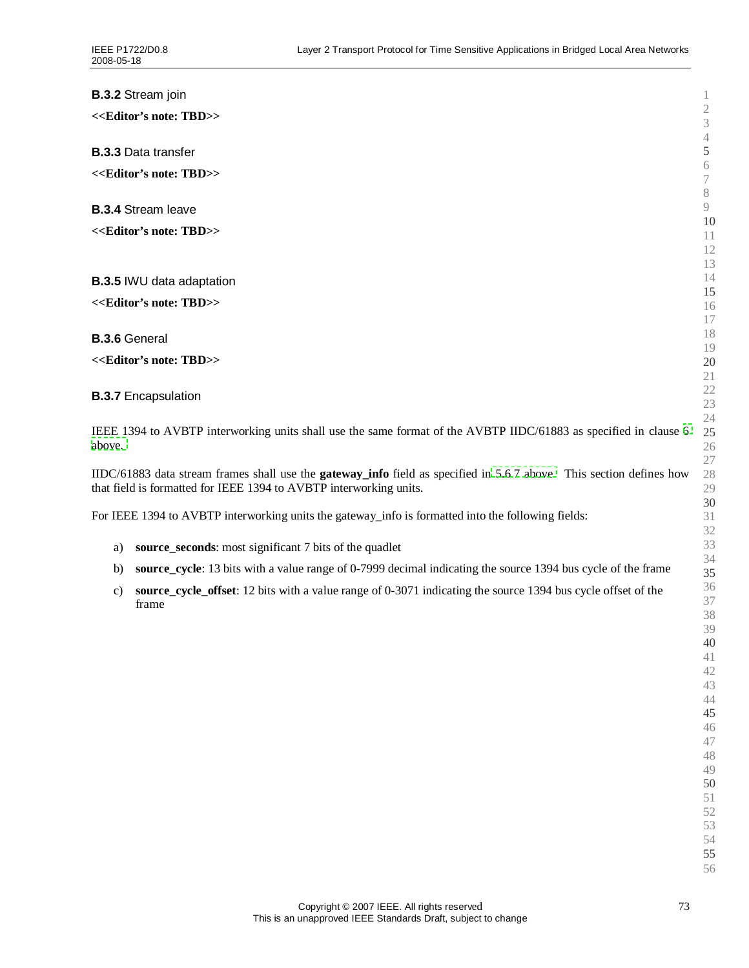|              | <b>B.3.2</b> Stream join                                                                                                    | 1                              |
|--------------|-----------------------------------------------------------------------------------------------------------------------------|--------------------------------|
|              | < <editor's note:="" tbd="">&gt;</editor's>                                                                                 | $\mathbf{2}$<br>$\mathfrak{Z}$ |
|              |                                                                                                                             | $\sqrt{4}$                     |
|              | <b>B.3.3 Data transfer</b>                                                                                                  | $\sqrt{5}$<br>$\sqrt{6}$       |
|              | < <editor's note:="" tbd="">&gt;</editor's>                                                                                 | $\boldsymbol{7}$               |
|              |                                                                                                                             | $8\,$<br>$\overline{9}$        |
|              | <b>B.3.4 Stream leave</b>                                                                                                   | 10                             |
|              | < <editor's note:="" tbd="">&gt;</editor's>                                                                                 | 11                             |
|              |                                                                                                                             | 12<br>13                       |
|              | <b>B.3.5 IWU data adaptation</b>                                                                                            | 14                             |
|              |                                                                                                                             | 15                             |
|              | < <editor's note:="" tbd="">&gt;</editor's>                                                                                 | 16<br>17                       |
|              | <b>B.3.6 General</b>                                                                                                        | 18                             |
|              |                                                                                                                             | 19                             |
|              | < <editor's note:="" tbd="">&gt;</editor's>                                                                                 | 20                             |
|              |                                                                                                                             | 21<br>22                       |
|              | <b>B.3.7 Encapsulation</b>                                                                                                  | 23                             |
|              |                                                                                                                             | 24                             |
| above.       | IEEE 1394 to AVBTP interworking units shall use the same format of the AVBTP IIDC/61883 as specified in clause 6            | 25<br>26                       |
|              |                                                                                                                             | $27\,$                         |
|              | IIDC/61883 data stream frames shall use the <b>gateway_info</b> field as specified in 5.6.7 above. This section defines how | 28                             |
|              | that field is formatted for IEEE 1394 to AVBTP interworking units.                                                          | 29<br>30                       |
|              | For IEEE 1394 to AVBTP interworking units the gateway_info is formatted into the following fields:                          | 31                             |
|              |                                                                                                                             | 32                             |
| a)           | source_seconds: most significant 7 bits of the quadlet                                                                      | 33<br>34                       |
| b)           | source_cycle: 13 bits with a value range of 0-7999 decimal indicating the source 1394 bus cycle of the frame                | 35                             |
| $\mathbf{c}$ | source_cycle_offset: 12 bits with a value range of 0-3071 indicating the source 1394 bus cycle offset of the                | 36                             |
|              | frame                                                                                                                       | 37<br>38                       |
|              |                                                                                                                             | 39                             |
|              |                                                                                                                             | 40                             |
|              |                                                                                                                             | 41                             |
|              |                                                                                                                             | 42                             |
|              |                                                                                                                             | 43<br>44                       |
|              |                                                                                                                             | 45                             |
|              |                                                                                                                             | 46                             |
|              |                                                                                                                             | 47                             |
|              |                                                                                                                             | 48                             |
|              |                                                                                                                             | 49                             |
|              |                                                                                                                             | $\frac{50}{51}$                |
|              |                                                                                                                             | 52                             |
|              |                                                                                                                             | 53                             |
|              |                                                                                                                             | 54                             |
|              |                                                                                                                             | 55                             |
|              |                                                                                                                             | 56                             |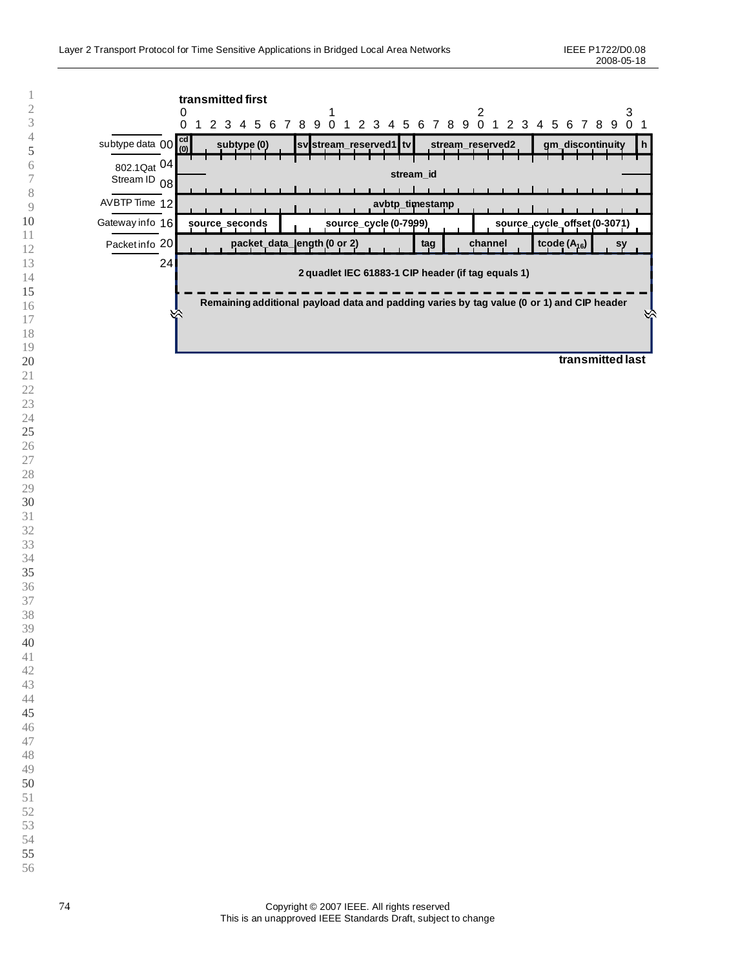|                                               | transmitted first<br>0<br>0<br>3<br>-5<br>-6<br>4  | $\Omega$<br>3<br>45<br>89<br>2                                                            | 7890<br>-6      | 2                | 3<br>3 4 5 6 7 8 9          |
|-----------------------------------------------|----------------------------------------------------|-------------------------------------------------------------------------------------------|-----------------|------------------|-----------------------------|
| subtype data $00\frac{\text{cd}}{\text{(0)}}$ | subtype (0)                                        | svistream_reserved1 tv                                                                    |                 | stream reserved2 | gm_discontinuity<br>h       |
| 802.1Qat 04<br>Stream ID<br>08 <sup>1</sup>   |                                                    |                                                                                           | stream id       |                  |                             |
| AVBTP Time 12                                 |                                                    |                                                                                           | avbtp_timestamp |                  |                             |
| Gateway info 16                               | source_seconds                                     | source_cycle (0-7999)                                                                     |                 |                  | source_cycle_offset(0-3071) |
| Packet info 20                                |                                                    | packet_data_length (0 or 2)                                                               | tag             | channel          | tcode $(A_{16})$<br>sy      |
| 24                                            | 2 quadlet IEC 61883-1 CIP header (if tag equals 1) |                                                                                           |                 |                  |                             |
|                                               |                                                    | Remaining additional payload data and padding varies by tag value (0 or 1) and CIP header |                 |                  | transmitted last            |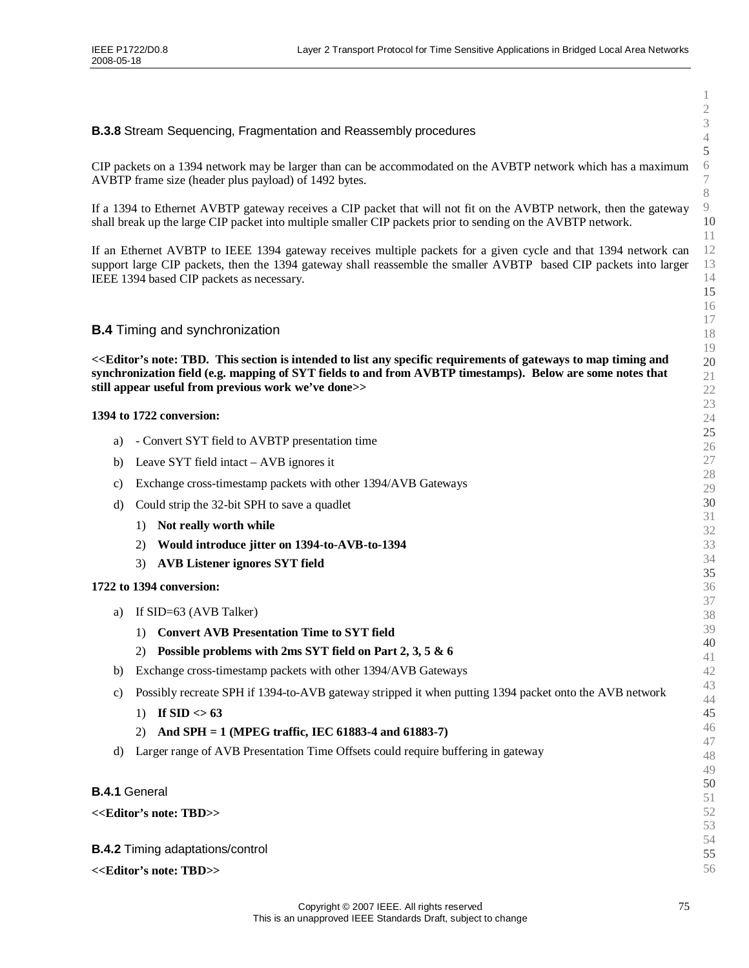## **B.3.8** Stream Sequencing, Fragmentation and Reassembly procedures

CIP packets on a 1394 network may be larger than can be accommodated on the AVBTP network which has a maximum AVBTP frame size (header plus payload) of 1492 bytes.

If a 1394 to Ethernet AVBTP gateway receives a CIP packet that will not fit on the AVBTP network, then the gateway shall break up the large CIP packet into multiple smaller CIP packets prior to sending on the AVBTP network.

If an Ethernet AVBTP to IEEE 1394 gateway receives multiple packets for a given cycle and that 1394 network can support large CIP packets, then the 1394 gateway shall reassemble the smaller AVBTP based CIP packets into larger IEEE 1394 based CIP packets as necessary.

## **B.4** Timing and synchronization

**<<Editor's note: TBD. This section is intended to list any specific requirements of gateways to map timing and synchronization field (e.g. mapping of SYT fields to and from AVBTP timestamps). Below are some notes that still appear useful from previous work we've done>>**

#### **1394 to 1722 conversion:**

|  |  | a) - Convert SYT field to AVBTP presentation time |
|--|--|---------------------------------------------------|
|--|--|---------------------------------------------------|

- b) Leave SYT field intact –AVB ignores it
- c) Exchange cross-timestamp packets with other 1394/AVB Gateways
- d) Could strip the 32-bit SPH to save a quadlet
	- 1) **Not really worth while**
	- 2) **Would introduce jitter on 1394-to-AVB-to-1394**
	- 3) **AVB Listener ignores SYT field**

# **1722 to 1394 conversion:**

|    | 1722 to 1394 conversion:                                                                               | 36       |
|----|--------------------------------------------------------------------------------------------------------|----------|
|    |                                                                                                        | 37       |
| a) | If $SID=63$ (AVB Talker)                                                                               | 38       |
|    | <b>Convert AVB Presentation Time to SYT field</b><br>1)                                                | 39       |
|    | Possible problems with $2ms$ SYT field on Part 2, 3, 5 & 6<br>2)                                       | 40<br>41 |
| b) | Exchange cross-timestamp packets with other 1394/AVB Gateways                                          | 42       |
| C) | Possibly recreate SPH if 1394-to-AVB gateway stripped it when putting 1394 packet onto the AVB network | 43<br>44 |
|    | If $\text{SID} \ll 63$<br>1)                                                                           | 45       |
|    | And SPH = 1 (MPEG traffic, IEC 61883-4 and 61883-7)<br>$\mathbf{2}$                                    | 46       |
| d) | Larger range of AVB Presentation Time Offsets could require buffering in gateway                       | 47<br>48 |
|    |                                                                                                        | 49       |
|    | <b>B.4.1 General</b>                                                                                   | 50       |
|    |                                                                                                        | 51       |
|    | < <editor's note:="" tbd="">&gt;</editor's>                                                            | 52       |
|    |                                                                                                        | 53       |
|    | <b>B.4.2</b> Timing adaptations/control                                                                | 54       |
|    |                                                                                                        | 55       |
|    | ccEditor's note: TRD>>                                                                                 | 56       |

**<<Editor's note: TBD>>**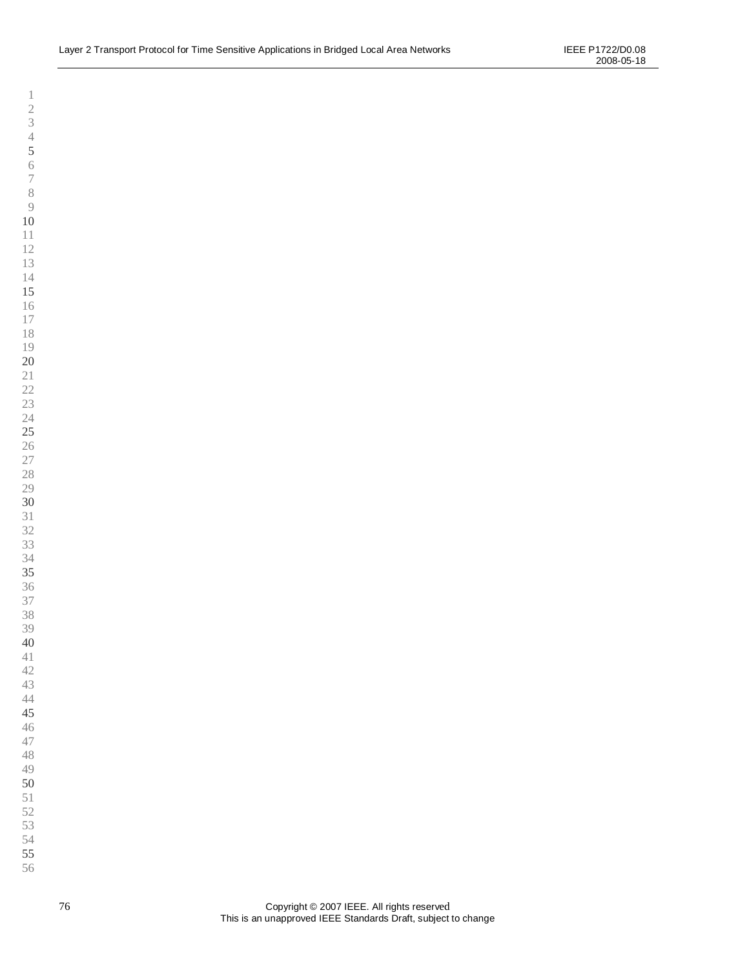- 
- 
- 
-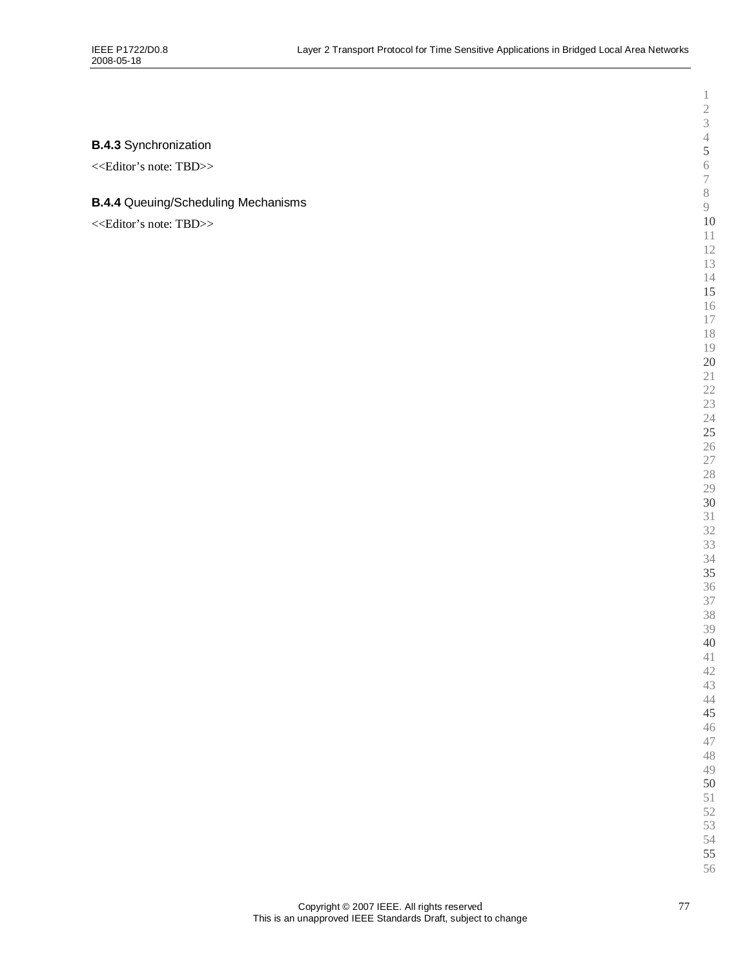|                                             | $\,1$                          |
|---------------------------------------------|--------------------------------|
|                                             | $\mathbf{2}$                   |
|                                             | 3                              |
| <b>B.4.3</b> Synchronization                | $\overline{4}$                 |
|                                             | 5                              |
| < <editor's note:="" tbd="">&gt;</editor's> | $\sqrt{6}$<br>$\boldsymbol{7}$ |
|                                             | $\,$ $\,$                      |
| <b>B.4.4 Queuing/Scheduling Mechanisms</b>  | $\overline{9}$                 |
| < <editor's note:="" tbd="">&gt;</editor's> | $10\,$                         |
|                                             | $11\,$                         |
|                                             | 12                             |
|                                             | 13                             |
|                                             | 14                             |
|                                             | $15\,$                         |
|                                             | $16$<br>$17\,$                 |
|                                             | $18\,$                         |
|                                             | 19                             |
|                                             | 20                             |
|                                             | $21\,$                         |
|                                             | $22\,$                         |
|                                             | 23                             |
|                                             | 24                             |
|                                             | 25<br>$26\,$                   |
|                                             | $27\,$                         |
|                                             | $28\,$                         |
|                                             | 29                             |
|                                             | $30\,$                         |
|                                             | $31\,$                         |
|                                             | 32                             |
|                                             | 33                             |
|                                             | 34<br>35                       |
|                                             | 36                             |
|                                             | $37\,$                         |
|                                             | 38                             |
|                                             | 39                             |
|                                             | $40\,$                         |
|                                             | $\frac{41}{42}$                |
|                                             |                                |
|                                             | 43<br>$44\,$                   |
|                                             | $45\,$                         |
|                                             | $46\,$                         |
|                                             | $47\,$                         |
|                                             | $\frac{48}{49}$                |
|                                             |                                |
|                                             | 50<br>$\epsilon$ 1             |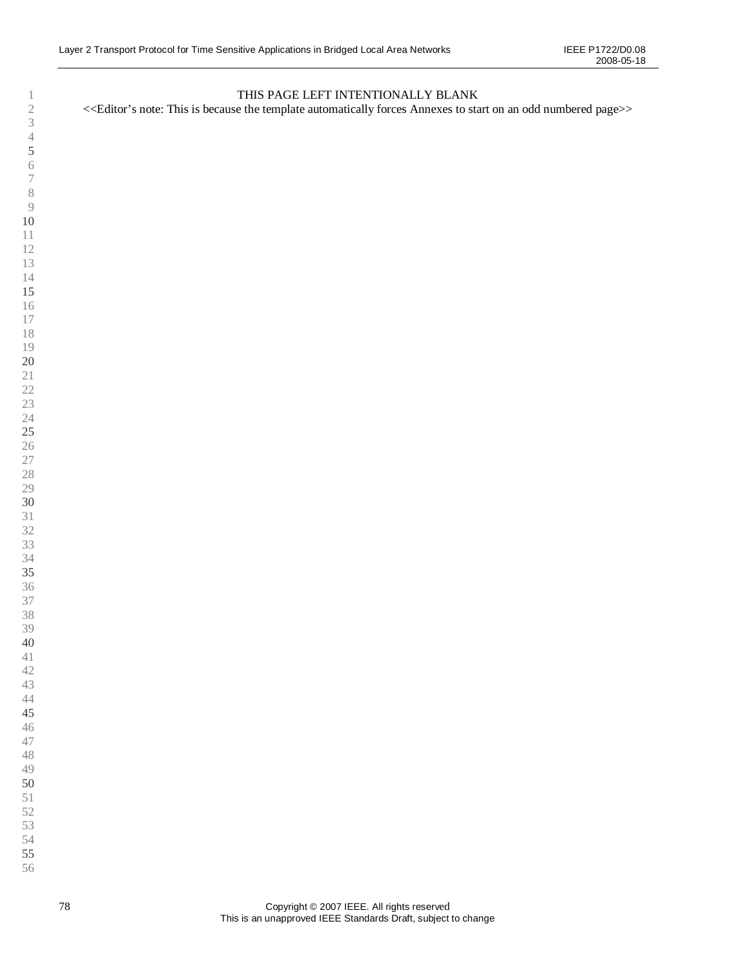# THIS PAGE LEFT INTENTIONALLY BLANK

<<Editor's note: This is because the template automatically forces Annexes to start on an odd numbered page>>

 

- 
-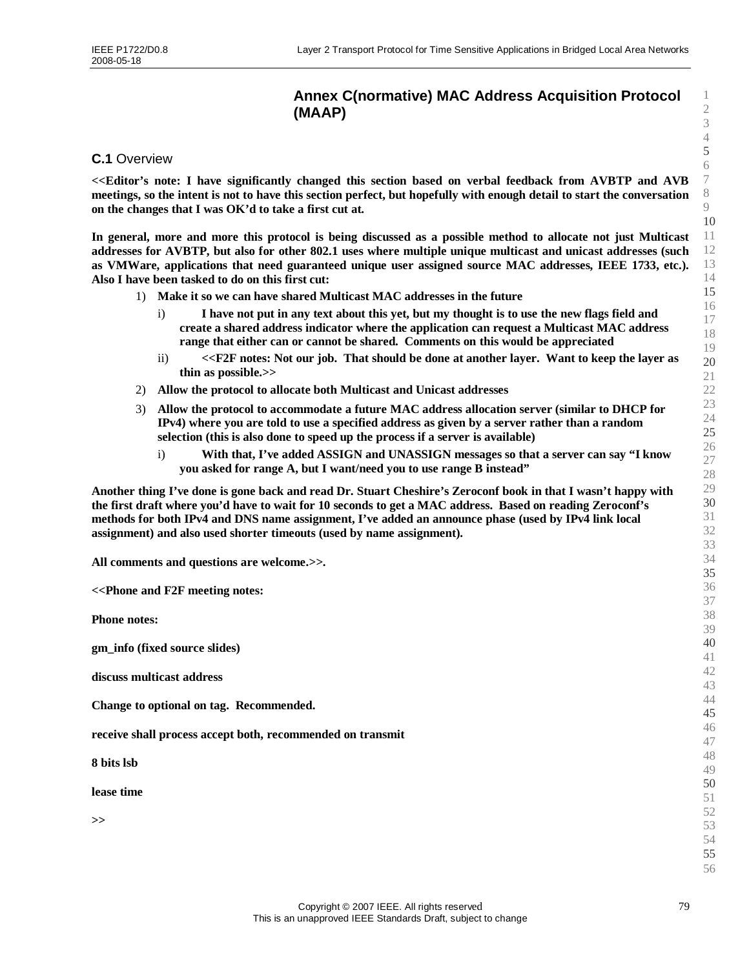# **Annex C(normative) MAC Address Acquisition Protocol (MAAP)**

## **C.1** Overview

**<<Editor's note: I have significantly changed this section based on verbal feedback from AVBTP and AVB meetings, so the intent is not to have this section perfect, but hopefully with enough detail to start the conversation on the changes that I was OK'd to take a first cut at.**

**In general, more and more this protocol is being discussed as a possible method to allocate not just Multicast addresses for AVBTP, but also for other 802.1 uses where multiple unique multicast and unicast addresses (such as VMWare, applications that need guaranteed unique user assigned source MAC addresses, IEEE 1733, etc.). Also I have been tasked to do on this first cut:**

- 1) **Make it so we can have shared Multicast MAC addresses in the future**
	- i) **I have not put in any text about this yet, but my thought is to use the new flags field and create a shared address indicator where the application can request a Multicast MAC address range that either can or cannot be shared. Comments on this would be appreciated**
	- ii) **<<F2F notes: Not our job. That should be done at another layer. Want to keep the layer as thin as possible.>>**
- 2) **Allow the protocol to allocate both Multicast and Unicast addresses**
- 3) **Allow the protocol to accommodate a future MAC address allocation server (similar to DHCP for IPv4) where you are told to use a specified address as given by a server rather than a random selection (this is also done to speed up the process if a server is available)**
	- i) **With that, I've added ASSIGN and UNASSIGN messages so that a server can say "I know you asked for range A, but I want/need you to use range B instead"**

**Another thing I've done is gone back and read Dr. Stuart Cheshire's Zeroconf book in that I wasn't happy with the first draft where you'd have to wait for 10 seconds to get a MAC address. Based on reading Zeroconf's methods for both IPv4 and DNS name assignment, I've added an announce phase (used by IPv4 link local assignment) and also used shorter timeouts (used by name assignment).**

**All comments and questions are welcome.>>.**

**<<Phone and F2F meeting notes:**

**Phone notes:**

**gm\_info (fixed source slides)**

**discuss multicast address**

**Change to optional on tag. Recommended.**

**receive shall process accept both, recommended on transmit**

**8 bits lsb**

**lease time**

**>>**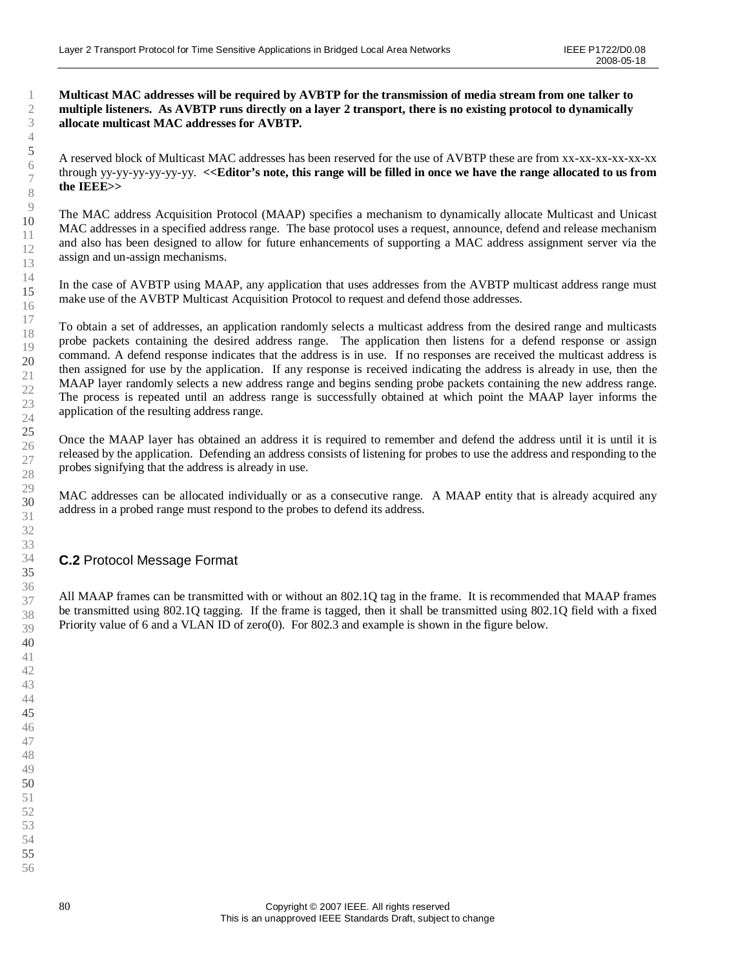**Multicast MAC addresses will be required by AVBTP for the transmission of media stream from one talker to multiple listeners. As AVBTP runs directly on a layer 2 transport, there is no existing protocol to dynamically allocate multicast MAC addresses for AVBTP.**

A reserved block of Multicast MAC addresses has been reserved for the use of AVBTP these are from xx-xx-xx-xx-xx-xx through yy-yy-yy-yy-yy-yy. **<<Editor's note, this range will be filled in once we have the range allocated to us from the IEEE>>**

The MAC address Acquisition Protocol (MAAP) specifies a mechanism to dynamically allocate Multicast and Unicast MAC addresses in a specified address range. The base protocol uses a request, announce, defend and release mechanism and also has been designed to allow for future enhancements of supporting a MAC address assignment server via the assign and un-assign mechanisms.

In the case of AVBTP using MAAP, any application that uses addresses from the AVBTP multicast address range must make use of the AVBTP Multicast Acquisition Protocol to request and defend those addresses.

To obtain a set of addresses, an application randomly selects a multicast address from the desired range and multicasts probe packets containing the desired address range. The application then listens for a defend response or assign command. A defend response indicates that the address is in use. If no responses are received the multicast address is then assigned for use by the application. If any response is received indicating the address is already in use, then the MAAP layer randomly selects a new address range and begins sending probe packets containing the new address range. The process is repeated until an address range is successfully obtained at which point the MAAP layer informs the application of the resulting address range.

Once the MAAP layer has obtained an address it is required to remember and defend the address until it is until it is released by the application. Defending an address consists of listening for probes to use the address and responding to the probes signifying that the address is already in use.

MAC addresses can be allocated individually or as a consecutive range. A MAAP entity that is already acquired any address in a probed range must respond to the probes to defend its address.

# **C.2** Protocol Message Format

All MAAP frames can be transmitted with or without an 802.1Q tag in the frame. It is recommended that MAAP frames be transmitted using 802.1Q tagging. If the frame is tagged, then it shall be transmitted using 802.1Q field with a fixed Priority value of 6 and a VLAN ID of zero(0). For 802.3 and example is shown in the figure below.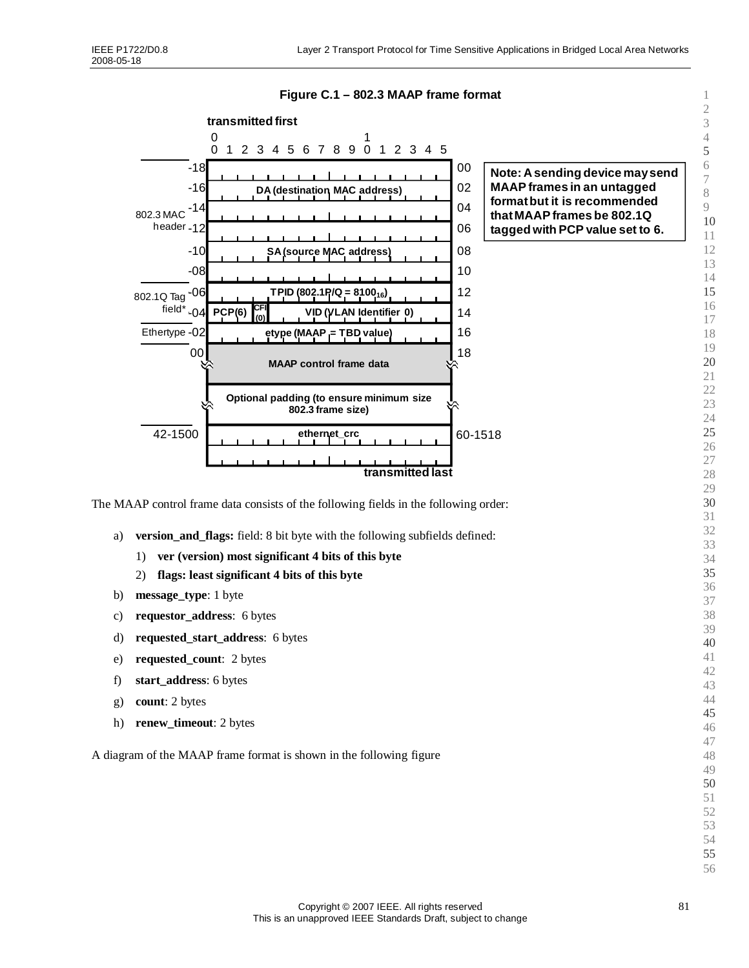

## **Figure C.1 –802.3 MAAP frame format**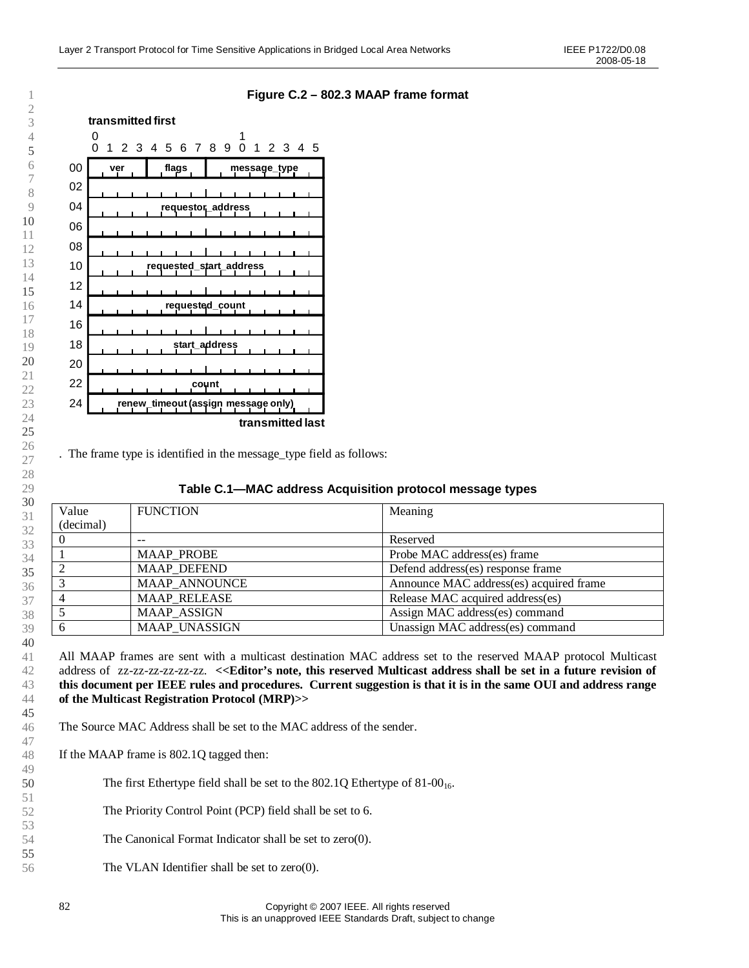#### **transmitted last** 00 | ver | flags | message\_type **requested\_start\_address requestor\_address ver flags start\_address requested\_count count renew\_timeout(assign message only) transmitted first** 2 3 4 5 6 7 8 9 0 1 2 3 4 5

. The frame type is identified in the message\_type field as follows:

| Table C.1-MAC address Acquisition protocol message types |  |
|----------------------------------------------------------|--|
|----------------------------------------------------------|--|

**Figure C.2 –802.3 MAAP frame format**

| Value     | <b>FUNCTION</b>      | Meaning                                 |
|-----------|----------------------|-----------------------------------------|
| (decimal) |                      |                                         |
|           |                      | Reserved                                |
|           | <b>MAAP PROBE</b>    | Probe MAC address(es) frame             |
|           | <b>MAAP DEFEND</b>   | Defend address(es) response frame       |
|           | <b>MAAP ANNOUNCE</b> | Announce MAC address(es) acquired frame |
|           | <b>MAAP RELEASE</b>  | Release MAC acquired address(es)        |
|           | <b>MAAP ASSIGN</b>   | Assign MAC address(es) command          |
| 6         | <b>MAAP UNASSIGN</b> | Unassign MAC address(es) command        |

All MAAP frames are sent with a multicast destination MAC address set to the reserved MAAP protocol Multicast address of zz-zz-zz-zz-zz-zz. **<<Editor's note, this reserved Multicast address shall be set in a future revision of this document per IEEE rules and procedures. Current suggestion is that it is in the same OUI and address range of the Multicast Registration Protocol (MRP)>>**

The Source MAC Address shall be set to the MAC address of the sender.

If the MAAP frame is 802.1Q tagged then:

The first Ethertype field shall be set to the  $802.1Q$  Ethertype of  $81-00_{16}$ .

The Priority Control Point (PCP) field shall be set to 6.

- The Canonical Format Indicator shall be set to zero(0).
- The VLAN Identifier shall be set to zero(0).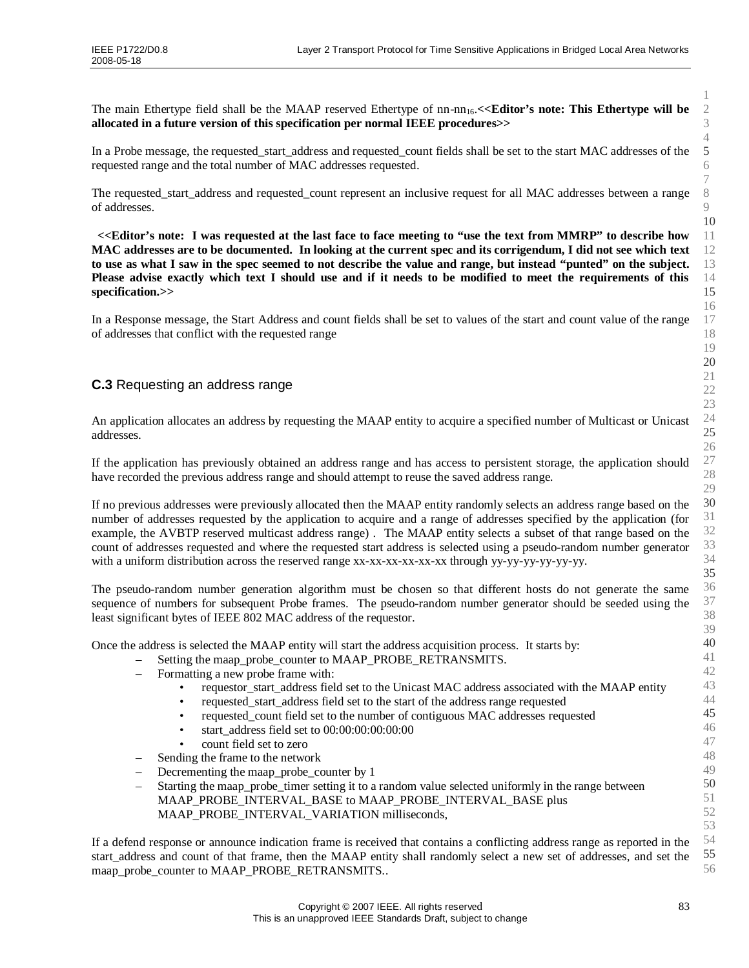The main Ethertype field shall be the MAAP reserved Ethertype of nn-nn<sub>16</sub>. <<**Editor's note: This Ethertype will be allocated in a future version of this specification per normal IEEE procedures>>**

In a Probe message, the requested start address and requested count fields shall be set to the start MAC addresses of the requested range and the total number of MAC addresses requested.

The requested start address and requested count represent an inclusive request for all MAC addresses between a range of addresses.

**<<Editor's note: I was requested at the last face to face meeting to "use the text from MMRP"to describe how MAC addresses are to be documented. In looking at the current spec and its corrigendum, I did not see which text to use as what I saw in the spec seemed to not describe the value and range, but instead "punted"on the subject. Please advise exactly which text I should use and if it needs to be modified to meet the requirements of this specification.>>**

In a Response message, the Start Address and count fields shall be set to values of the start and count value of the range of addresses that conflict with the requested range

# **C.3** Requesting an address range

An application allocates an address by requesting the MAAP entity to acquire a specified number of Multicast or Unicast addresses.

If the application has previously obtained an address range and has access to persistent storage, the application should have recorded the previous address range and should attempt to reuse the saved address range.

If no previous addresses were previously allocated then the MAAP entity randomly selects an address range based on the number of addresses requested by the application to acquire and a range of addresses specified by the application (for example, the AVBTP reserved multicast address range) . The MAAP entity selects a subset of that range based on the count of addresses requested and where the requested start address is selected using a pseudo-random number generator with a uniform distribution across the reserved range xx-xx-xx-xx-xx-xx through yy-yy-yy-yy-yy-yy.

The pseudo-random number generation algorithm must be chosen so that different hosts do not generate the same sequence of numbers for subsequent Probe frames. The pseudo-random number generator should be seeded using the least significant bytes of IEEE 802 MAC address of the requestor.

Once the address is selected the MAAP entity will start the address acquisition process. It starts by:

- Setting the maap\_probe\_counter to MAAP\_PROBE\_RETRANSMITS.
- Formatting a new probe frame with:
	- requestor\_start\_address field set to the Unicast MAC address associated with the MAAP entity
		- requested start address field set to the start of the address range requested
	- requested count field set to the number of contiguous MAC addresses requested • start\_address field set to 00:00:00:00:00:00
	- count field set to zero
- Sending the frame to the network
- Decrementing the maap\_probe\_counter by 1
- Starting the maap\_probe\_timer setting it to a random value selected uniformly in the range between MAAP\_PROBE\_INTERVAL\_BASE to MAAP\_PROBE\_INTERVAL\_BASE plus MAAP\_PROBE\_INTERVAL\_VARIATION milliseconds,

If a defend response or announce indication frame is received that contains a conflicting address range as reported in the start\_address and count of that frame, then the MAAP entity shall randomly select a new set of addresses, and set the maap\_probe\_counter to MAAP\_PROBE\_RETRANSMITS..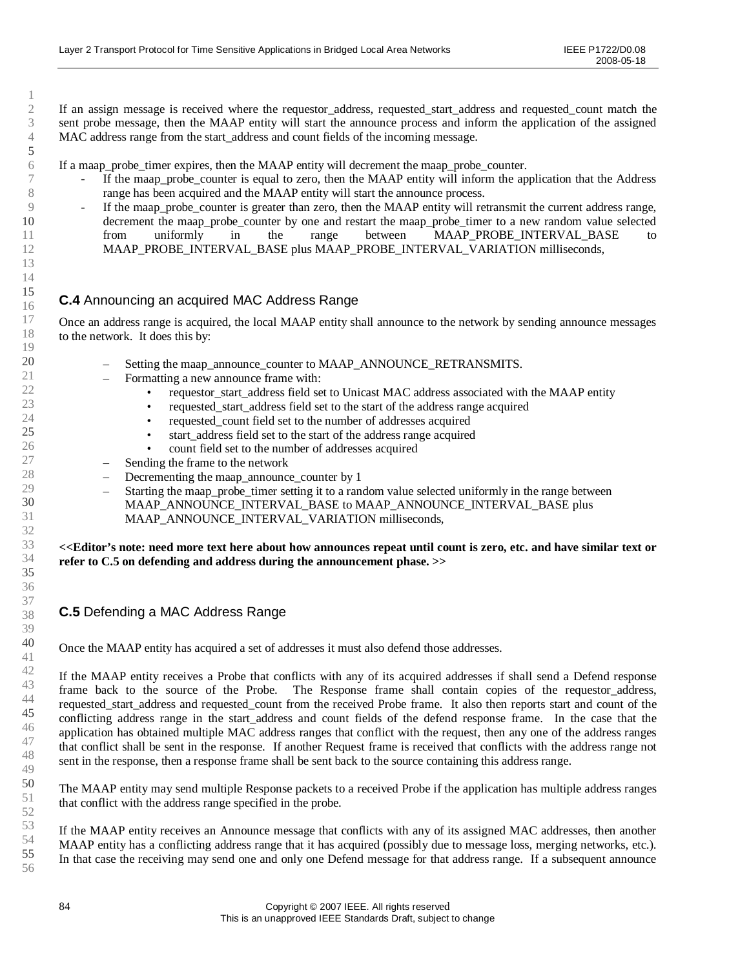If an assign message is received where the requestor address, requested start address and requested count match the sent probe message, then the MAAP entity will start the announce process and inform the application of the assigned MAC address range from the start address and count fields of the incoming message.

If a maap\_probe\_timer expires, then the MAAP entity will decrement the maap\_probe\_counter.

- If the maap\_probe\_counter is equal to zero, then the MAAP entity will inform the application that the Address range has been acquired and the MAAP entity will start the announce process.
- If the maap\_probe\_counter is greater than zero, then the MAAP entity will retransmit the current address range, decrement the maap\_probe\_counter by one and restart the maap\_probe\_timer to a new random value selected from uniformly in the range between MAAP\_PROBE\_INTERVAL\_BASE to MAAP\_PROBE\_INTERVAL\_BASE plus MAAP\_PROBE\_INTERVAL\_VARIATION milliseconds,

## **C.4** Announcing an acquired MAC Address Range

Once an address range is acquired, the local MAAP entity shall announce to the network by sending announce messages to the network. It does this by:

- Setting the maap\_announce\_counter to MAAP\_ANNOUNCE\_RETRANSMITS.
- Formatting a new announce frame with:
	- requestor\_start\_address field set to Unicast MAC address associated with the MAAP entity
	- requested start address field set to the start of the address range acquired
	- requested\_count field set to the number of addresses acquired
	- start\_address field set to the start of the address range acquired
	- count field set to the number of addresses acquired
- Sending the frame to the network
- Decrementing the maap\_announce\_counter by 1
- Starting the maap probe timer setting it to a random value selected uniformly in the range between MAAP\_ANNOUNCE\_INTERVAL\_BASE to MAAP\_ANNOUNCE\_INTERVAL\_BASE plus MAAP\_ANNOUNCE\_INTERVAL\_VARIATION milliseconds,

**<<Editor's note: need more text here about how announces repeat until count is zero, etc. and have similar text or refer to C.5 on defending and address during the announcement phase. >>**

#### **C.5** Defending a MAC Address Range

Once the MAAP entity has acquired a set of addresses it must also defend those addresses.

If the MAAP entity receives a Probe that conflicts with any of its acquired addresses if shall send a Defend response frame back to the source of the Probe. The Response frame shall contain copies of the requestor address, requested\_start\_address and requested\_count from the received Probe frame. It also then reports start and count of the conflicting address range in the start\_address and count fields of the defend response frame. In the case that the application has obtained multiple MAC address ranges that conflict with the request, then any one of the address ranges that conflict shall be sent in the response. If another Request frame is received that conflicts with the address range not sent in the response, then a response frame shall be sent back to the source containing this address range.

The MAAP entity may send multiple Response packets to a received Probe if the application has multiple address ranges that conflict with the address range specified in the probe.

If the MAAP entity receives an Announce message that conflicts with any of its assigned MAC addresses, then another MAAP entity has a conflicting address range that it has acquired (possibly due to message loss, merging networks, etc.). In that case the receiving may send one and only one Defend message for that address range. If a subsequent announce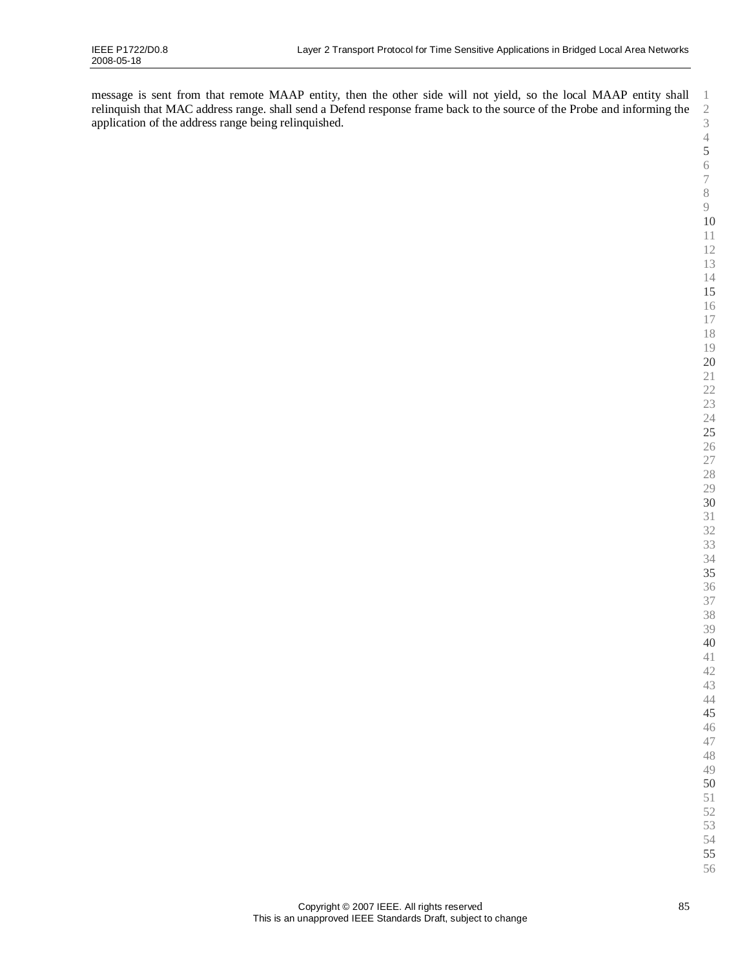message is sent from that remote MAAP entity, then the other side will not yield, so the local MAAP entity shall relinquish that MAC address range. shall send a Defend response frame back to the source of the Probe and informing the application of the address range being relinquished.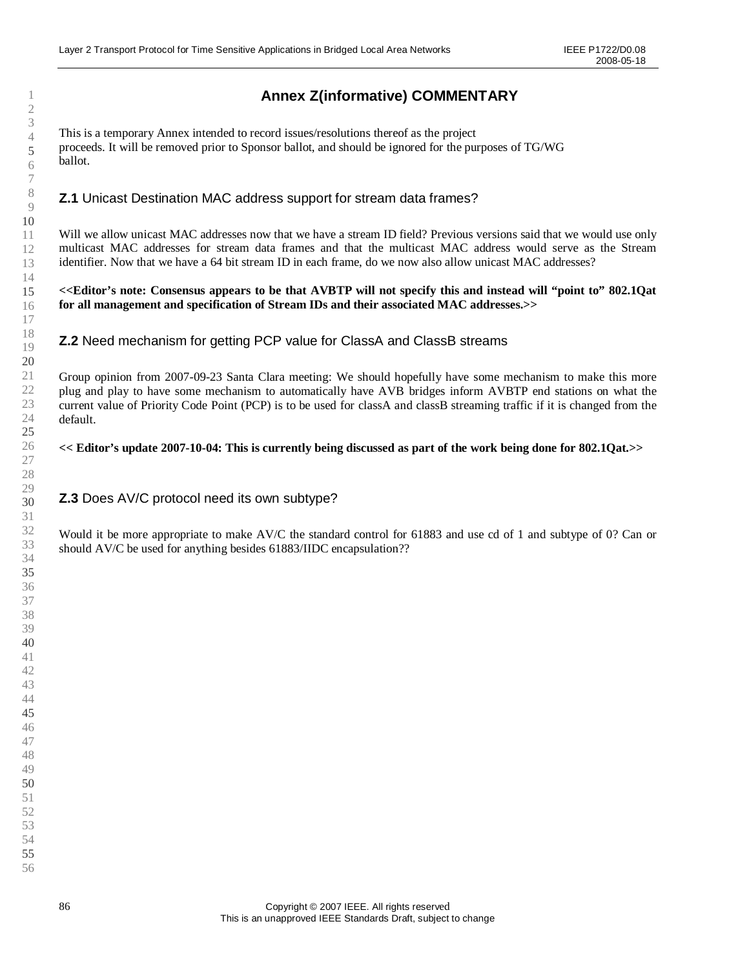# **Annex Z(informative) COMMENTARY**

This is a temporary Annex intended to record issues/resolutions thereof as the project proceeds. It will be removed prior to Sponsor ballot, and should be ignored for the purposes of TG/WG ballot.

# **Z.1** Unicast Destination MAC address support for stream data frames?

Will we allow unicast MAC addresses now that we have a stream ID field? Previous versions said that we would use only multicast MAC addresses for stream data frames and that the multicast MAC address would serve as the Stream identifier. Now that we have a 64 bit stream ID in each frame, do we now also allow unicast MAC addresses?

## **<<Editor's note: Consensus appears to be that AVBTP will not specify this and instead will "point to"802.1Qat for all management and specification of Stream IDs and their associated MAC addresses.>>**

# **Z.2** Need mechanism for getting PCP value for ClassA and ClassB streams

Group opinion from 2007-09-23 Santa Clara meeting: We should hopefully have some mechanism to make this more plug and play to have some mechanism to automatically have AVB bridges inform AVBTP end stations on what the current value of Priority Code Point (PCP) is to be used for classA and classB streaming traffic if it is changed from the default.

## **<< Editor's update 2007-10-04: This is currently being discussed as part of the work being done for 802.1Qat.>>**

# **Z.3** Does AV/C protocol need its own subtype?

Would it be more appropriate to make AV/C the standard control for 61883 and use cd of 1 and subtype of 0? Can or should AV/C be used for anything besides 61883/IIDC encapsulation??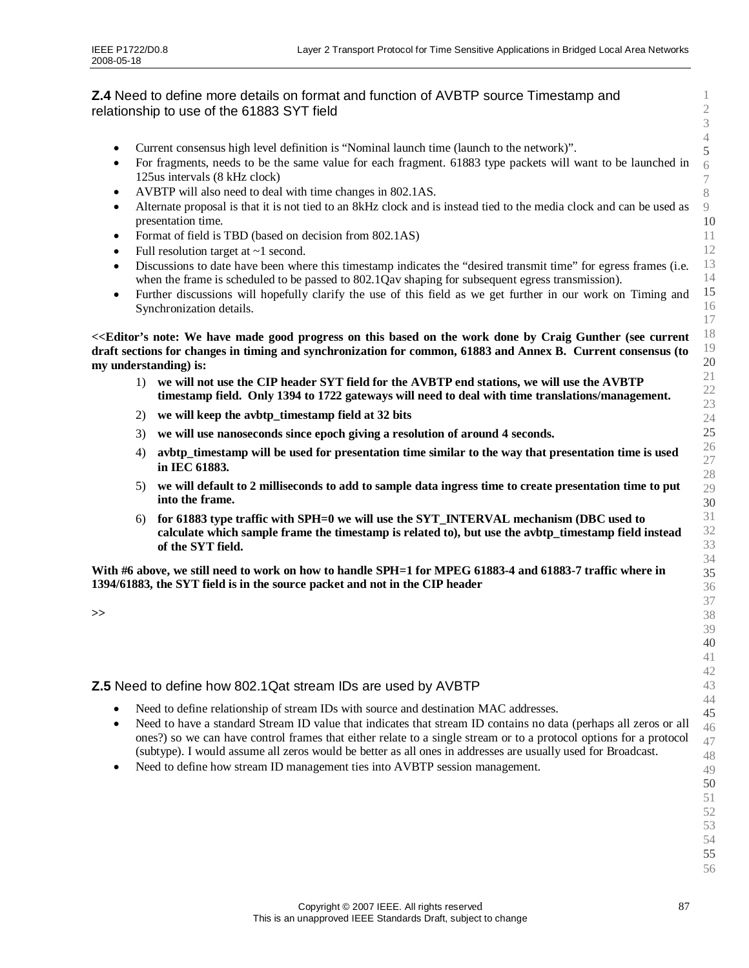# **Z.4** Need to define more details on format and function of AVBTP source Timestamp and relationship to use of the 61883 SYT field

- Current consensus high level definition is "Nominal launch time (launch to the network)".
- For fragments, needs to be the same value for each fragment. 61883 type packets will want to be launched in 125us intervals (8 kHz clock)
- AVBTP will also need to deal with time changes in 802.1AS.
- Alternate proposal is that it is not tied to an 8kHz clock and is instead tied to the media clock and can be used as presentation time.
- Format of field is TBD (based on decision from 802.1AS)
- Full resolution target at  $\sim$ 1 second.
- Discussions to date have been where this timestamp indicates the "desired transmit time" for egress frames (i.e. when the frame is scheduled to be passed to 802.1Qav shaping for subsequent egress transmission).
- Further discussions will hopefully clarify the use of this field as we get further in our work on Timing and Synchronization details.

**<<Editor's note: We have made good progress on this based on the work done by Craig Gunther (see current draft sections for changes in timing and synchronization for common, 61883 and Annex B. Current consensus (to my understanding) is:**

- 1) **we will not use the CIP header SYT field for the AVBTP end stations, we will use the AVBTP timestamp field. Only 1394 to 1722 gateways will need to deal with time translations/management.**
- 2) **we will keep the avbtp\_timestamp field at 32 bits**
- 3) **we will use nanoseconds since epoch giving a resolution of around 4 seconds.**
- 4) **avbtp\_timestamp will be used for presentation time similar to the way that presentation time is used in IEC 61883.**
- 5) **we will default to 2 milliseconds to add to sample data ingress time to create presentation time to put into the frame.**
- 6) **for 61883 type traffic with SPH=0 we will use the SYT\_INTERVAL mechanism (DBC used to calculate which sample frame the timestamp is related to), but use the avbtp\_timestamp field instead of the SYT field.**

**With #6 above, we still need to work on how to handle SPH=1 for MPEG 61883-4 and 61883-7 traffic where in 1394/61883, the SYT field is in the source packet and not in the CIP header**

**>>**

## **Z.5** Need to define how 802.1Qat stream IDs are used by AVBTP

- Need to define relationship of stream IDs with source and destination MAC addresses.
- Need to have a standard Stream ID value that indicates that stream ID contains no data (perhaps all zeros or all ones?) so we can have control frames that either relate to a single stream or to a protocol options for a protocol (subtype). I would assume all zeros would be better as all ones in addresses are usually used for Broadcast.
- Need to define how stream ID management ties into AVBTP session management.